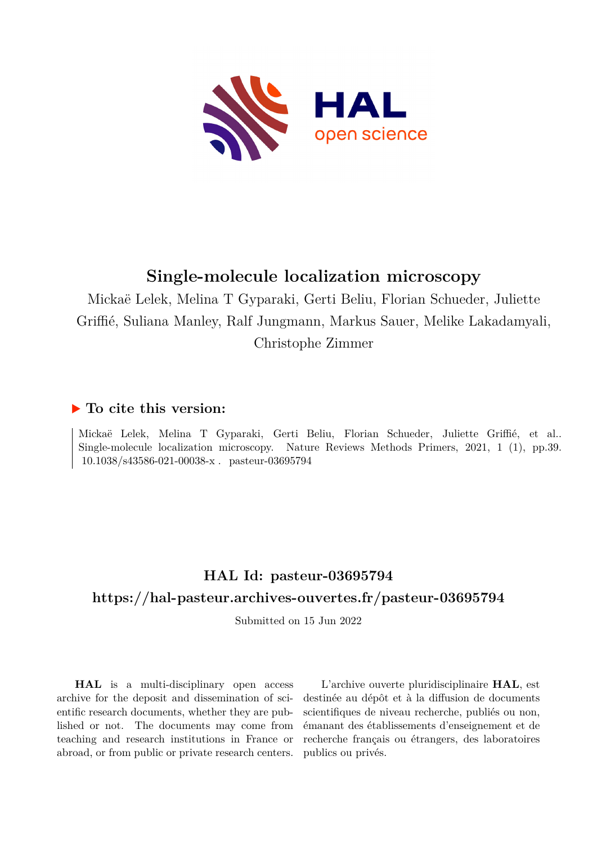

# **Single-molecule localization microscopy**

Mickaë Lelek, Melina T Gyparaki, Gerti Beliu, Florian Schueder, Juliette Griffié, Suliana Manley, Ralf Jungmann, Markus Sauer, Melike Lakadamyali, Christophe Zimmer

## **To cite this version:**

Mickaë Lelek, Melina T Gyparaki, Gerti Beliu, Florian Schueder, Juliette Griffié, et al.. Single-molecule localization microscopy. Nature Reviews Methods Primers, 2021, 1 (1), pp.39. 10.1038/s43586-021-00038-x. pasteur-03695794

# **HAL Id: pasteur-03695794 <https://hal-pasteur.archives-ouvertes.fr/pasteur-03695794>**

Submitted on 15 Jun 2022

**HAL** is a multi-disciplinary open access archive for the deposit and dissemination of scientific research documents, whether they are published or not. The documents may come from teaching and research institutions in France or abroad, or from public or private research centers.

L'archive ouverte pluridisciplinaire **HAL**, est destinée au dépôt et à la diffusion de documents scientifiques de niveau recherche, publiés ou non, émanant des établissements d'enseignement et de recherche français ou étrangers, des laboratoires publics ou privés.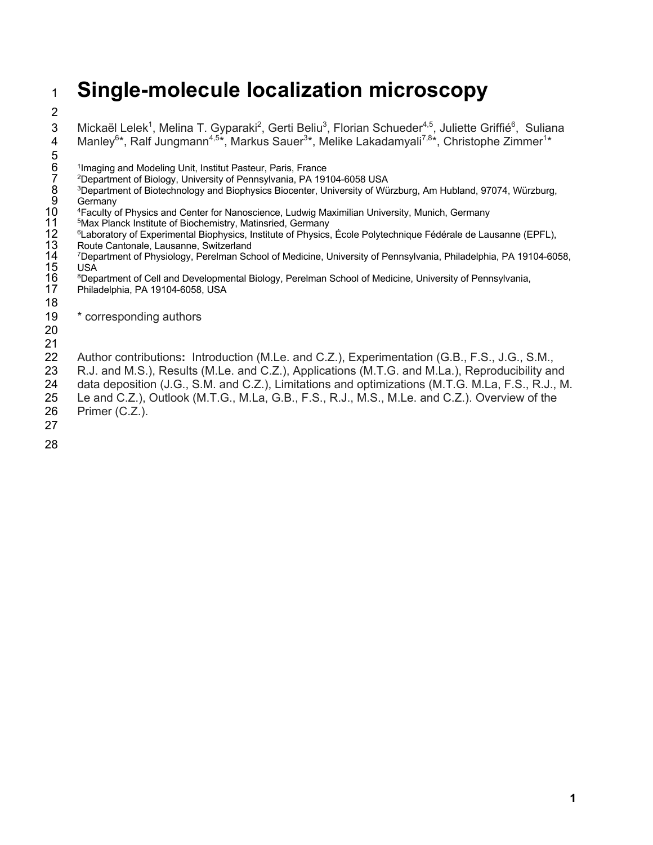# <sup>1</sup> **Single-molecule localization microscopy**

2

3 Mickaël Lelek<sup>1</sup>, Melina T. Gyparaki<sup>2</sup>, Gerti Beliu<sup>3</sup>, Florian Schueder<sup>4,5</sup>, Juliette Griffié<sup>6</sup>, Suliana 4 Manley<sup>6\*</sup>, Ralf Jungmann<sup>4,5\*</sup>, Markus Sauer<sup>3</sup>\*, Melike Lakadamyali<sup>7,8</sup>\*, Christophe Zimmer<sup>1</sup>\*

- 5<br>6<br>7<br>8<br>9<br>10
	- <sup>1</sup> Imaging and Modeling Unit, Institut Pasteur, Paris, France
- 7 2Department of Biology, University of Pennsylvania, PA 19104-6058 USA
- 8 3Department of Biotechnology and Biophysics Biocenter, University of Würzburg, Am Hubland, 97074, Würzburg,
- **Germany**
- 
- <sup>5</sup>Max Planck Institute of Biochemistry, Matinsried, Germany
- <sup>6</sup> Laboratory of Experimental Biophysics, Institute of Physics, École Polytechnique Fédérale de Lausanne (EPFL),
- Route Cantonale, Lausanne, Switzerland
- <sup>4</sup> Faculty of Physics and Center for Nanoscience, Ludwig Maximilian University, Munich, Germany<br>
<sup>5</sup> Max Planck Institute of Biochemistry, Matinsried, Germany<br>
<sup>6</sup> Laboratory of Experimental Biophysics, Institute of Physi <sup>7</sup>Department of Physiology, Perelman School of Medicine, University of Pennsylvania, Philadelphia, PA 19104-6058, USA
- <sup>8</sup>Department of Cell and Developmental Biology, Perelman School of Medicine, University of Pennsylvania, Philadelphia, PA 19104-6058, USA
- 18

19 \* corresponding authors

20

21

22 Author contributions**:** Introduction (M.Le. and C.Z.), Experimentation (G.B., F.S., J.G., S.M.,

- 23 R.J. and M.S.), Results (M.Le. and C.Z.), Applications (M.T.G. and M.La.), Reproducibility and
- 24 data deposition (J.G., S.M. and C.Z.), Limitations and optimizations (M.T.G. M.La, F.S., R.J., M.
- 25 Le and C.Z.), Outlook (M.T.G., M.La, G.B., F.S., R.J., M.S., M.Le. and C.Z.). Overview of the
- 26 Primer (C.Z.). 27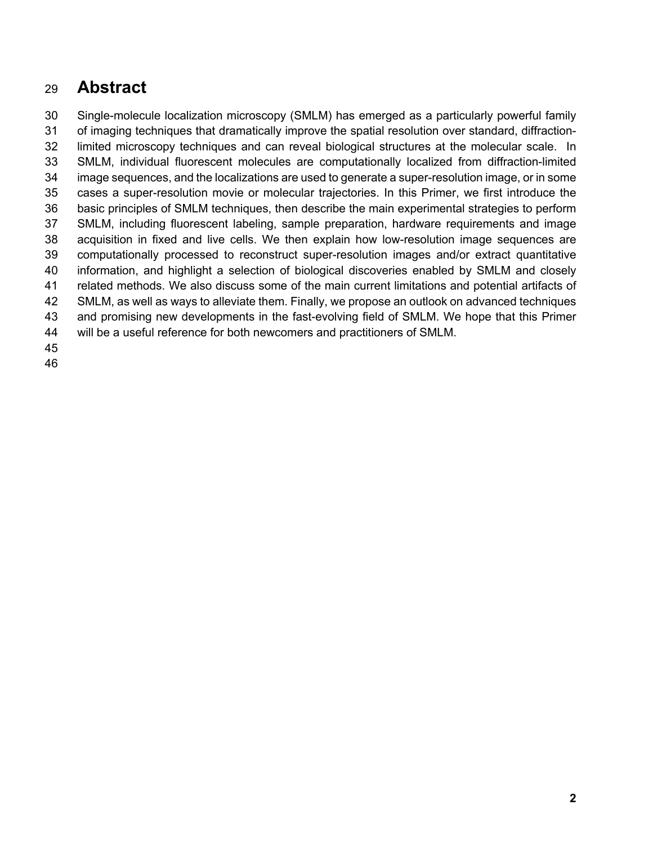# **Abstract**

 Single-molecule localization microscopy (SMLM) has emerged as a particularly powerful family of imaging techniques that dramatically improve the spatial resolution over standard, diffraction- limited microscopy techniques and can reveal biological structures at the molecular scale. In SMLM, individual fluorescent molecules are computationally localized from diffraction-limited image sequences, and the localizations are used to generate a super-resolution image, or in some cases a super-resolution movie or molecular trajectories. In this Primer, we first introduce the basic principles of SMLM techniques, then describe the main experimental strategies to perform SMLM, including fluorescent labeling, sample preparation, hardware requirements and image acquisition in fixed and live cells. We then explain how low-resolution image sequences are computationally processed to reconstruct super-resolution images and/or extract quantitative information, and highlight a selection of biological discoveries enabled by SMLM and closely related methods. We also discuss some of the main current limitations and potential artifacts of SMLM, as well as ways to alleviate them. Finally, we propose an outlook on advanced techniques and promising new developments in the fast-evolving field of SMLM. We hope that this Primer will be a useful reference for both newcomers and practitioners of SMLM.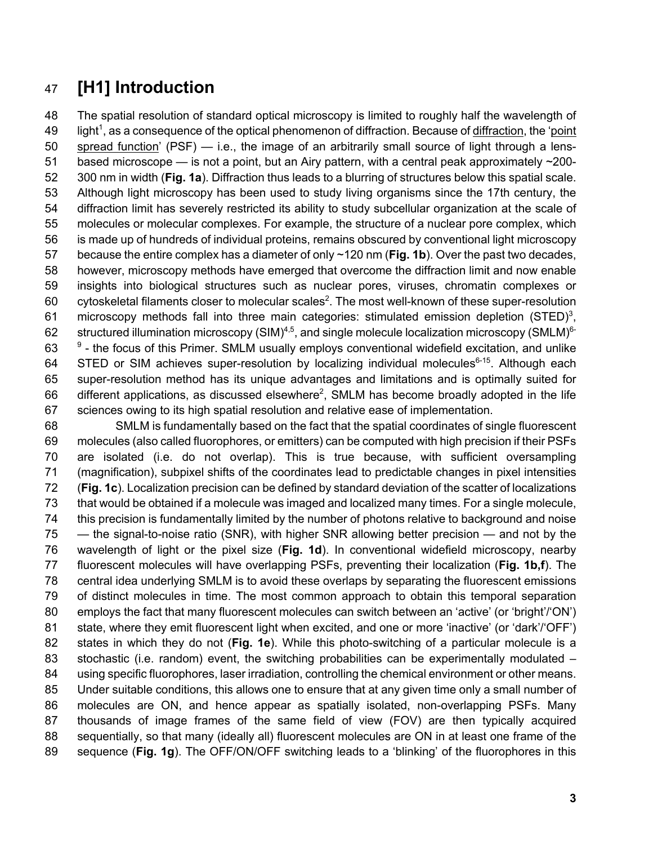# **[H1] Introduction**

 The spatial resolution of standard optical microscopy is limited to roughly half the wavelength of 49 light<sup>1</sup>, as a consequence of the optical phenomenon of diffraction. Because of diffraction, the 'point spread function' (PSF) — i.e., the image of an arbitrarily small source of light through a lens- based microscope — is not a point, but an Airy pattern, with a central peak approximately ~200- 300 nm in width (**Fig. 1a**). Diffraction thus leads to a blurring of structures below this spatial scale. Although light microscopy has been used to study living organisms since the 17th century, the diffraction limit has severely restricted its ability to study subcellular organization at the scale of molecules or molecular complexes. For example, the structure of a nuclear pore complex, which is made up of hundreds of individual proteins, remains obscured by conventional light microscopy because the entire complex has a diameter of only ~120 nm (**Fig. 1b**). Over the past two decades, however, microscopy methods have emerged that overcome the diffraction limit and now enable insights into biological structures such as nuclear pores, viruses, chromatin complexes or 60 cytoskeletal filaments closer to molecular scales<sup>2</sup>. The most well-known of these super-resolution 61 microscopy methods fall into three main categories: stimulated emission depletion (STED)<sup>3</sup>, 62 structured illumination microscopy (SIM)<sup>4,5</sup>, and single molecule localization microscopy (SMLM)<sup>6-</sup>  $9$  - the focus of this Primer. SMLM usually employs conventional widefield excitation, and unlike 64 STED or SIM achieves super-resolution by localizing individual molecules<sup>6-15</sup>. Although each super-resolution method has its unique advantages and limitations and is optimally suited for 66 different applications, as discussed elsewhere<sup>2</sup>, SMLM has become broadly adopted in the life sciences owing to its high spatial resolution and relative ease of implementation.

 SMLM is fundamentally based on the fact that the spatial coordinates of single fluorescent molecules (also called fluorophores, or emitters) can be computed with high precision if their PSFs are isolated (i.e. do not overlap). This is true because, with sufficient oversampling (magnification), subpixel shifts of the coordinates lead to predictable changes in pixel intensities (**Fig. 1c**). Localization precision can be defined by standard deviation of the scatter of localizations that would be obtained if a molecule was imaged and localized many times. For a single molecule, this precision is fundamentally limited by the number of photons relative to background and noise — the signal-to-noise ratio (SNR), with higher SNR allowing better precision — and not by the wavelength of light or the pixel size (**Fig. 1d**). In conventional widefield microscopy, nearby fluorescent molecules will have overlapping PSFs, preventing their localization (**Fig. 1b,f**). The central idea underlying SMLM is to avoid these overlaps by separating the fluorescent emissions of distinct molecules in time. The most common approach to obtain this temporal separation employs the fact that many fluorescent molecules can switch between an 'active' (or 'bright'/'ON') state, where they emit fluorescent light when excited, and one or more 'inactive' (or 'dark'/'OFF') states in which they do not (**Fig. 1e**). While this photo-switching of a particular molecule is a stochastic (i.e. random) event, the switching probabilities can be experimentally modulated – using specific fluorophores, laser irradiation, controlling the chemical environment or other means. Under suitable conditions, this allows one to ensure that at any given time only a small number of molecules are ON, and hence appear as spatially isolated, non-overlapping PSFs. Many thousands of image frames of the same field of view (FOV) are then typically acquired sequentially, so that many (ideally all) fluorescent molecules are ON in at least one frame of the sequence (**Fig. 1g**). The OFF/ON/OFF switching leads to a 'blinking' of the fluorophores in this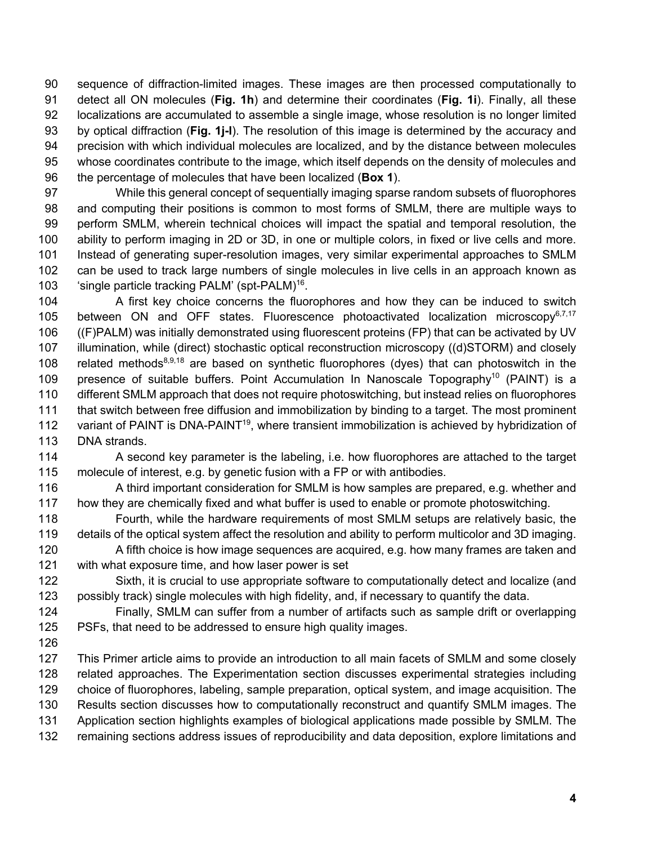sequence of diffraction-limited images. These images are then processed computationally to detect all ON molecules (**Fig. 1h**) and determine their coordinates (**Fig. 1i**). Finally, all these localizations are accumulated to assemble a single image, whose resolution is no longer limited by optical diffraction (**Fig. 1j-l**). The resolution of this image is determined by the accuracy and precision with which individual molecules are localized, and by the distance between molecules whose coordinates contribute to the image, which itself depends on the density of molecules and the percentage of molecules that have been localized (**Box 1**).

 While this general concept of sequentially imaging sparse random subsets of fluorophores and computing their positions is common to most forms of SMLM, there are multiple ways to perform SMLM, wherein technical choices will impact the spatial and temporal resolution, the ability to perform imaging in 2D or 3D, in one or multiple colors, in fixed or live cells and more. Instead of generating super-resolution images, very similar experimental approaches to SMLM can be used to track large numbers of single molecules in live cells in an approach known as 103 'single particle tracking PALM' (spt-PALM)<sup>16</sup>.

 A first key choice concerns the fluorophores and how they can be induced to switch 105 between ON and OFF states. Fluorescence photoactivated localization microscopy $6.7,17$  ((F)PALM) was initially demonstrated using fluorescent proteins (FP) that can be activated by UV illumination, while (direct) stochastic optical reconstruction microscopy ((d)STORM) and closely 108 related methods<sup>8,9,18</sup> are based on synthetic fluorophores (dyes) that can photoswitch in the 109 presence of suitable buffers. Point Accumulation In Nanoscale Topography<sup>10</sup> (PAINT) is a 110 different SMLM approach that does not require photoswitching, but instead relies on fluorophores that switch between free diffusion and immobilization by binding to a target. The most prominent 112 variant of PAINT is DNA-PAINT<sup>19</sup>, where transient immobilization is achieved by hybridization of DNA strands.

 A second key parameter is the labeling, i.e. how fluorophores are attached to the target molecule of interest, e.g. by genetic fusion with a FP or with antibodies.

116 A third important consideration for SMLM is how samples are prepared, e.g. whether and how they are chemically fixed and what buffer is used to enable or promote photoswitching.

- Fourth, while the hardware requirements of most SMLM setups are relatively basic, the details of the optical system affect the resolution and ability to perform multicolor and 3D imaging. 120 A fifth choice is how image sequences are acquired, e.g. how many frames are taken and
- with what exposure time, and how laser power is set

 Sixth, it is crucial to use appropriate software to computationally detect and localize (and possibly track) single molecules with high fidelity, and, if necessary to quantify the data.

 Finally, SMLM can suffer from a number of artifacts such as sample drift or overlapping PSFs, that need to be addressed to ensure high quality images.

 This Primer article aims to provide an introduction to all main facets of SMLM and some closely related approaches. The Experimentation section discusses experimental strategies including choice of fluorophores, labeling, sample preparation, optical system, and image acquisition. The Results section discusses how to computationally reconstruct and quantify SMLM images. The Application section highlights examples of biological applications made possible by SMLM. The remaining sections address issues of reproducibility and data deposition, explore limitations and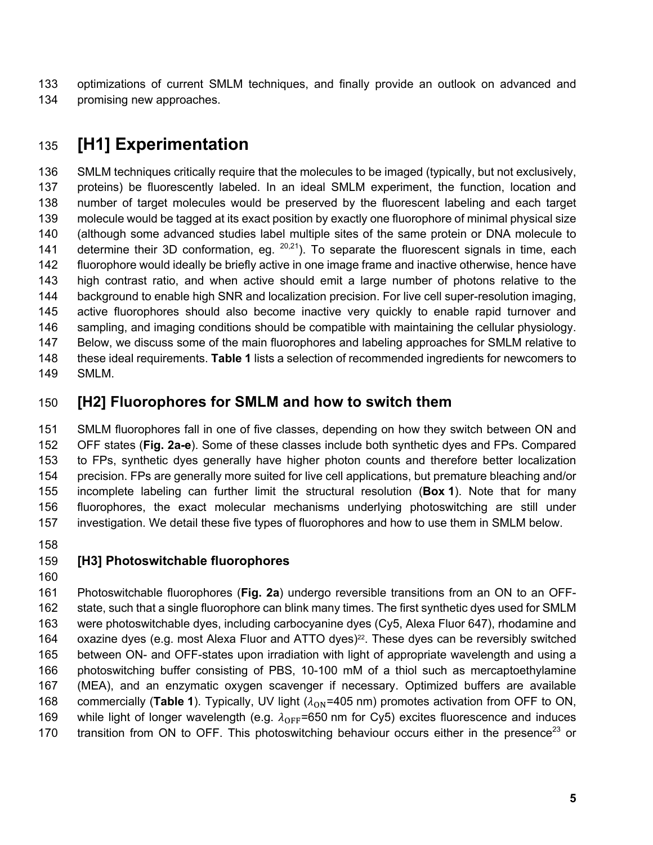optimizations of current SMLM techniques, and finally provide an outlook on advanced and promising new approaches.

# **[H1] Experimentation**

 SMLM techniques critically require that the molecules to be imaged (typically, but not exclusively, proteins) be fluorescently labeled. In an ideal SMLM experiment, the function, location and number of target molecules would be preserved by the fluorescent labeling and each target molecule would be tagged at its exact position by exactly one fluorophore of minimal physical size (although some advanced studies label multiple sites of the same protein or DNA molecule to 141 determine their 3D conformation, eg.  $20,21$ ). To separate the fluorescent signals in time, each fluorophore would ideally be briefly active in one image frame and inactive otherwise, hence have high contrast ratio, and when active should emit a large number of photons relative to the background to enable high SNR and localization precision. For live cell super-resolution imaging, active fluorophores should also become inactive very quickly to enable rapid turnover and sampling, and imaging conditions should be compatible with maintaining the cellular physiology. Below, we discuss some of the main fluorophores and labeling approaches for SMLM relative to these ideal requirements. **Table 1** lists a selection of recommended ingredients for newcomers to SMLM.

## **[H2] Fluorophores for SMLM and how to switch them**

 SMLM fluorophores fall in one of five classes, depending on how they switch between ON and OFF states (**Fig. 2a-e**). Some of these classes include both synthetic dyes and FPs. Compared to FPs, synthetic dyes generally have higher photon counts and therefore better localization precision. FPs are generally more suited for live cell applications, but premature bleaching and/or incomplete labeling can further limit the structural resolution (**Box 1**). Note that for many fluorophores, the exact molecular mechanisms underlying photoswitching are still under investigation. We detail these five types of fluorophores and how to use them in SMLM below.

#### **[H3] Photoswitchable fluorophores**

 Photoswitchable fluorophores (**Fig. 2a**) undergo reversible transitions from an ON to an OFF- state, such that a single fluorophore can blink many times. The first synthetic dyes used for SMLM were photoswitchable dyes, including carbocyanine dyes (Cy5, Alexa Fluor 647), rhodamine and 164 oxazine dyes (e.g. most Alexa Fluor and ATTO dyes)<sup>22</sup>. These dyes can be reversibly switched between ON- and OFF-states upon irradiation with light of appropriate wavelength and using a photoswitching buffer consisting of PBS, 10-100 mM of a thiol such as mercaptoethylamine (MEA), and an enzymatic oxygen scavenger if necessary. Optimized buffers are available 168 commercially (Table 1). Typically, UV light  $(\lambda_{ON} = 405 \text{ nm})$  promotes activation from OFF to ON, 169 while light of longer wavelength (e.g.  $\lambda_{\text{OFF}}$ =650 nm for Cy5) excites fluorescence and induces 170 transition from ON to OFF. This photoswitching behaviour occurs either in the presence<sup>23</sup> or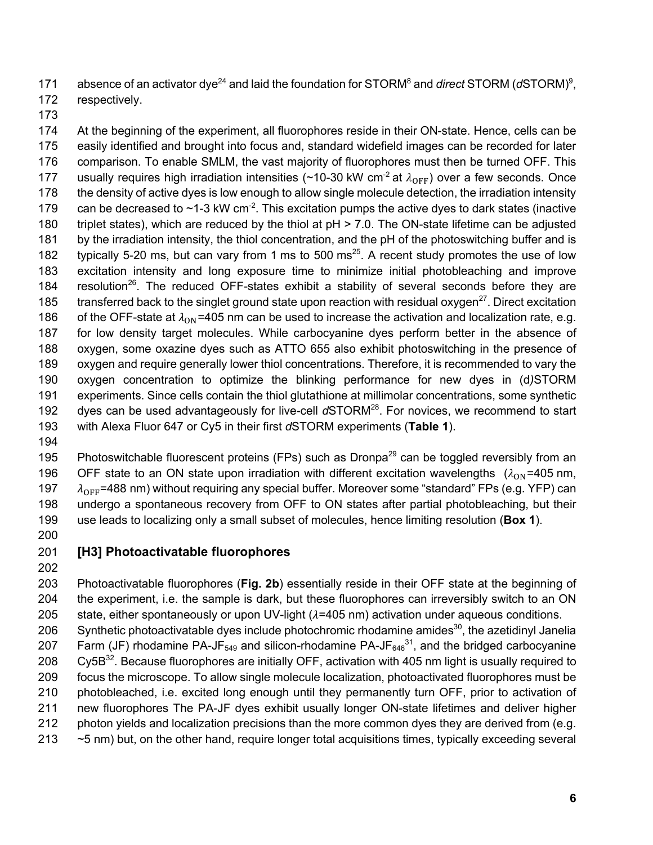171 absence of an activator dye<sup>24</sup> and laid the foundation for STORM<sup>8</sup> and *direct* STORM (*d*STORM)<sup>9</sup>.

- 172 respectively.
- 173

 At the beginning of the experiment, all fluorophores reside in their ON-state. Hence, cells can be easily identified and brought into focus and, standard widefield images can be recorded for later comparison. To enable SMLM, the vast majority of fluorophores must then be turned OFF. This 177 usually requires high irradiation intensities (~10-30 kW cm<sup>-2</sup> at  $\lambda_{\rm OFF}$ ) over a few seconds. Once 178 the density of active dyes is low enough to allow single molecule detection, the irradiation intensity 179 can be decreased to  $\sim$ 1-3 kW cm<sup>-2</sup>. This excitation pumps the active dyes to dark states (inactive triplet states), which are reduced by the thiol at pH > 7.0. The ON-state lifetime can be adjusted by the irradiation intensity, the thiol concentration, and the pH of the photoswitching buffer and is 182 typically 5-20 ms, but can vary from 1 ms to 500 ms<sup>25</sup>. A recent study promotes the use of low excitation intensity and long exposure time to minimize initial photobleaching and improve 184 resolution<sup>26</sup>. The reduced OFF-states exhibit a stability of several seconds before they are  $t$ ransferred back to the singlet ground state upon reaction with residual oxygen $^{27}$ . Direct excitation 186 of the OFF-state at  $\lambda_{\rm ON}$ =405 nm can be used to increase the activation and localization rate, e.g. for low density target molecules. While carbocyanine dyes perform better in the absence of oxygen, some oxazine dyes such as ATTO 655 also exhibit photoswitching in the presence of oxygen and require generally lower thiol concentrations. Therefore, it is recommended to vary the oxygen concentration to optimize the blinking performance for new dyes in (d*)*STORM experiments. Since cells contain the thiol glutathione at millimolar concentrations, some synthetic 192 dyes can be used advantageously for live-cell dSTORM<sup>28</sup>. For novices, we recommend to start with Alexa Fluor 647 or Cy5 in their first *d*STORM experiments (**Table 1**).

194

195 Photoswitchable fluorescent proteins (FPs) such as Dronpa<sup>29</sup> can be toggled reversibly from an 196 OFF state to an ON state upon irradiation with different excitation wavelengths  $(\lambda_{ON} = 405 \text{ nm})$ 197  $\lambda_{\text{OFF}}$ =488 nm) without requiring any special buffer. Moreover some "standard" FPs (e.g. YFP) can 198 undergo a spontaneous recovery from OFF to ON states after partial photobleaching, but their 199 use leads to localizing only a small subset of molecules, hence limiting resolution (**Box 1**).

200

# 201 **[H3] Photoactivatable fluorophores**

202

203 Photoactivatable fluorophores (**Fig. 2b**) essentially reside in their OFF state at the beginning of 204 the experiment, i.e. the sample is dark, but these fluorophores can irreversibly switch to an ON 205 state, either spontaneously or upon UV-light  $(\lambda=405 \text{ nm})$  activation under aqueous conditions. 206 Synthetic photoactivatable dyes include photochromic rhodamine amides<sup>30</sup>, the azetidinyl Janelia 207 Farm (JF) rhodamine PA-JF<sub>549</sub> and silicon-rhodamine PA-JF $_{646}^{31}$ , and the bridged carbocyanine 208 Cy5B<sup>32</sup>. Because fluorophores are initially OFF, activation with 405 nm light is usually required to 209 focus the microscope. To allow single molecule localization, photoactivated fluorophores must be 210 photobleached, i.e. excited long enough until they permanently turn OFF, prior to activation of 211 new fluorophores The PA-JF dyes exhibit usually longer ON-state lifetimes and deliver higher 212 photon yields and localization precisions than the more common dyes they are derived from (e.g. 213 ~5 nm) but, on the other hand, require longer total acquisitions times, typically exceeding several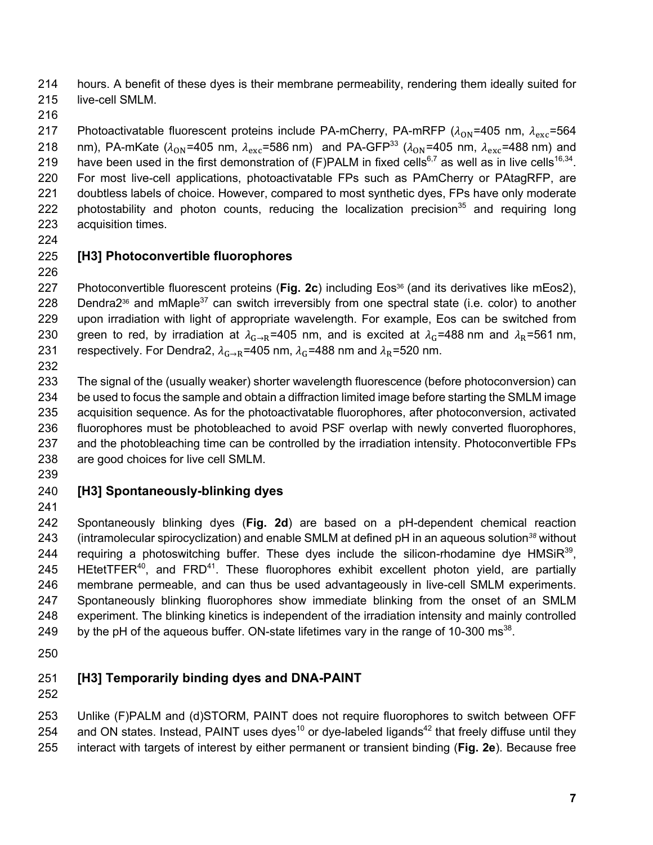hours. A benefit of these dyes is their membrane permeability, rendering them ideally suited for live-cell SMLM.

217 Photoactivatable fluorescent proteins include PA-mCherry, PA-mRFP ( $\lambda_{ON}$ =405 nm,  $\lambda_{exc}$ =564 218 nm), PA-mKate  $(\lambda_{ON} = 405 \text{ nm}, \lambda_{\text{exc}} = 586 \text{ nm})$  and PA-GFP<sup>33</sup> ( $\lambda_{ON} = 405 \text{ nm}, \lambda_{\text{exc}} = 488 \text{ nm}$ ) and 219 have been used in the first demonstration of (F)PALM in fixed cells<sup>6,7</sup> as well as in live cells<sup>16,34</sup>. For most live-cell applications, photoactivatable FPs such as PAmCherry or PAtagRFP, are doubtless labels of choice. However, compared to most synthetic dyes, FPs have only moderate 222 photostability and photon counts, reducing the localization precision<sup>35</sup> and requiring long acquisition times.

## **[H3] Photoconvertible fluorophores**

227 Photoconvertible fluorescent proteins (**Fig. 2c**) including Eos<sup>36</sup> (and its derivatives like mEos2), 228 Dendra2<sup>36</sup> and mMaple<sup>37</sup> can switch irreversibly from one spectral state (i.e. color) to another upon irradiation with light of appropriate wavelength. For example, Eos can be switched from 230 green to red, by irradiation at  $\lambda_{G\to R}$ =405 nm, and is excited at  $\lambda_G$ =488 nm and  $\lambda_R$ =561 nm, 231 respectively. For Dendra2,  $\lambda_{G\to R}$ =405 nm,  $\lambda_G$ =488 nm and  $\lambda_R$ =520 nm.

 The signal of the (usually weaker) shorter wavelength fluorescence (before photoconversion) can be used to focus the sample and obtain a diffraction limited image before starting the SMLM image acquisition sequence. As for the photoactivatable fluorophores, after photoconversion, activated fluorophores must be photobleached to avoid PSF overlap with newly converted fluorophores, and the photobleaching time can be controlled by the irradiation intensity. Photoconvertible FPs are good choices for live cell SMLM.

# **[H3] Spontaneously-blinking dyes**

 Spontaneously blinking dyes (**Fig. 2d**) are based on a pH-dependent chemical reaction 243 (intramolecular spirocyclization) and enable SMLM at defined pH in an aqueous solution<sup>38</sup> without 244 requiring a photoswitching buffer. These dyes include the silicon-rhodamine dye HMSi $R^{39}$ , 245 HEtetTFER<sup>40</sup>, and FRD<sup>41</sup>. These fluorophores exhibit excellent photon yield, are partially membrane permeable, and can thus be used advantageously in live-cell SMLM experiments. Spontaneously blinking fluorophores show immediate blinking from the onset of an SMLM experiment. The blinking kinetics is independent of the irradiation intensity and mainly controlled 249 by the pH of the aqueous buffer. ON-state lifetimes vary in the range of 10-300  $\text{ms}^{38}$ .

# **[H3] Temporarily binding dyes and DNA-PAINT**

 Unlike (F)PALM and (d)STORM, PAINT does not require fluorophores to switch between OFF 254 and ON states. Instead, PAINT uses dyes<sup>10</sup> or dye-labeled ligands<sup>42</sup> that freely diffuse until they interact with targets of interest by either permanent or transient binding (**Fig. 2e**). Because free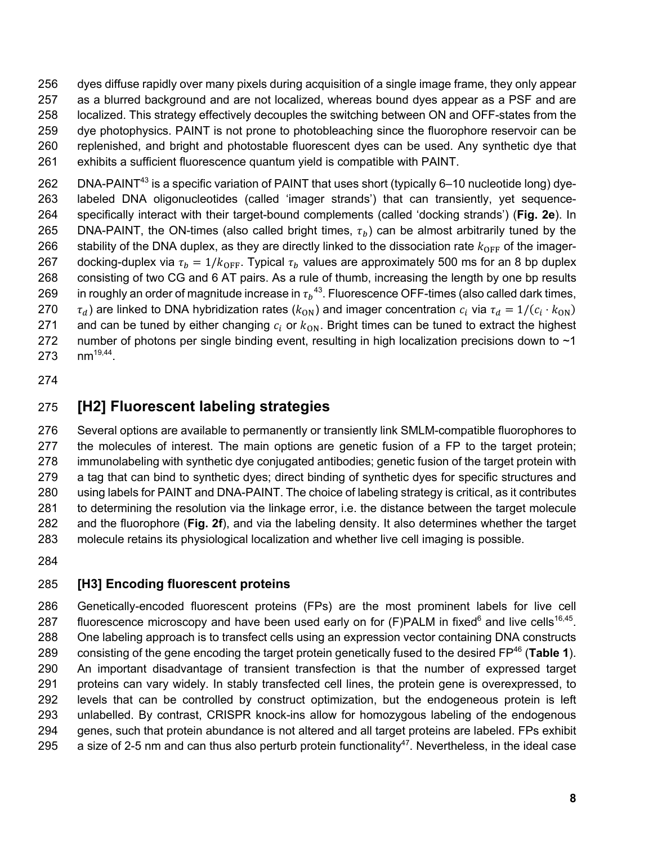dyes diffuse rapidly over many pixels during acquisition of a single image frame, they only appear as a blurred background and are not localized, whereas bound dyes appear as a PSF and are localized. This strategy effectively decouples the switching between ON and OFF-states from the dye photophysics. PAINT is not prone to photobleaching since the fluorophore reservoir can be replenished, and bright and photostable fluorescent dyes can be used. Any synthetic dye that exhibits a sufficient fluorescence quantum yield is compatible with PAINT.

262 DNA-PAINT<sup>43</sup> is a specific variation of PAINT that uses short (typically 6–10 nucleotide long) dye- labeled DNA oligonucleotides (called 'imager strands') that can transiently, yet sequence- specifically interact with their target-bound complements (called 'docking strands') (**Fig. 2e**). In 265 DNA-PAINT, the ON-times (also called bright times,  $\tau_b$ ) can be almost arbitrarily tuned by the 266 stability of the DNA duplex, as they are directly linked to the dissociation rate  $k_{\rm OFF}$  of the imager-267 docking-duplex via  $\tau_b = 1/k_{\text{OFF}}$ . Typical  $\tau_b$  values are approximately 500 ms for an 8 bp duplex consisting of two CG and 6 AT pairs. As a rule of thumb, increasing the length by one bp results  $\;\;$  in roughly an order of magnitude increase in  ${\tau_{b}}^{43}$ . Fluorescence OFF-times (also called dark times, 270  $\tau_d$ ) are linked to DNA hybridization rates ( $k_{ON}$ ) and imager concentration  $c_i$  via  $\tau_d = 1/(c_i \cdot k_{ON})$ 271 and can be tuned by either changing  $c_i$  or  $k_{ON}$ . Bright times can be tuned to extract the highest 272 number of photons per single binding event, resulting in high localization precisions down to  $\sim$ 1 273  $nm^{19,44}$ .

# **[H2] Fluorescent labeling strategies**

 Several options are available to permanently or transiently link SMLM-compatible fluorophores to 277 the molecules of interest. The main options are genetic fusion of a FP to the target protein; immunolabeling with synthetic dye conjugated antibodies; genetic fusion of the target protein with a tag that can bind to synthetic dyes; direct binding of synthetic dyes for specific structures and using labels for PAINT and DNA-PAINT. The choice of labeling strategy is critical, as it contributes to determining the resolution via the linkage error, i.e. the distance between the target molecule and the fluorophore (**Fig. 2f**), and via the labeling density. It also determines whether the target molecule retains its physiological localization and whether live cell imaging is possible.

#### **[H3] Encoding fluorescent proteins**

 Genetically-encoded fluorescent proteins (FPs) are the most prominent labels for live cell 287 fluorescence microscopy and have been used early on for  $(F)$ PALM in fixed<sup>6</sup> and live cells<sup>16,45</sup>. One labeling approach is to transfect cells using an expression vector containing DNA constructs 289 consisting of the gene encoding the target protein genetically fused to the desired FP<sup>46</sup> (Table 1). An important disadvantage of transient transfection is that the number of expressed target proteins can vary widely. In stably transfected cell lines, the protein gene is overexpressed, to levels that can be controlled by construct optimization, but the endogeneous protein is left unlabelled. By contrast, CRISPR knock-ins allow for homozygous labeling of the endogenous genes, such that protein abundance is not altered and all target proteins are labeled. FPs exhibit 295 a size of 2-5 nm and can thus also perturb protein functionality<sup>47</sup>. Nevertheless, in the ideal case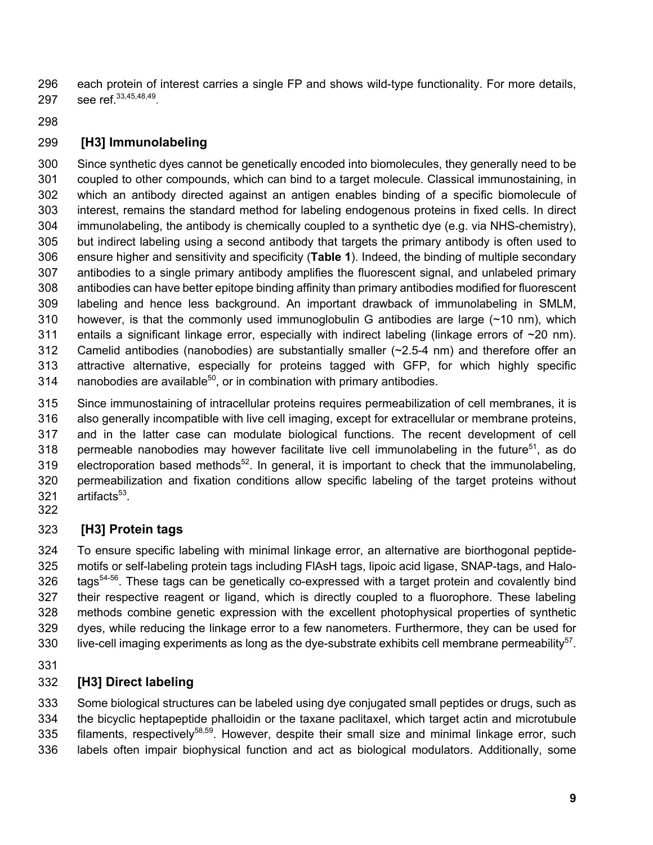each protein of interest carries a single FP and shows wild-type functionality. For more details, 297 see ref. 33,45,48,49.

# **[H3] Immunolabeling**

 Since synthetic dyes cannot be genetically encoded into biomolecules, they generally need to be coupled to other compounds, which can bind to a target molecule. Classical immunostaining, in which an antibody directed against an antigen enables binding of a specific biomolecule of interest, remains the standard method for labeling endogenous proteins in fixed cells. In direct immunolabeling, the antibody is chemically coupled to a synthetic dye (e.g. via NHS-chemistry), but indirect labeling using a second antibody that targets the primary antibody is often used to ensure higher and sensitivity and specificity (**Table 1**). Indeed, the binding of multiple secondary antibodies to a single primary antibody amplifies the fluorescent signal, and unlabeled primary antibodies can have better epitope binding affinity than primary antibodies modified for fluorescent labeling and hence less background. An important drawback of immunolabeling in SMLM, 310 however, is that the commonly used immunoglobulin G antibodies are large  $(\sim 10 \text{ nm})$ , which 311 entails a significant linkage error, especially with indirect labeling (linkage errors of ~20 nm). Camelid antibodies (nanobodies) are substantially smaller (~2.5-4 nm) and therefore offer an attractive alternative, especially for proteins tagged with GFP, for which highly specific 314 nanobodies are available, or in combination with primary antibodies.

 Since immunostaining of intracellular proteins requires permeabilization of cell membranes, it is also generally incompatible with live cell imaging, except for extracellular or membrane proteins, and in the latter case can modulate biological functions. The recent development of cell 318 permeable nanobodies may however facilitate live cell immunolabeling in the future<sup>51</sup>, as do 319 electroporation based methods<sup>52</sup>. In general, it is important to check that the immunolabeling, permeabilization and fixation conditions allow specific labeling of the target proteins without  $arti$ facts<sup>53</sup>.

# **[H3] Protein tags**

 To ensure specific labeling with minimal linkage error, an alternative are biorthogonal peptide- motifs or self-labeling protein tags including FlAsH tags, lipoic acid ligase, SNAP-tags, and Halo- tags<sup>54-56</sup>. These tags can be genetically co-expressed with a target protein and covalently bind their respective reagent or ligand, which is directly coupled to a fluorophore. These labeling methods combine genetic expression with the excellent photophysical properties of synthetic dyes, while reducing the linkage error to a few nanometers. Furthermore, they can be used for 330 live-cell imaging experiments as long as the dye-substrate exhibits cell membrane permeability<sup>57</sup>.

# **[H3] Direct labeling**

 Some biological structures can be labeled using dye conjugated small peptides or drugs, such as the bicyclic heptapeptide phalloidin or the taxane paclitaxel, which target actin and microtubule 335 filaments, respectively<sup>58,59</sup>. However, despite their small size and minimal linkage error, such labels often impair biophysical function and act as biological modulators. Additionally, some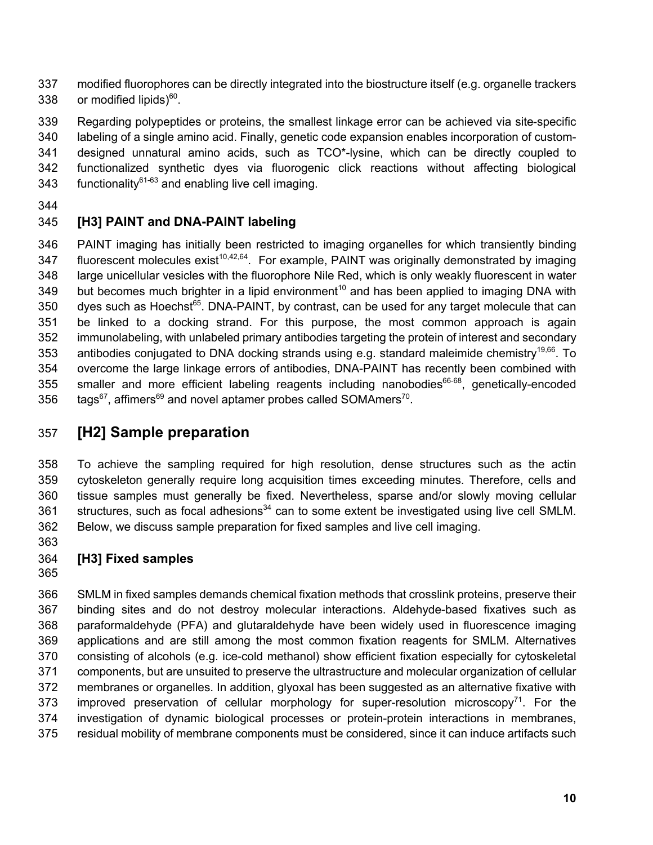modified fluorophores can be directly integrated into the biostructure itself (e.g. organelle trackers 338 or modified lipids).

 Regarding polypeptides or proteins, the smallest linkage error can be achieved via site-specific labeling of a single amino acid. Finally, genetic code expansion enables incorporation of custom- designed unnatural amino acids, such as TCO\*-lysine, which can be directly coupled to functionalized synthetic dyes via fluorogenic click reactions without affecting biological 343 functionality<sup>61-63</sup> and enabling live cell imaging.

# **[H3] PAINT and DNA-PAINT labeling**

 PAINT imaging has initially been restricted to imaging organelles for which transiently binding 347 fluorescent molecules exist<sup>10,42,64</sup>. For example, PAINT was originally demonstrated by imaging large unicellular vesicles with the fluorophore Nile Red, which is only weakly fluorescent in water 349 but becomes much brighter in a lipid environment<sup>10</sup> and has been applied to imaging DNA with dyes such as Hoechst<sup>65</sup>. DNA-PAINT, by contrast, can be used for any target molecule that can be linked to a docking strand. For this purpose, the most common approach is again immunolabeling, with unlabeled primary antibodies targeting the protein of interest and secondary 353 antibodies conjugated to DNA docking strands using e.g. standard maleimide chemistry<sup>19,66</sup>. To overcome the large linkage errors of antibodies, DNA-PAINT has recently been combined with 355 smaller and more efficient labeling reagents including nanobodies<sup>66-68</sup>, genetically-encoded  $\text{tags}^{67}$ , affimers<sup>69</sup> and novel aptamer probes called SOMAmers<sup>70</sup>.

# **[H2] Sample preparation**

 To achieve the sampling required for high resolution, dense structures such as the actin cytoskeleton generally require long acquisition times exceeding minutes. Therefore, cells and tissue samples must generally be fixed. Nevertheless, sparse and/or slowly moving cellular structures, such as focal adhesions<sup>34</sup> can to some extent be investigated using live cell SMLM. Below, we discuss sample preparation for fixed samples and live cell imaging.

- **[H3] Fixed samples**
- 

 SMLM in fixed samples demands chemical fixation methods that crosslink proteins, preserve their binding sites and do not destroy molecular interactions. Aldehyde-based fixatives such as paraformaldehyde (PFA) and glutaraldehyde have been widely used in fluorescence imaging applications and are still among the most common fixation reagents for SMLM. Alternatives consisting of alcohols (e.g. ice-cold methanol) show efficient fixation especially for cytoskeletal components, but are unsuited to preserve the ultrastructure and molecular organization of cellular membranes or organelles. In addition, glyoxal has been suggested as an alternative fixative with 373 improved preservation of cellular morphology for super-resolution microscopy<sup>71</sup>. For the investigation of dynamic biological processes or protein-protein interactions in membranes, residual mobility of membrane components must be considered, since it can induce artifacts such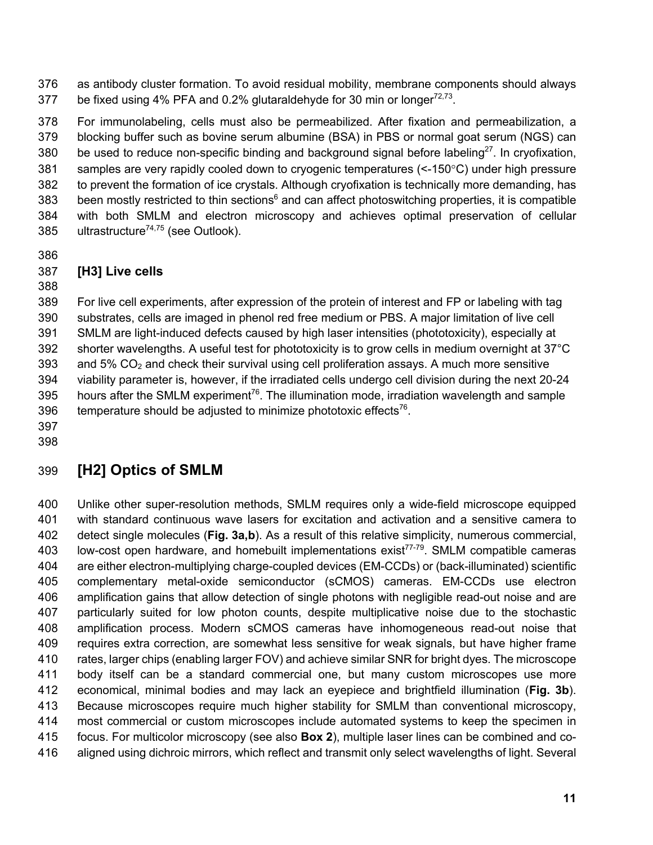as antibody cluster formation. To avoid residual mobility, membrane components should always 377 be fixed using 4% PFA and 0.2% glutaraldehyde for 30 min or longer $72,73$ .

 For immunolabeling, cells must also be permeabilized. After fixation and permeabilization, a blocking buffer such as bovine serum albumine (BSA) in PBS or normal goat serum (NGS) can 380 be used to reduce non-specific binding and background signal before labeling<sup>27</sup>. In cryofixation, samples are very rapidly cooled down to cryogenic temperatures (<-150°C) under high pressure to prevent the formation of ice crystals. Although cryofixation is technically more demanding, has 383 been mostly restricted to thin sections<sup>6</sup> and can affect photoswitching properties, it is compatible with both SMLM and electron microscopy and achieves optimal preservation of cellular 385 ultrastructure<sup>74,75</sup> (see Outlook).

## **[H3] Live cells**

 For live cell experiments, after expression of the protein of interest and FP or labeling with tag substrates, cells are imaged in phenol red free medium or PBS. A major limitation of live cell SMLM are light-induced defects caused by high laser intensities (phototoxicity), especially at shorter wavelengths. A useful test for phototoxicity is to grow cells in medium overnight at 37°C 393 and 5%  $CO<sub>2</sub>$  and check their survival using cell proliferation assays. A much more sensitive viability parameter is, however, if the irradiated cells undergo cell division during the next 20-24 395 hours after the SMLM experiment<sup>76</sup>. The illumination mode, irradiation wavelength and sample 396 temperature should be adjusted to minimize phototoxic effects<sup>76</sup>.

 

# **[H2] Optics of SMLM**

 Unlike other super-resolution methods, SMLM requires only a wide-field microscope equipped with standard continuous wave lasers for excitation and activation and a sensitive camera to detect single molecules (**Fig. 3a,b**). As a result of this relative simplicity, numerous commercial, 403 low-cost open hardware, and homebuilt implementations exist<sup> $77-79$ </sup>. SMLM compatible cameras are either electron-multiplying charge-coupled devices (EM-CCDs) or (back-illuminated) scientific complementary metal-oxide semiconductor (sCMOS) cameras. EM-CCDs use electron amplification gains that allow detection of single photons with negligible read-out noise and are particularly suited for low photon counts, despite multiplicative noise due to the stochastic amplification process. Modern sCMOS cameras have inhomogeneous read-out noise that requires extra correction, are somewhat less sensitive for weak signals, but have higher frame rates, larger chips (enabling larger FOV) and achieve similar SNR for bright dyes. The microscope body itself can be a standard commercial one, but many custom microscopes use more economical, minimal bodies and may lack an eyepiece and brightfield illumination (**Fig. 3b**). Because microscopes require much higher stability for SMLM than conventional microscopy, most commercial or custom microscopes include automated systems to keep the specimen in focus. For multicolor microscopy (see also **Box 2**), multiple laser lines can be combined and co-aligned using dichroic mirrors, which reflect and transmit only select wavelengths of light. Several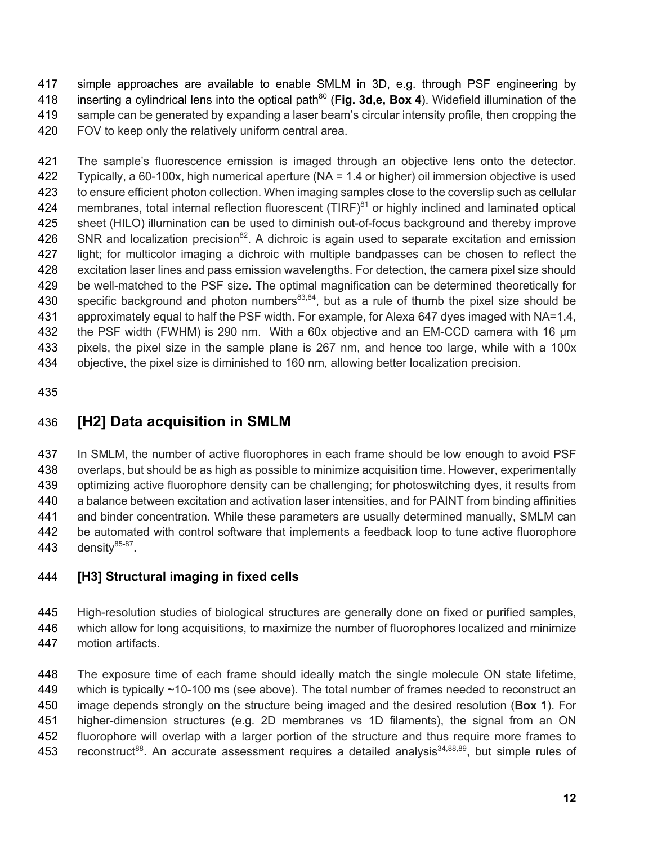simple approaches are available to enable SMLM in 3D, e.g. through PSF engineering by 418 inserting a cylindrical lens into the optical path<sup>80</sup> (Fig. 3d,e, Box 4). Widefield illumination of the sample can be generated by expanding a laser beam's circular intensity profile, then cropping the FOV to keep only the relatively uniform central area.

 The sample's fluorescence emission is imaged through an objective lens onto the detector. Typically, a 60-100x, high numerical aperture (NA = 1.4 or higher) oil immersion objective is used to ensure efficient photon collection. When imaging samples close to the coverslip such as cellular 424 membranes, total internal reflection fluorescent (TIRF)<sup>81</sup> or highly inclined and laminated optical 425 sheet (HILO) illumination can be used to diminish out-of-focus background and thereby improve 426 SNR and localization precision<sup>82</sup>. A dichroic is again used to separate excitation and emission light; for multicolor imaging a dichroic with multiple bandpasses can be chosen to reflect the excitation laser lines and pass emission wavelengths. For detection, the camera pixel size should be well-matched to the PSF size. The optimal magnification can be determined theoretically for 430 specific background and photon numbers<sup>83,84</sup>, but as a rule of thumb the pixel size should be approximately equal to half the PSF width. For example, for Alexa 647 dyes imaged with NA=1.4, the PSF width (FWHM) is 290 nm. With a 60x objective and an EM-CCD camera with 16 µm pixels, the pixel size in the sample plane is 267 nm, and hence too large, while with a 100x objective, the pixel size is diminished to 160 nm, allowing better localization precision.

# **[H2] Data acquisition in SMLM**

 In SMLM, the number of active fluorophores in each frame should be low enough to avoid PSF overlaps, but should be as high as possible to minimize acquisition time. However, experimentally optimizing active fluorophore density can be challenging; for photoswitching dyes, it results from a balance between excitation and activation laser intensities, and for PAINT from binding affinities and binder concentration. While these parameters are usually determined manually, SMLM can be automated with control software that implements a feedback loop to tune active fluorophore 443 density $85-87$ .

## **[H3] Structural imaging in fixed cells**

- High-resolution studies of biological structures are generally done on fixed or purified samples,
- which allow for long acquisitions, to maximize the number of fluorophores localized and minimize motion artifacts.

 The exposure time of each frame should ideally match the single molecule ON state lifetime, which is typically ~10-100 ms (see above). The total number of frames needed to reconstruct an image depends strongly on the structure being imaged and the desired resolution (**Box 1**). For higher-dimension structures (e.g. 2D membranes vs 1D filaments), the signal from an ON fluorophore will overlap with a larger portion of the structure and thus require more frames to 453 reconstruct<sup>88</sup>. An accurate assessment requires a detailed analysis<sup>34,88,89</sup>, but simple rules of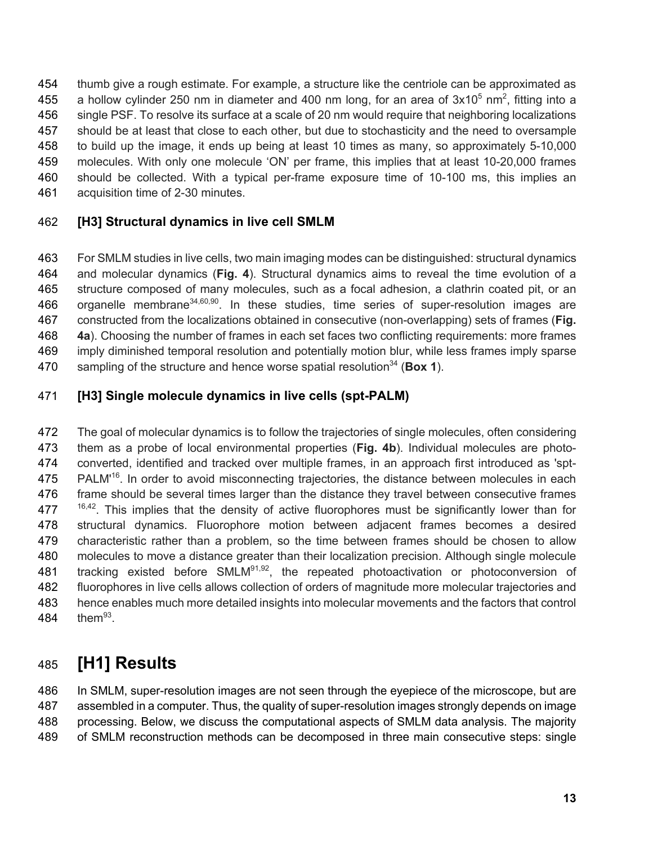thumb give a rough estimate. For example, a structure like the centriole can be approximated as 455 a hollow cylinder 250 nm in diameter and 400 nm long, for an area of  $3x10^5$  nm<sup>2</sup>, fitting into a single PSF. To resolve its surface at a scale of 20 nm would require that neighboring localizations should be at least that close to each other, but due to stochasticity and the need to oversample to build up the image, it ends up being at least 10 times as many, so approximately 5-10,000 molecules. With only one molecule 'ON' per frame, this implies that at least 10-20,000 frames should be collected. With a typical per-frame exposure time of 10-100 ms, this implies an acquisition time of 2-30 minutes.

#### **[H3] Structural dynamics in live cell SMLM**

 For SMLM studies in live cells, two main imaging modes can be distinguished: structural dynamics and molecular dynamics (**Fig. 4**). Structural dynamics aims to reveal the time evolution of a structure composed of many molecules, such as a focal adhesion, a clathrin coated pit, or an 466 organelle membrane<sup>34,60,90</sup>. In these studies, time series of super-resolution images are constructed from the localizations obtained in consecutive (non-overlapping) sets of frames (**Fig. 4a**). Choosing the number of frames in each set faces two conflicting requirements: more frames imply diminished temporal resolution and potentially motion blur, while less frames imply sparse 470 sampling of the structure and hence worse spatial resolution<sup>34</sup> (**Box 1**).

#### **[H3] Single molecule dynamics in live cells (spt-PALM)**

 The goal of molecular dynamics is to follow the trajectories of single molecules, often considering them as a probe of local environmental properties (**Fig. 4b**). Individual molecules are photo- converted, identified and tracked over multiple frames, in an approach first introduced as 'spt-475 PALM<sup>'16</sup>. In order to avoid misconnecting trajectories, the distance between molecules in each 476 frame should be several times larger than the distance they travel between consecutive frames  $16,42$ . This implies that the density of active fluorophores must be significantly lower than for structural dynamics. Fluorophore motion between adjacent frames becomes a desired characteristic rather than a problem, so the time between frames should be chosen to allow molecules to move a distance greater than their localization precision. Although single molecule 481 tracking existed before SMLM<sup>91,92</sup>, the repeated photoactivation or photoconversion of fluorophores in live cells allows collection of orders of magnitude more molecular trajectories and hence enables much more detailed insights into molecular movements and the factors that control 484 them.

# **[H1] Results**

 In SMLM, super-resolution images are not seen through the eyepiece of the microscope, but are assembled in a computer. Thus, the quality of super-resolution images strongly depends on image processing. Below, we discuss the computational aspects of SMLM data analysis. The majority of SMLM reconstruction methods can be decomposed in three main consecutive steps: single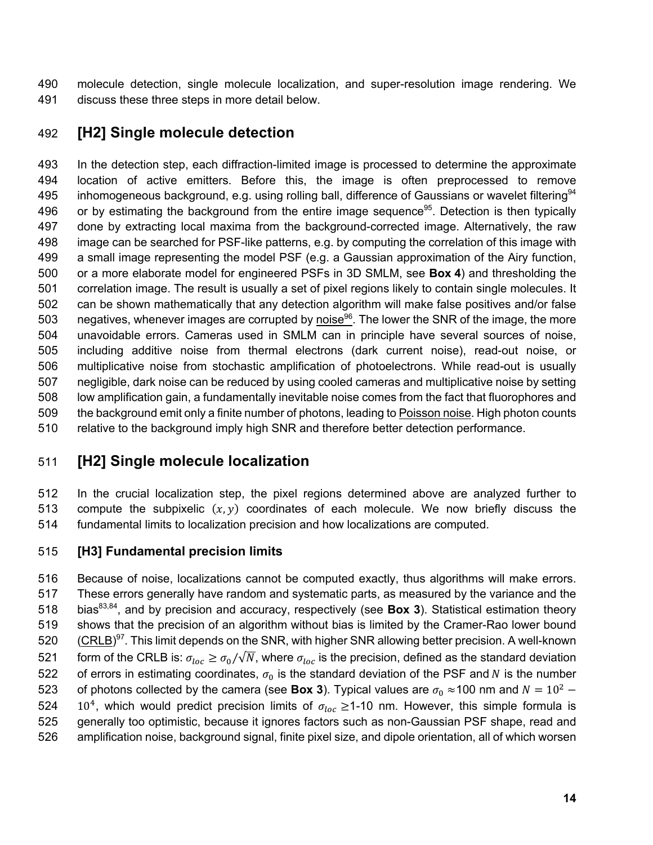molecule detection, single molecule localization, and super-resolution image rendering. We discuss these three steps in more detail below.

## **[H2] Single molecule detection**

 In the detection step, each diffraction-limited image is processed to determine the approximate location of active emitters. Before this, the image is often preprocessed to remove 495 inhomogeneous background, e.g. using rolling ball, difference of Gaussians or wavelet filtering<sup>94</sup> 496 or by estimating the background from the entire image sequence<sup>95</sup>. Detection is then typically done by extracting local maxima from the background-corrected image. Alternatively, the raw image can be searched for PSF-like patterns, e.g. by computing the correlation of this image with a small image representing the model PSF (e.g. a Gaussian approximation of the Airy function, or a more elaborate model for engineered PSFs in 3D SMLM, see **Box 4**) and thresholding the correlation image. The result is usually a set of pixel regions likely to contain single molecules. It can be shown mathematically that any detection algorithm will make false positives and/or false 503 negatives, whenever images are corrupted by noise<sup>96</sup>. The lower the SNR of the image, the more unavoidable errors. Cameras used in SMLM can in principle have several sources of noise, including additive noise from thermal electrons (dark current noise), read-out noise, or multiplicative noise from stochastic amplification of photoelectrons. While read-out is usually negligible, dark noise can be reduced by using cooled cameras and multiplicative noise by setting low amplification gain, a fundamentally inevitable noise comes from the fact that fluorophores and the background emit only a finite number of photons, leading to Poisson noise. High photon counts relative to the background imply high SNR and therefore better detection performance.

# **[H2] Single molecule localization**

 In the crucial localization step, the pixel regions determined above are analyzed further to 513 compute the subpixelic  $(x, y)$  coordinates of each molecule. We now briefly discuss the fundamental limits to localization precision and how localizations are computed.

#### **[H3] Fundamental precision limits**

 Because of noise, localizations cannot be computed exactly, thus algorithms will make errors. These errors generally have random and systematic parts, as measured by the variance and the 518 bias<sup>83,84</sup>, and by precision and accuracy, respectively (see **Box 3**). Statistical estimation theory shows that the precision of an algorithm without bias is limited by the Cramer-Rao lower bound 520 (CRLB)<sup>97</sup>. This limit depends on the SNR, with higher SNR allowing better precision. A well-known 521 form of the CRLB is:  $\sigma_{loc} \ge \sigma_0/\sqrt{N}$ , where  $\sigma_{loc}$  is the precision, defined as the standard deviation 522 of errors in estimating coordinates,  $\sigma_0$  is the standard deviation of the PSF and N is the number 523 of photons collected by the camera (see **Box 3**). Typical values are  $\sigma_0 \approx 100$  nm and  $N = 10^2$  – 524 10<sup>4</sup>, which would predict precision limits of  $\sigma_{loc} \ge 1$ -10 nm. However, this simple formula is generally too optimistic, because it ignores factors such as non-Gaussian PSF shape, read and amplification noise, background signal, finite pixel size, and dipole orientation, all of which worsen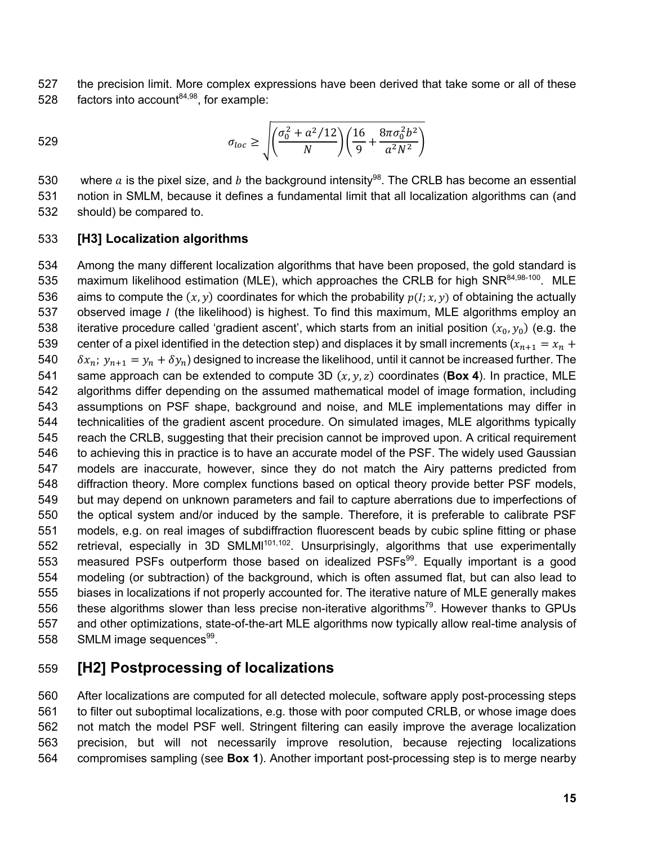the precision limit. More complex expressions have been derived that take some or all of these 528 factors into account $84,98$ , for example:

$$
529 \qquad \sigma_{loc} \ge \sqrt{\left(\frac{\sigma_0^2 + a^2/12}{N}\right)\left(\frac{16}{9} + \frac{8\pi\sigma_0^2b^2}{a^2N^2}\right)}
$$

530 where a is the pixel size, and b the background intensity<sup>98</sup>. The CRLB has become an essential notion in SMLM, because it defines a fundamental limit that all localization algorithms can (and should) be compared to.

#### **[H3] Localization algorithms**

 Among the many different localization algorithms that have been proposed, the gold standard is 535 maximum likelihood estimation (MLE), which approaches the CRLB for high SNR $84,98-100$ . MLE 536 aims to compute the  $(x, y)$  coordinates for which the probability  $p(I; x, y)$  of obtaining the actually 537 observed image *I* (the likelihood) is highest. To find this maximum, MLE algorithms employ an 538 iterative procedure called 'gradient ascent', which starts from an initial position  $(x_0, y_0)$  (e.g. the 539 center of a pixel identified in the detection step) and displaces it by small increments  $(x_{n+1} = x_n + y_n)$ 540  $\delta x_n$ ;  $y_{n+1} = y_n + \delta y_n$ ) designed to increase the likelihood, until it cannot be increased further. The 541 same approach can be extended to compute 3D  $(x, y, z)$  coordinates (**Box 4**). In practice, MLE algorithms differ depending on the assumed mathematical model of image formation, including assumptions on PSF shape, background and noise, and MLE implementations may differ in technicalities of the gradient ascent procedure. On simulated images, MLE algorithms typically reach the CRLB, suggesting that their precision cannot be improved upon. A critical requirement to achieving this in practice is to have an accurate model of the PSF. The widely used Gaussian models are inaccurate, however, since they do not match the Airy patterns predicted from diffraction theory. More complex functions based on optical theory provide better PSF models, but may depend on unknown parameters and fail to capture aberrations due to imperfections of the optical system and/or induced by the sample. Therefore, it is preferable to calibrate PSF models, e.g. on real images of subdiffraction fluorescent beads by cubic spline fitting or phase 552 retrieval, especially in 3D SMLMI<sup>101,102</sup>. Unsurprisingly, algorithms that use experimentally 553 measured PSFs outperform those based on idealized PSFs<sup>99</sup>. Equally important is a good modeling (or subtraction) of the background, which is often assumed flat, but can also lead to biases in localizations if not properly accounted for. The iterative nature of MLE generally makes 556 these algorithms slower than less precise non-iterative algorithms<sup>79</sup>. However thanks to GPUs and other optimizations, state-of-the-art MLE algorithms now typically allow real-time analysis of 558 SMLM image sequences<sup>99</sup>.

## **[H2] Postprocessing of localizations**

 After localizations are computed for all detected molecule, software apply post-processing steps to filter out suboptimal localizations, e.g. those with poor computed CRLB, or whose image does not match the model PSF well. Stringent filtering can easily improve the average localization precision, but will not necessarily improve resolution, because rejecting localizations compromises sampling (see **Box 1**). Another important post-processing step is to merge nearby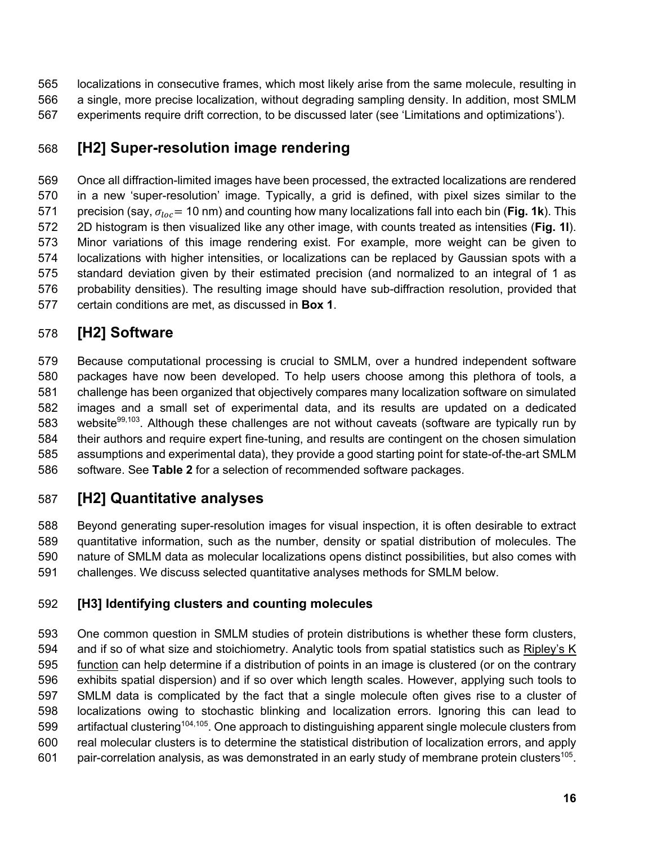localizations in consecutive frames, which most likely arise from the same molecule, resulting in a single, more precise localization, without degrading sampling density. In addition, most SMLM experiments require drift correction, to be discussed later (see 'Limitations and optimizations').

# **[H2] Super-resolution image rendering**

 Once all diffraction-limited images have been processed, the extracted localizations are rendered in a new 'super-resolution' image. Typically, a grid is defined, with pixel sizes similar to the 571 precision (say,  $\sigma_{loc}$  = 10 nm) and counting how many localizations fall into each bin (**Fig. 1k**). This 2D histogram is then visualized like any other image, with counts treated as intensities (**Fig. 1l**). Minor variations of this image rendering exist. For example, more weight can be given to localizations with higher intensities, or localizations can be replaced by Gaussian spots with a standard deviation given by their estimated precision (and normalized to an integral of 1 as probability densities). The resulting image should have sub-diffraction resolution, provided that certain conditions are met, as discussed in **Box 1**.

# **[H2] Software**

 Because computational processing is crucial to SMLM, over a hundred independent software packages have now been developed. To help users choose among this plethora of tools, a challenge has been organized that objectively compares many localization software on simulated images and a small set of experimental data, and its results are updated on a dedicated 583 website<sup>99,103</sup>. Although these challenges are not without caveats (software are typically run by their authors and require expert fine-tuning, and results are contingent on the chosen simulation assumptions and experimental data), they provide a good starting point for state-of-the-art SMLM software. See **Table 2** for a selection of recommended software packages.

# **[H2] Quantitative analyses**

 Beyond generating super-resolution images for visual inspection, it is often desirable to extract quantitative information, such as the number, density or spatial distribution of molecules. The nature of SMLM data as molecular localizations opens distinct possibilities, but also comes with challenges. We discuss selected quantitative analyses methods for SMLM below.

# **[H3] Identifying clusters and counting molecules**

 One common question in SMLM studies of protein distributions is whether these form clusters, and if so of what size and stoichiometry. Analytic tools from spatial statistics such as Ripley's K function can help determine if a distribution of points in an image is clustered (or on the contrary exhibits spatial dispersion) and if so over which length scales. However, applying such tools to SMLM data is complicated by the fact that a single molecule often gives rise to a cluster of localizations owing to stochastic blinking and localization errors. Ignoring this can lead to 599 artifactual clustering<sup>104,105</sup>. One approach to distinguishing apparent single molecule clusters from real molecular clusters is to determine the statistical distribution of localization errors, and apply 601 pair-correlation analysis, as was demonstrated in an early study of membrane protein clusters<sup>105</sup>.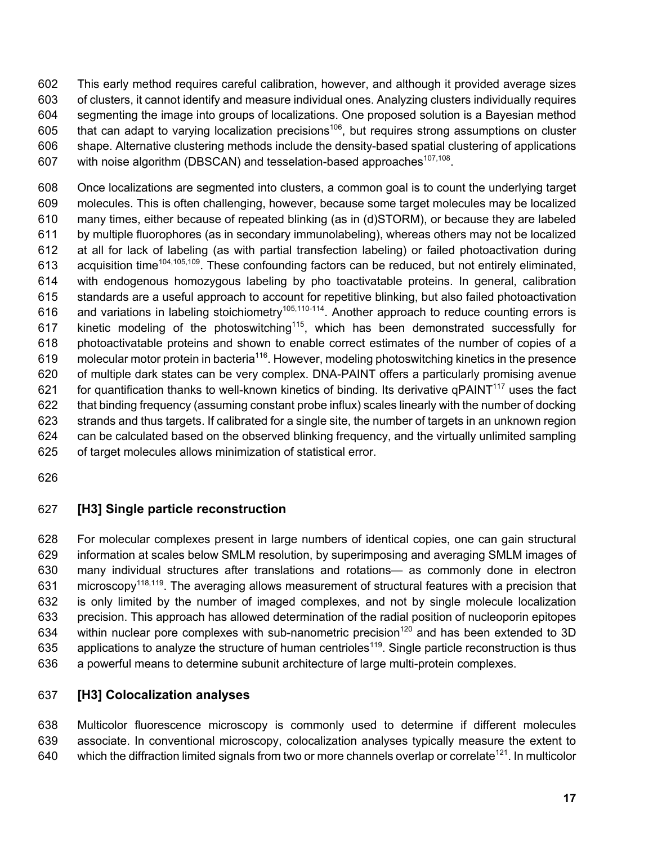This early method requires careful calibration, however, and although it provided average sizes of clusters, it cannot identify and measure individual ones. Analyzing clusters individually requires segmenting the image into groups of localizations. One proposed solution is a Bayesian method 605 that can adapt to varying localization precisions<sup>106</sup>, but requires strong assumptions on cluster shape. Alternative clustering methods include the density-based spatial clustering of applications 607 with noise algorithm (DBSCAN) and tesselation-based approaches<sup>107,108</sup>.

 Once localizations are segmented into clusters, a common goal is to count the underlying target molecules. This is often challenging, however, because some target molecules may be localized many times, either because of repeated blinking (as in (d)STORM), or because they are labeled by multiple fluorophores (as in secondary immunolabeling), whereas others may not be localized at all for lack of labeling (as with partial transfection labeling) or failed photoactivation during 613 acquisition time<sup>104,105,109</sup>. These confounding factors can be reduced, but not entirely eliminated, with endogenous homozygous labeling by pho toactivatable proteins. In general, calibration standards are a useful approach to account for repetitive blinking, but also failed photoactivation 616 and variations in labeling stoichiometry<sup>105,110-114</sup>. Another approach to reduce counting errors is 617 kinetic modeling of the photoswitching<sup>115</sup>, which has been demonstrated successfully for photoactivatable proteins and shown to enable correct estimates of the number of copies of a 619 molecular motor protein in bacteria<sup>116</sup>. However, modeling photoswitching kinetics in the presence of multiple dark states can be very complex. DNA-PAINT offers a particularly promising avenue 621 for quantification thanks to well-known kinetics of binding. Its derivative qPAINT<sup>117</sup> uses the fact that binding frequency (assuming constant probe influx) scales linearly with the number of docking strands and thus targets. If calibrated for a single site, the number of targets in an unknown region can be calculated based on the observed blinking frequency, and the virtually unlimited sampling of target molecules allows minimization of statistical error.

#### **[H3] Single particle reconstruction**

 For molecular complexes present in large numbers of identical copies, one can gain structural information at scales below SMLM resolution, by superimposing and averaging SMLM images of many individual structures after translations and rotations— as commonly done in electron 631 microscopy<sup>118,119</sup>. The averaging allows measurement of structural features with a precision that is only limited by the number of imaged complexes, and not by single molecule localization precision. This approach has allowed determination of the radial position of nucleoporin epitopes 634 within nuclear pore complexes with sub-nanometric precision<sup>120</sup> and has been extended to 3D 635 applications to analyze the structure of human centrioles<sup>119</sup>. Single particle reconstruction is thus a powerful means to determine subunit architecture of large multi-protein complexes.

#### **[H3] Colocalization analyses**

 Multicolor fluorescence microscopy is commonly used to determine if different molecules associate. In conventional microscopy, colocalization analyses typically measure the extent to 640 which the diffraction limited signals from two or more channels overlap or correlate<sup>121</sup>. In multicolor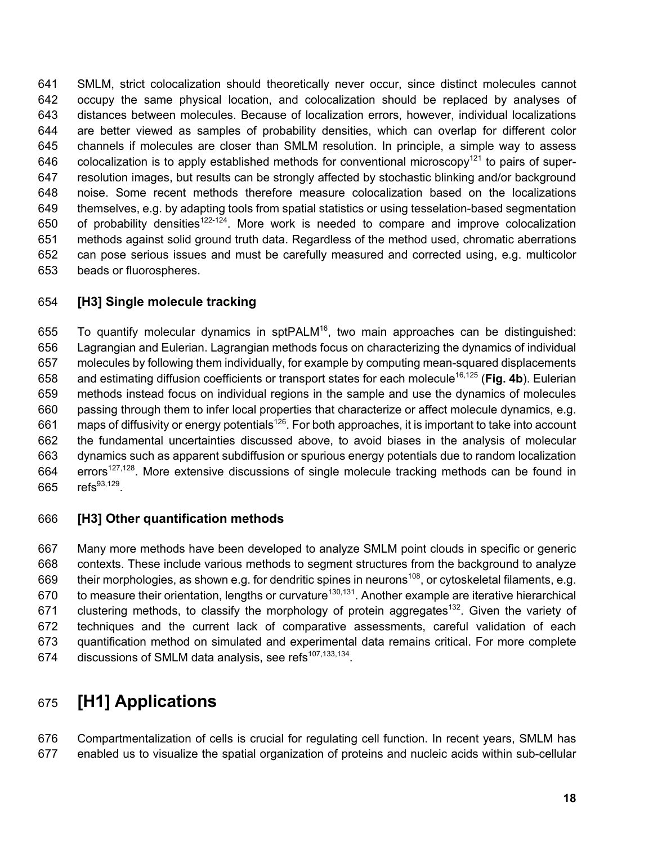SMLM, strict colocalization should theoretically never occur, since distinct molecules cannot occupy the same physical location, and colocalization should be replaced by analyses of distances between molecules. Because of localization errors, however, individual localizations are better viewed as samples of probability densities, which can overlap for different color channels if molecules are closer than SMLM resolution. In principle, a simple way to assess 646 colocalization is to apply established methods for conventional microscopy<sup>121</sup> to pairs of super- resolution images, but results can be strongly affected by stochastic blinking and/or background noise. Some recent methods therefore measure colocalization based on the localizations themselves, e.g. by adapting tools from spatial statistics or using tesselation-based segmentation 650 of probability densities<sup>122-124</sup>. More work is needed to compare and improve colocalization methods against solid ground truth data. Regardless of the method used, chromatic aberrations can pose serious issues and must be carefully measured and corrected using, e.g. multicolor beads or fluorospheres.

#### **[H3] Single molecule tracking**

655 To quantify molecular dynamics in spt $PALM^{16}$ , two main approaches can be distinguished: Lagrangian and Eulerian. Lagrangian methods focus on characterizing the dynamics of individual molecules by following them individually, for example by computing mean-squared displacements 658 and estimating diffusion coefficients or transport states for each molecule<sup>16,125</sup> (Fig. 4b). Eulerian methods instead focus on individual regions in the sample and use the dynamics of molecules passing through them to infer local properties that characterize or affect molecule dynamics, e.g. 661 maps of diffusivity or energy potentials<sup>126</sup>. For both approaches, it is important to take into account the fundamental uncertainties discussed above, to avoid biases in the analysis of molecular dynamics such as apparent subdiffusion or spurious energy potentials due to random localization errors<sup>127,128</sup>. More extensive discussions of single molecule tracking methods can be found in 665 refs<sup>93,129</sup>.

#### **[H3] Other quantification methods**

 Many more methods have been developed to analyze SMLM point clouds in specific or generic contexts. These include various methods to segment structures from the background to analyze 669 their morphologies, as shown e.g. for dendritic spines in neurons<sup>108</sup>, or cytoskeletal filaments, e.g. 670 to measure their orientation, lengths or curvature<sup>130,131</sup>. Another example are iterative hierarchical 671 clustering methods, to classify the morphology of protein aggregates<sup>132</sup>. Given the variety of techniques and the current lack of comparative assessments, careful validation of each quantification method on simulated and experimental data remains critical. For more complete 674 discussions of SMLM data analysis, see refs $107,133,134$ .

# **[H1] Applications**

 Compartmentalization of cells is crucial for regulating cell function. In recent years, SMLM has enabled us to visualize the spatial organization of proteins and nucleic acids within sub-cellular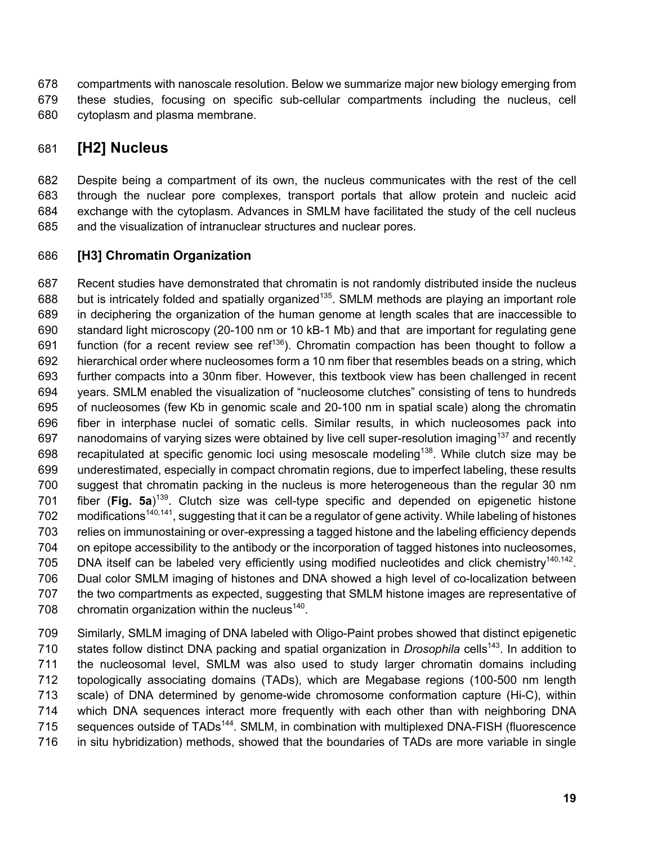compartments with nanoscale resolution. Below we summarize major new biology emerging from these studies, focusing on specific sub-cellular compartments including the nucleus, cell

cytoplasm and plasma membrane.

## **[H2] Nucleus**

 Despite being a compartment of its own, the nucleus communicates with the rest of the cell through the nuclear pore complexes, transport portals that allow protein and nucleic acid exchange with the cytoplasm. Advances in SMLM have facilitated the study of the cell nucleus and the visualization of intranuclear structures and nuclear pores.

#### **[H3] Chromatin Organization**

 Recent studies have demonstrated that chromatin is not randomly distributed inside the nucleus 688 but is intricately folded and spatially organized<sup>135</sup>. SMLM methods are playing an important role in deciphering the organization of the human genome at length scales that are inaccessible to standard light microscopy (20-100 nm or 10 kB-1 Mb) and that are important for regulating gene 691 function (for a recent review see ref<sup>136</sup>). Chromatin compaction has been thought to follow a hierarchical order where nucleosomes form a 10 nm fiber that resembles beads on a string, which further compacts into a 30nm fiber. However, this textbook view has been challenged in recent years. SMLM enabled the visualization of "nucleosome clutches" consisting of tens to hundreds of nucleosomes (few Kb in genomic scale and 20-100 nm in spatial scale) along the chromatin fiber in interphase nuclei of somatic cells. Similar results, in which nucleosomes pack into 697 nanodomains of varying sizes were obtained by live cell super-resolution imaging<sup>137</sup> and recently 698 recapitulated at specific genomic loci using mesoscale modeling<sup>138</sup>. While clutch size may be underestimated, especially in compact chromatin regions, due to imperfect labeling, these results suggest that chromatin packing in the nucleus is more heterogeneous than the regular 30 nm 701 fiber (Fig. 5a)<sup>139</sup>. Clutch size was cell-type specific and depended on epigenetic histone 702 modifications<sup>140,141</sup>, suggesting that it can be a regulator of gene activity. While labeling of histones relies on immunostaining or over-expressing a tagged histone and the labeling efficiency depends on epitope accessibility to the antibody or the incorporation of tagged histones into nucleosomes, 705 DNA itself can be labeled very efficiently using modified nucleotides and click chemistry<sup>140,142</sup>. Dual color SMLM imaging of histones and DNA showed a high level of co-localization between the two compartments as expected, suggesting that SMLM histone images are representative of 708 chromatin organization within the nucleus<sup>140</sup>.

 Similarly, SMLM imaging of DNA labeled with Oligo-Paint probes showed that distinct epigenetic 710 states follow distinct DNA packing and spatial organization in *Drosophila* cells<sup>143</sup>. In addition to the nucleosomal level, SMLM was also used to study larger chromatin domains including topologically associating domains (TADs), which are Megabase regions (100-500 nm length scale) of DNA determined by genome-wide chromosome conformation capture (Hi-C), within which DNA sequences interact more frequently with each other than with neighboring DNA 715 sequences outside of TADs<sup>144</sup>. SMLM, in combination with multiplexed DNA-FISH (fluorescence in situ hybridization) methods, showed that the boundaries of TADs are more variable in single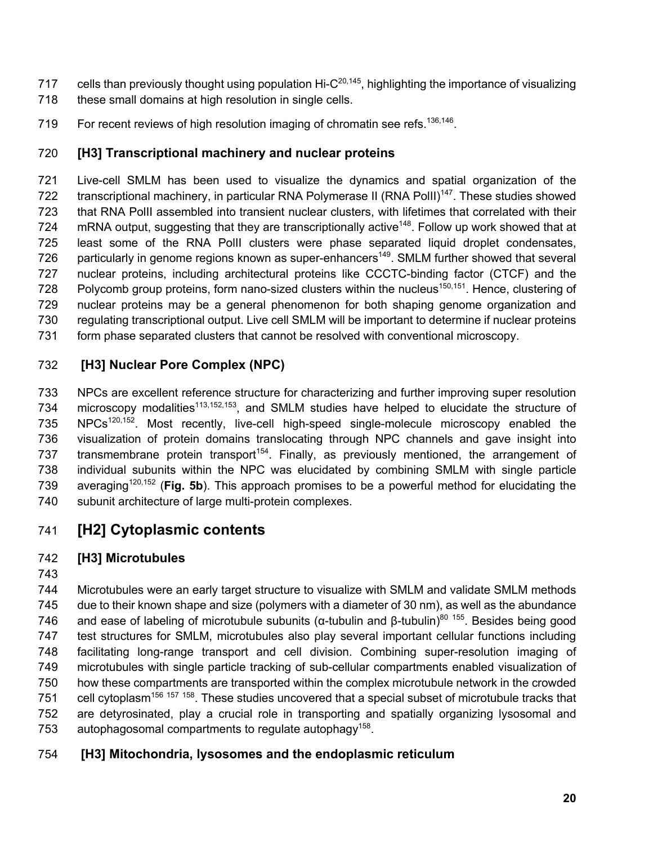- 717 cells than previously thought using population Hi- $C^{20,145}$ , highlighting the importance of visualizing 718 these small domains at high resolution in single cells.
- 719 For recent reviews of high resolution imaging of chromatin see refs.<sup>136,146</sup>.

#### **[H3] Transcriptional machinery and nuclear proteins**

 Live-cell SMLM has been used to visualize the dynamics and spatial organization of the 722 transcriptional machinery, in particular RNA Polymerase II (RNA PollI)<sup>147</sup>. These studies showed that RNA PolII assembled into transient nuclear clusters, with lifetimes that correlated with their 724 mRNA output, suggesting that they are transcriptionally active<sup>148</sup>. Follow up work showed that at least some of the RNA PolII clusters were phase separated liquid droplet condensates, 726 particularly in genome regions known as super-enhancers<sup>149</sup>. SMLM further showed that several nuclear proteins, including architectural proteins like CCCTC-binding factor (CTCF) and the 728 Polycomb group proteins, form nano-sized clusters within the nucleus<sup>150,151</sup>. Hence, clustering of nuclear proteins may be a general phenomenon for both shaping genome organization and regulating transcriptional output. Live cell SMLM will be important to determine if nuclear proteins form phase separated clusters that cannot be resolved with conventional microscopy.

## **[H3] Nuclear Pore Complex (NPC)**

 NPCs are excellent reference structure for characterizing and further improving super resolution 734 microscopy modalities<sup>113,152,153</sup>, and SMLM studies have helped to elucidate the structure of 735 NPCs<sup>120,152</sup>. Most recently, live-cell high-speed single-molecule microscopy enabled the visualization of protein domains translocating through NPC channels and gave insight into 737 transmembrane protein transport<sup>154</sup>. Finally, as previously mentioned, the arrangement of individual subunits within the NPC was elucidated by combining SMLM with single particle averaging120,152 (**Fig. 5b**). This approach promises to be a powerful method for elucidating the subunit architecture of large multi-protein complexes.

# **[H2] Cytoplasmic contents**

#### **[H3] Microtubules**

 Microtubules were an early target structure to visualize with SMLM and validate SMLM methods due to their known shape and size (polymers with a diameter of 30 nm), as well as the abundance 746 and ease of labeling of microtubule subunits (α-tubulin and β-tubulin)<sup>80 155</sup>. Besides being good test structures for SMLM, microtubules also play several important cellular functions including facilitating long-range transport and cell division. Combining super-resolution imaging of microtubules with single particle tracking of sub-cellular compartments enabled visualization of how these compartments are transported within the complex microtubule network in the crowded 751 cell cytoplasm<sup>156</sup> <sup>157</sup> <sup>158</sup>. These studies uncovered that a special subset of microtubule tracks that are detyrosinated, play a crucial role in transporting and spatially organizing lysosomal and 753 autophagosomal compartments to regulate autophagy<sup>158</sup>.

## **[H3] Mitochondria, lysosomes and the endoplasmic reticulum**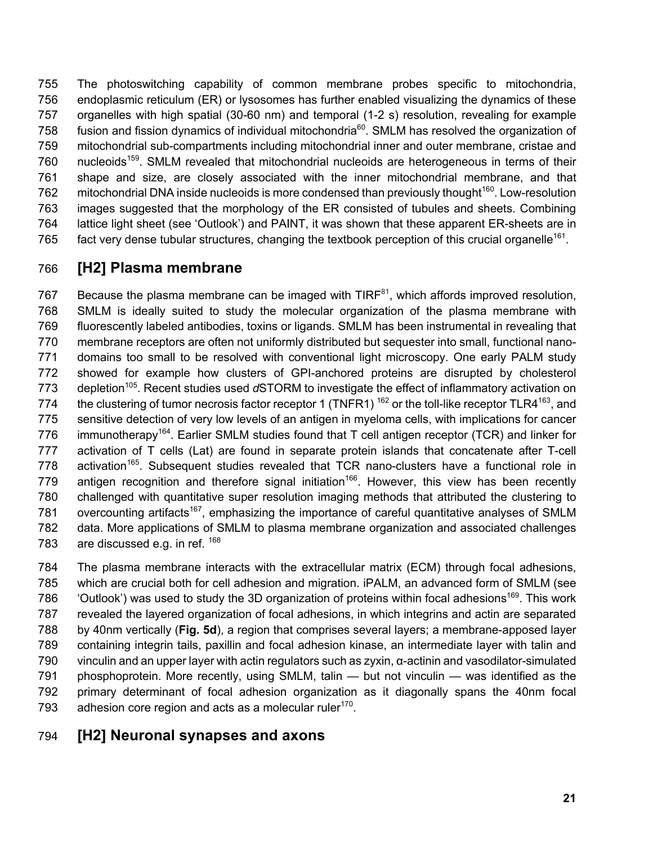The photoswitching capability of common membrane probes specific to mitochondria, endoplasmic reticulum (ER) or lysosomes has further enabled visualizing the dynamics of these organelles with high spatial (30-60 nm) and temporal (1-2 s) resolution, revealing for example 758 fusion and fission dynamics of individual mitochondria<sup>60</sup>. SMLM has resolved the organization of mitochondrial sub-compartments including mitochondrial inner and outer membrane, cristae and 760 nucleoids<sup>159</sup>. SMLM revealed that mitochondrial nucleoids are heterogeneous in terms of their shape and size, are closely associated with the inner mitochondrial membrane, and that 762 mitochondrial DNA inside nucleoids is more condensed than previously thought<sup>160</sup>. Low-resolution images suggested that the morphology of the ER consisted of tubules and sheets. Combining lattice light sheet (see 'Outlook') and PAINT, it was shown that these apparent ER-sheets are in 765 fact very dense tubular structures, changing the textbook perception of this crucial organelle<sup>161</sup>.

# **[H2] Plasma membrane**

767 Because the plasma membrane can be imaged with TIRF $^{81}$ , which affords improved resolution, SMLM is ideally suited to study the molecular organization of the plasma membrane with fluorescently labeled antibodies, toxins or ligands. SMLM has been instrumental in revealing that membrane receptors are often not uniformly distributed but sequester into small, functional nano- domains too small to be resolved with conventional light microscopy. One early PALM study showed for example how clusters of GPI-anchored proteins are disrupted by cholesterol 773 depletion<sup>105</sup>. Recent studies used dSTORM to investigate the effect of inflammatory activation on 774 the clustering of tumor necrosis factor receptor 1 (TNFR1)  $^{162}$  or the toll-like receptor TLR4 $^{163}$ , and sensitive detection of very low levels of an antigen in myeloma cells, with implications for cancer 776 immunotherapy<sup>164</sup>. Earlier SMLM studies found that T cell antigen receptor (TCR) and linker for activation of T cells (Lat) are found in separate protein islands that concatenate after T-cell activation<sup>165</sup>. Subsequent studies revealed that TCR nano-clusters have a functional role in 779 antigen recognition and therefore signal initiation<sup>166</sup>. However, this view has been recently challenged with quantitative super resolution imaging methods that attributed the clustering to 781 overcounting artifacts<sup>167</sup>, emphasizing the importance of careful quantitative analyses of SMLM data. More applications of SMLM to plasma membrane organization and associated challenges 783 are discussed e.g. in ref.

 The plasma membrane interacts with the extracellular matrix (ECM) through focal adhesions, which are crucial both for cell adhesion and migration. iPALM, an advanced form of SMLM (see  $\degree$  'Outlook') was used to study the 3D organization of proteins within focal adhesions<sup>169</sup>. This work revealed the layered organization of focal adhesions, in which integrins and actin are separated by 40nm vertically (**Fig. 5d**), a region that comprises several layers; a membrane-apposed layer containing integrin tails, paxillin and focal adhesion kinase, an intermediate layer with talin and vinculin and an upper layer with actin regulators such as zyxin, α-actinin and vasodilator-simulated 791 phosphoprotein. More recently, using SMLM, talin — but not vinculin — was identified as the primary determinant of focal adhesion organization as it diagonally spans the 40nm focal 793 adhesion core region and acts as a molecular ruler<sup>170</sup>.

# **[H2] Neuronal synapses and axons**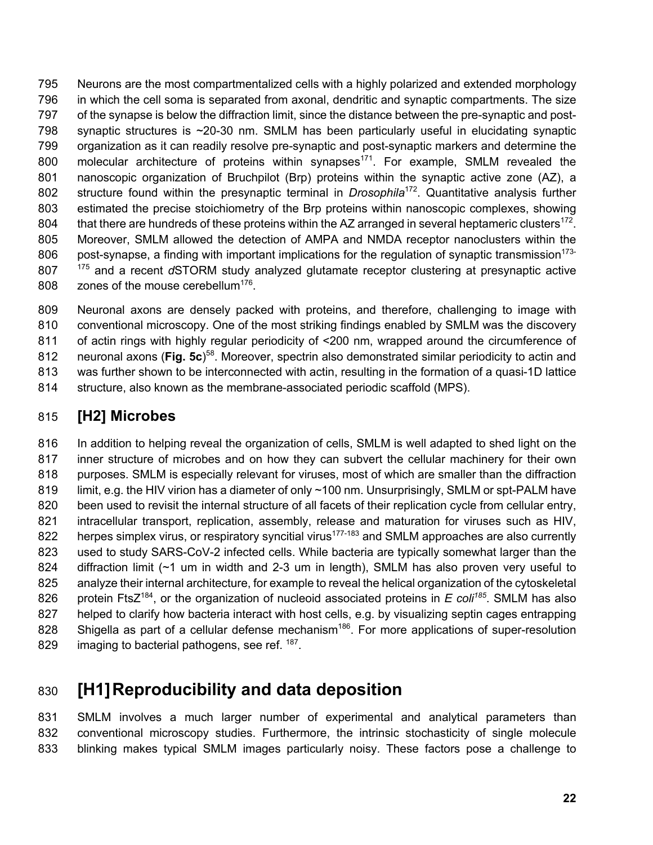Neurons are the most compartmentalized cells with a highly polarized and extended morphology in which the cell soma is separated from axonal, dendritic and synaptic compartments. The size of the synapse is below the diffraction limit, since the distance between the pre-synaptic and post-798 synaptic structures is ~20-30 nm. SMLM has been particularly useful in elucidating synaptic organization as it can readily resolve pre-synaptic and post-synaptic markers and determine the 800 molecular architecture of proteins within synapses<sup>171</sup>. For example, SMLM revealed the nanoscopic organization of Bruchpilot (Brp) proteins within the synaptic active zone (AZ), a 802 structure found within the presynaptic terminal in *Drosophila*<sup>172</sup>. Quantitative analysis further estimated the precise stoichiometry of the Brp proteins within nanoscopic complexes, showing 804 that there are hundreds of these proteins within the AZ arranged in several heptameric clusters<sup>172</sup>. Moreover, SMLM allowed the detection of AMPA and NMDA receptor nanoclusters within the 806 post-synapse, a finding with important implications for the regulation of synaptic transmission<sup>173-</sup> and a recent *d*STORM study analyzed glutamate receptor clustering at presynaptic active  $\,$  zones of the mouse cerebellum<sup>176</sup>.

 Neuronal axons are densely packed with proteins, and therefore, challenging to image with conventional microscopy. One of the most striking findings enabled by SMLM was the discovery of actin rings with highly regular periodicity of <200 nm, wrapped around the circumference of 812 neuronal axons (Fig. 5c)<sup>58</sup>. Moreover, spectrin also demonstrated similar periodicity to actin and was further shown to be interconnected with actin, resulting in the formation of a quasi-1D lattice structure, also known as the membrane-associated periodic scaffold (MPS).

# **[H2] Microbes**

 In addition to helping reveal the organization of cells, SMLM is well adapted to shed light on the inner structure of microbes and on how they can subvert the cellular machinery for their own purposes. SMLM is especially relevant for viruses, most of which are smaller than the diffraction 819 limit, e.g. the HIV virion has a diameter of only ~100 nm. Unsurprisingly, SMLM or spt-PALM have 820 been used to revisit the internal structure of all facets of their replication cycle from cellular entry, intracellular transport, replication, assembly, release and maturation for viruses such as HIV, 822 herpes simplex virus, or respiratory syncitial virus<sup>177-183</sup> and SMLM approaches are also currently used to study SARS-CoV-2 infected cells. While bacteria are typically somewhat larger than the diffraction limit (~1 um in width and 2-3 um in length), SMLM has also proven very useful to analyze their internal architecture, for example to reveal the helical organization of the cytoskeletal 826 protein FtsZ<sup>184</sup>, or the organization of nucleoid associated proteins in *E coli<sup>185</sup>*. SMLM has also helped to clarify how bacteria interact with host cells, e.g. by visualizing septin cages entrapping 828 Shigella as part of a cellular defense mechanism<sup>186</sup>. For more applications of super-resolution 829 imaging to bacterial pathogens, see ref. .

# **[H1]Reproducibility and data deposition**

 SMLM involves a much larger number of experimental and analytical parameters than conventional microscopy studies. Furthermore, the intrinsic stochasticity of single molecule blinking makes typical SMLM images particularly noisy. These factors pose a challenge to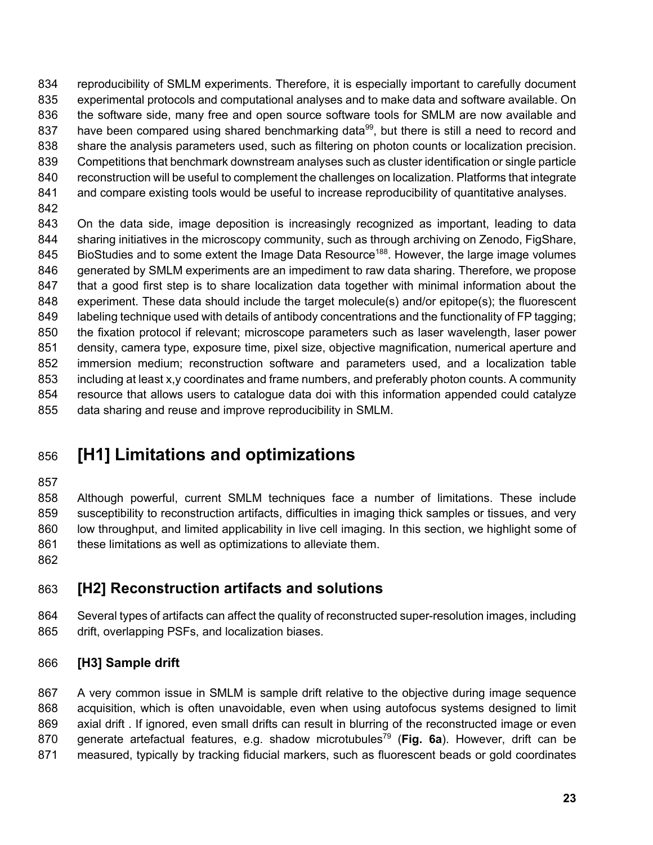834 reproducibility of SMLM experiments. Therefore, it is especially important to carefully document experimental protocols and computational analyses and to make data and software available. On the software side, many free and open source software tools for SMLM are now available and 837 have been compared using shared benchmarking data<sup>99</sup>, but there is still a need to record and share the analysis parameters used, such as filtering on photon counts or localization precision. Competitions that benchmark downstream analyses such as cluster identification or single particle reconstruction will be useful to complement the challenges on localization. Platforms that integrate 841 and compare existing tools would be useful to increase reproducibility of quantitative analyses.

843 On the data side, image deposition is increasingly recognized as important, leading to data sharing initiatives in the microscopy community, such as through archiving on Zenodo, FigShare, 845 BioStudies and to some extent the Image Data Resource<sup>188</sup>. However, the large image volumes 846 generated by SMLM experiments are an impediment to raw data sharing. Therefore, we propose that a good first step is to share localization data together with minimal information about the experiment. These data should include the target molecule(s) and/or epitope(s); the fluorescent 849 labeling technique used with details of antibody concentrations and the functionality of FP tagging; the fixation protocol if relevant; microscope parameters such as laser wavelength, laser power density, camera type, exposure time, pixel size, objective magnification, numerical aperture and immersion medium; reconstruction software and parameters used, and a localization table 853 including at least x,y coordinates and frame numbers, and preferably photon counts. A community resource that allows users to catalogue data doi with this information appended could catalyze data sharing and reuse and improve reproducibility in SMLM.

# **[H1] Limitations and optimizations**

 Although powerful, current SMLM techniques face a number of limitations. These include susceptibility to reconstruction artifacts, difficulties in imaging thick samples or tissues, and very low throughput, and limited applicability in live cell imaging. In this section, we highlight some of 861 these limitations as well as optimizations to alleviate them.

# **[H2] Reconstruction artifacts and solutions**

 Several types of artifacts can affect the quality of reconstructed super-resolution images, including drift, overlapping PSFs, and localization biases.

#### **[H3] Sample drift**

 A very common issue in SMLM is sample drift relative to the objective during image sequence acquisition, which is often unavoidable, even when using autofocus systems designed to limit 869 axial drift . If ignored, even small drifts can result in blurring of the reconstructed image or even 870 generate artefactual features, e.g. shadow microtubules<sup>79</sup> (Fig. 6a). However, drift can be measured, typically by tracking fiducial markers, such as fluorescent beads or gold coordinates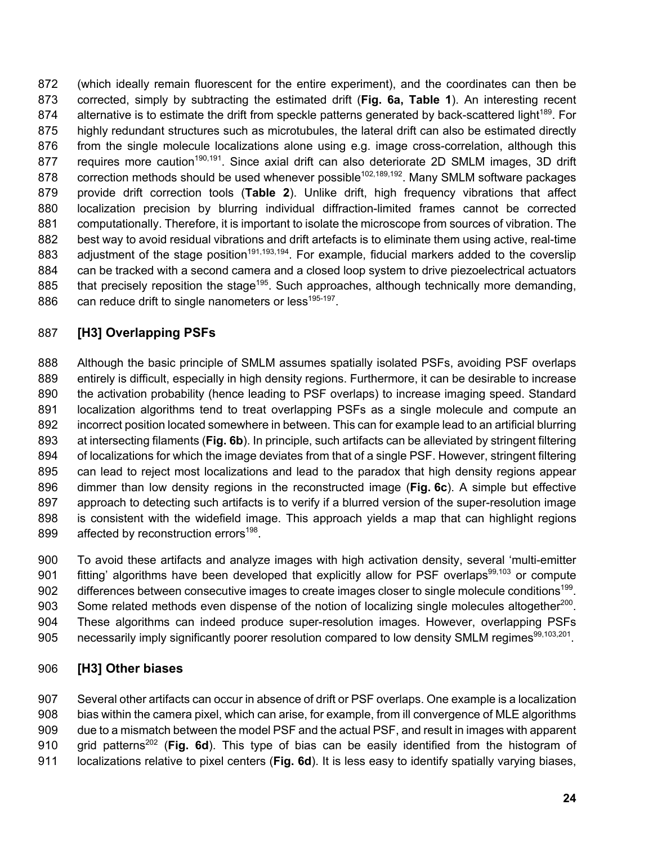(which ideally remain fluorescent for the entire experiment), and the coordinates can then be corrected, simply by subtracting the estimated drift (**Fig. 6a, Table 1**). An interesting recent 874 alternative is to estimate the drift from speckle patterns generated by back-scattered light<sup>189</sup>. For highly redundant structures such as microtubules, the lateral drift can also be estimated directly 876 from the single molecule localizations alone using e.g. image cross-correlation, although this 877 requires more caution<sup>190,191</sup>. Since axial drift can also deteriorate 2D SMLM images, 3D drift 878 correction methods should be used whenever possible<sup>102,189,192</sup>. Many SMLM software packages provide drift correction tools (**Table 2**). Unlike drift, high frequency vibrations that affect localization precision by blurring individual diffraction-limited frames cannot be corrected computationally. Therefore, it is important to isolate the microscope from sources of vibration. The best way to avoid residual vibrations and drift artefacts is to eliminate them using active, real-time 883 adjustment of the stage position<sup>191,193,194</sup>. For example, fiducial markers added to the coverslip 884 can be tracked with a second camera and a closed loop system to drive piezoelectrical actuators 885 that precisely reposition the stage<sup>195</sup>. Such approaches, although technically more demanding, 886  $\cdot$  can reduce drift to single nanometers or less<sup>195-197</sup>.

## **[H3] Overlapping PSFs**

 Although the basic principle of SMLM assumes spatially isolated PSFs, avoiding PSF overlaps entirely is difficult, especially in high density regions. Furthermore, it can be desirable to increase the activation probability (hence leading to PSF overlaps) to increase imaging speed. Standard localization algorithms tend to treat overlapping PSFs as a single molecule and compute an incorrect position located somewhere in between. This can for example lead to an artificial blurring at intersecting filaments (**Fig. 6b**). In principle, such artifacts can be alleviated by stringent filtering of localizations for which the image deviates from that of a single PSF. However, stringent filtering can lead to reject most localizations and lead to the paradox that high density regions appear dimmer than low density regions in the reconstructed image (**Fig. 6c**). A simple but effective 897 approach to detecting such artifacts is to verify if a blurred version of the super-resolution image is consistent with the widefield image. This approach yields a map that can highlight regions 899 affected by reconstruction errors<sup>198</sup>.

 To avoid these artifacts and analyze images with high activation density, several 'multi-emitter 901 fitting' algorithms have been developed that explicitly allow for PSF overlaps<sup>99,103</sup> or compute 902 differences between consecutive images to create images closer to single molecule conditions<sup>199</sup>. 903 Some related methods even dispense of the notion of localizing single molecules altogether<sup>200</sup>. These algorithms can indeed produce super-resolution images. However, overlapping PSFs 905 necessarily imply significantly poorer resolution compared to low density SMLM regimes $99,103,201$ .

#### **[H3] Other biases**

 Several other artifacts can occur in absence of drift or PSF overlaps. One example is a localization bias within the camera pixel, which can arise, for example, from ill convergence of MLE algorithms due to a mismatch between the model PSF and the actual PSF, and result in images with apparent 910 grid patterns<sup>202</sup> (**Fig. 6d**). This type of bias can be easily identified from the histogram of localizations relative to pixel centers (**Fig. 6d**). It is less easy to identify spatially varying biases,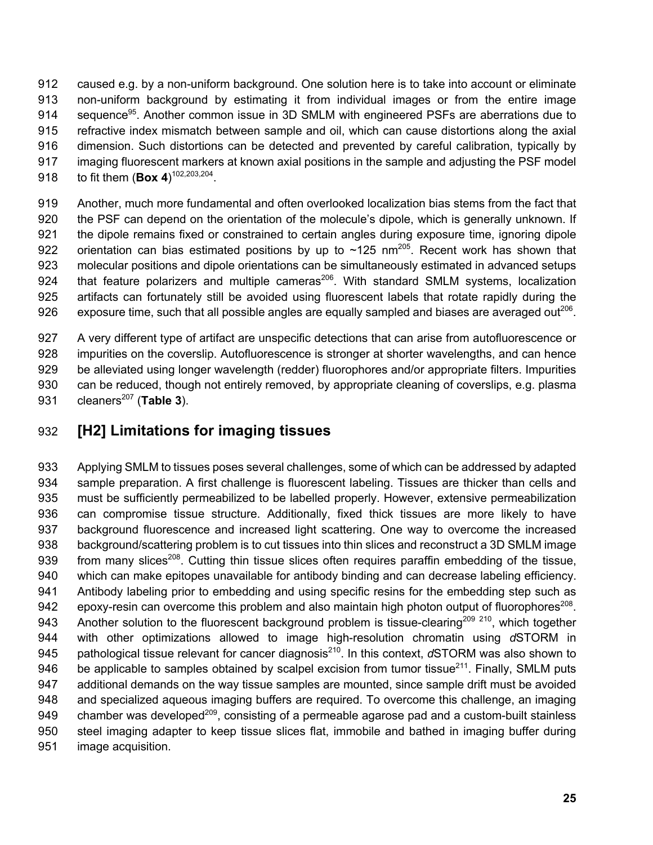caused e.g. by a non-uniform background. One solution here is to take into account or eliminate non-uniform background by estimating it from individual images or from the entire image 914 sequence<sup>95</sup>. Another common issue in 3D SMLM with engineered PSFs are aberrations due to refractive index mismatch between sample and oil, which can cause distortions along the axial dimension. Such distortions can be detected and prevented by careful calibration, typically by imaging fluorescent markers at known axial positions in the sample and adjusting the PSF model 918 to fit them  $(Box 4)^{102,203,204}$ .

 Another, much more fundamental and often overlooked localization bias stems from the fact that the PSF can depend on the orientation of the molecule's dipole, which is generally unknown. If the dipole remains fixed or constrained to certain angles during exposure time, ignoring dipole 922 orientation can bias estimated positions by up to  $\sim$ 125 nm<sup>205</sup>. Recent work has shown that molecular positions and dipole orientations can be simultaneously estimated in advanced setups 924 that feature polarizers and multiple cameras $^{206}$ . With standard SMLM systems, localization artifacts can fortunately still be avoided using fluorescent labels that rotate rapidly during the 926 exposure time, such that all possible angles are equally sampled and biases are averaged out<sup>206</sup>.

 A very different type of artifact are unspecific detections that can arise from autofluorescence or impurities on the coverslip. Autofluorescence is stronger at shorter wavelengths, and can hence be alleviated using longer wavelength (redder) fluorophores and/or appropriate filters. Impurities can be reduced, though not entirely removed, by appropriate cleaning of coverslips, e.g. plasma 931 cleaners<sup>207</sup> (Table 3).

# **[H2] Limitations for imaging tissues**

 Applying SMLM to tissues poses several challenges, some of which can be addressed by adapted sample preparation. A first challenge is fluorescent labeling. Tissues are thicker than cells and must be sufficiently permeabilized to be labelled properly. However, extensive permeabilization can compromise tissue structure. Additionally, fixed thick tissues are more likely to have background fluorescence and increased light scattering. One way to overcome the increased background/scattering problem is to cut tissues into thin slices and reconstruct a 3D SMLM image 939 from many slices<sup>208</sup>. Cutting thin tissue slices often requires paraffin embedding of the tissue, which can make epitopes unavailable for antibody binding and can decrease labeling efficiency. Antibody labeling prior to embedding and using specific resins for the embedding step such as 942 epoxy-resin can overcome this problem and also maintain high photon output of fluorophores<sup>208</sup>. 943 Another solution to the fluorescent background problem is tissue-clearing<sup>209 210</sup>, which together with other optimizations allowed to image high-resolution chromatin using *d*STORM in 945 pathological tissue relevant for cancer diagnosis<sup>210</sup>. In this context, *d*STORM was also shown to 946 be applicable to samples obtained by scalpel excision from tumor tissue<sup>211</sup>. Finally, SMLM puts additional demands on the way tissue samples are mounted, since sample drift must be avoided and specialized aqueous imaging buffers are required. To overcome this challenge, an imaging 949 chamber was developed<sup>209</sup>, consisting of a permeable agarose pad and a custom-built stainless steel imaging adapter to keep tissue slices flat, immobile and bathed in imaging buffer during image acquisition.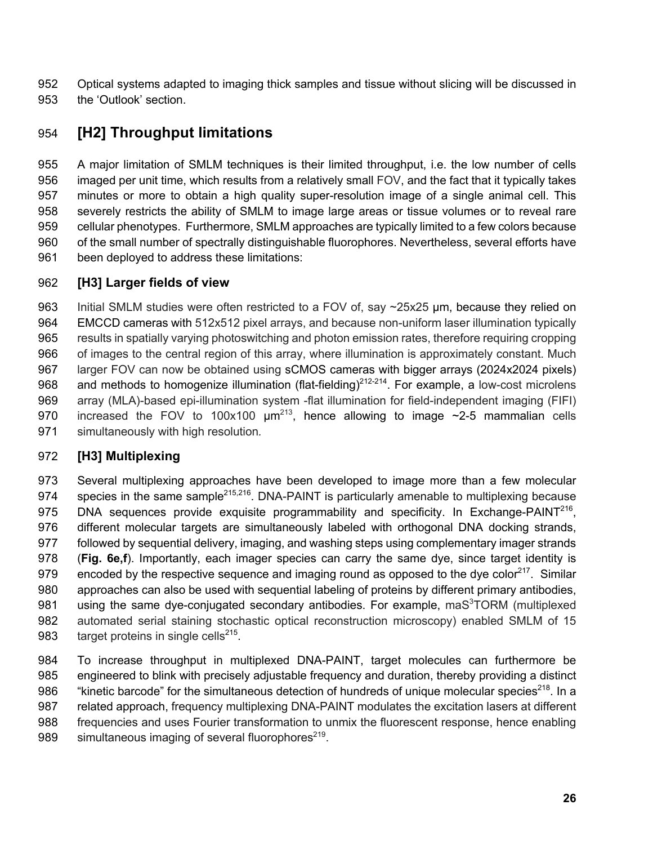Optical systems adapted to imaging thick samples and tissue without slicing will be discussed in the 'Outlook' section.

# **[H2] Throughput limitations**

 A major limitation of SMLM techniques is their limited throughput, i.e. the low number of cells imaged per unit time, which results from a relatively small FOV, and the fact that it typically takes minutes or more to obtain a high quality super-resolution image of a single animal cell. This severely restricts the ability of SMLM to image large areas or tissue volumes or to reveal rare cellular phenotypes. Furthermore, SMLM approaches are typically limited to a few colors because of the small number of spectrally distinguishable fluorophores. Nevertheless, several efforts have been deployed to address these limitations:

#### **[H3] Larger fields of view**

963 Initial SMLM studies were often restricted to a FOV of, say ~25x25 µm, because they relied on EMCCD cameras with 512x512 pixel arrays, and because non-uniform laser illumination typically results in spatially varying photoswitching and photon emission rates, therefore requiring cropping of images to the central region of this array, where illumination is approximately constant. Much larger FOV can now be obtained using sCMOS cameras with bigger arrays (2024x2024 pixels) 968 and methods to homogenize illumination (flat-fielding)<sup>212-214</sup>. For example, a low-cost microlens array (MLA)-based epi-illumination system -flat illumination for field-independent imaging (FIFI) 970 increased the FOV to 100x100  $\mu$ m<sup>213</sup>, hence allowing to image  $\sim$ 2-5 mammalian cells simultaneously with high resolution*.*

#### **[H3] Multiplexing**

 Several multiplexing approaches have been developed to image more than a few molecular 974 species in the same sample<sup>215,216</sup>. DNA-PAINT is particularly amenable to multiplexing because 975 DNA sequences provide exquisite programmability and specificity. In Exchange-PAINT<sup>216</sup>, different molecular targets are simultaneously labeled with orthogonal DNA docking strands, followed by sequential delivery, imaging, and washing steps using complementary imager strands (**Fig. 6e,f**). Importantly, each imager species can carry the same dye, since target identity is 979 encoded by the respective sequence and imaging round as opposed to the dye color<sup>217</sup>. Similar approaches can also be used with sequential labeling of proteins by different primary antibodies, 981 using the same dye-conjugated secondary antibodies. For example, ma $S<sup>3</sup>TORM$  (multiplexed automated serial staining stochastic optical reconstruction microscopy) enabled SMLM of 15  $t$ arget proteins in single cells<sup>215</sup>.

 To increase throughput in multiplexed DNA-PAINT, target molecules can furthermore be engineered to blink with precisely adjustable frequency and duration, thereby providing a distinct 986 "Kinetic barcode" for the simultaneous detection of hundreds of unique molecular species<sup>218</sup>. In a 987 related approach, frequency multiplexing DNA-PAINT modulates the excitation lasers at different frequencies and uses Fourier transformation to unmix the fluorescent response, hence enabling 989 simultaneous imaging of several fluorophores<sup>219</sup>.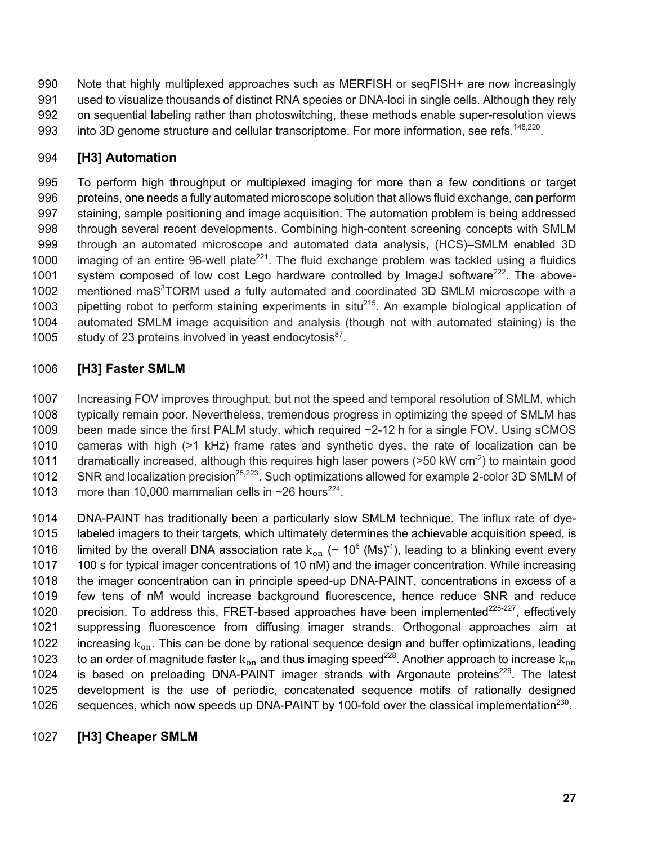990 Note that highly multiplexed approaches such as MERFISH or segFISH+ are now increasingly 991 used to visualize thousands of distinct RNA species or DNA-loci in single cells. Although they rely 992 on sequential labeling rather than photoswitching, these methods enable super-resolution views 993 into 3D genome structure and cellular transcriptome. For more information, see refs.<sup>146,220</sup>.

#### 994 **[H3] Automation**

995 To perform high throughput or multiplexed imaging for more than a few conditions or target 996 proteins, one needs a fully automated microscope solution that allows fluid exchange, can perform 997 staining, sample positioning and image acquisition. The automation problem is being addressed 998 through several recent developments. Combining high-content screening concepts with SMLM 999 through an automated microscope and automated data analysis, (HCS)–SMLM enabled 3D 1000 imaging of an entire 96-well plate<sup>221</sup>. The fluid exchange problem was tackled using a fluidics 1001 system composed of low cost Lego hardware controlled by ImageJ software<sup>222</sup>. The above-1002 mentioned maS<sup>3</sup>TORM used a fully automated and coordinated 3D SMLM microscope with a 1003 pipetting robot to perform staining experiments in situ<sup>215</sup>. An example biological application of 1004 automated SMLM image acquisition and analysis (though not with automated staining) is the 1005 study of 23 proteins involved in yeast endocytosis $^{87}$ .

#### 1006 **[H3] Faster SMLM**

1007 Increasing FOV improves throughput, but not the speed and temporal resolution of SMLM, which 1008 typically remain poor. Nevertheless, tremendous progress in optimizing the speed of SMLM has 1009 been made since the first PALM study, which required ~2-12 h for a single FOV. Using sCMOS 1010 cameras with high (>1 kHz) frame rates and synthetic dyes, the rate of localization can be 1011 dramatically increased, although this requires high laser powers ( $>50$  kW cm<sup>-2</sup>) to maintain good 1012 SNR and localization precision<sup>25,223</sup>. Such optimizations allowed for example 2-color 3D SMLM of 1013 more than 10,000 mammalian cells in  $\sim$ 26 hours<sup>224</sup>.

1014 DNA-PAINT has traditionally been a particularly slow SMLM technique. The influx rate of dye-1015 labeled imagers to their targets, which ultimately determines the achievable acquisition speed, is 1016 limited by the overall DNA association rate  $k_{on}$  (~ 10<sup>6</sup> (Ms)<sup>-1</sup>), leading to a blinking event every 1017 100 s for typical imager concentrations of 10 nM) and the imager concentration. While increasing 1018 the imager concentration can in principle speed-up DNA-PAINT, concentrations in excess of a 1019 few tens of nM would increase background fluorescence, hence reduce SNR and reduce 1020 precision. To address this, FRET-based approaches have been implemented<sup>225-227</sup>, effectively 1021 suppressing fluorescence from diffusing imager strands. Orthogonal approaches aim at 1022 increasing  $k_{on}$ . This can be done by rational sequence design and buffer optimizations, leading 1023 to an order of magnitude faster  $k_{on}$  and thus imaging speed<sup>228</sup>. Another approach to increase  $k_{on}$ 1024 is based on preloading DNA-PAINT imager strands with Argonaute proteins<sup>229</sup>. The latest 1025 development is the use of periodic, concatenated sequence motifs of rationally designed 1026 sequences, which now speeds up DNA-PAINT by 100-fold over the classical implementation<sup>230</sup>.

#### 1027 **[H3] Cheaper SMLM**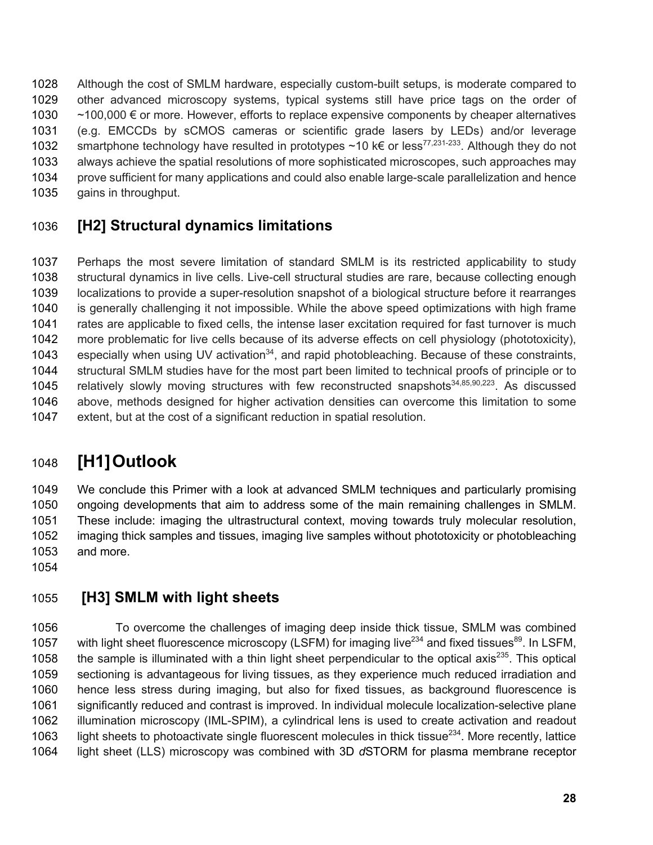Although the cost of SMLM hardware, especially custom-built setups, is moderate compared to other advanced microscopy systems, typical systems still have price tags on the order of ~100,000 € or more. However, efforts to replace expensive components by cheaper alternatives (e.g. EMCCDs by sCMOS cameras or scientific grade lasers by LEDs) and/or leverage 1032 smartphone technology have resulted in prototypes ~10 k€ or less<sup>77,231-233</sup>. Although they do not always achieve the spatial resolutions of more sophisticated microscopes, such approaches may prove sufficient for many applications and could also enable large-scale parallelization and hence gains in throughput.

# **[H2] Structural dynamics limitations**

 Perhaps the most severe limitation of standard SMLM is its restricted applicability to study structural dynamics in live cells. Live-cell structural studies are rare, because collecting enough localizations to provide a super-resolution snapshot of a biological structure before it rearranges is generally challenging it not impossible. While the above speed optimizations with high frame rates are applicable to fixed cells, the intense laser excitation required for fast turnover is much more problematic for live cells because of its adverse effects on cell physiology (phototoxicity), 1043 especially when using UV activation<sup>34</sup>, and rapid photobleaching. Because of these constraints, structural SMLM studies have for the most part been limited to technical proofs of principle or to 1045 relatively slowly moving structures with few reconstructed snapshots<sup>34,85,90,223</sup>. As discussed above, methods designed for higher activation densities can overcome this limitation to some extent, but at the cost of a significant reduction in spatial resolution.

# **[H1]Outlook**

 We conclude this Primer with a look at advanced SMLM techniques and particularly promising ongoing developments that aim to address some of the main remaining challenges in SMLM. These include: imaging the ultrastructural context, moving towards truly molecular resolution, imaging thick samples and tissues, imaging live samples without phototoxicity or photobleaching and more.

# **[H3] SMLM with light sheets**

 To overcome the challenges of imaging deep inside thick tissue, SMLM was combined 1057 with light sheet fluorescence microscopy (LSFM) for imaging live<sup>234</sup> and fixed tissues<sup>89</sup>. In LSFM, 1058 the sample is illuminated with a thin light sheet perpendicular to the optical axis<sup>235</sup>. This optical sectioning is advantageous for living tissues, as they experience much reduced irradiation and hence less stress during imaging, but also for fixed tissues, as background fluorescence is significantly reduced and contrast is improved. In individual molecule localization-selective plane illumination microscopy (IML-SPIM), a cylindrical lens is used to create activation and readout 1063 light sheets to photoactivate single fluorescent molecules in thick tissue<sup>234</sup>. More recently, lattice light sheet (LLS) microscopy was combined with 3D *d*STORM for plasma membrane receptor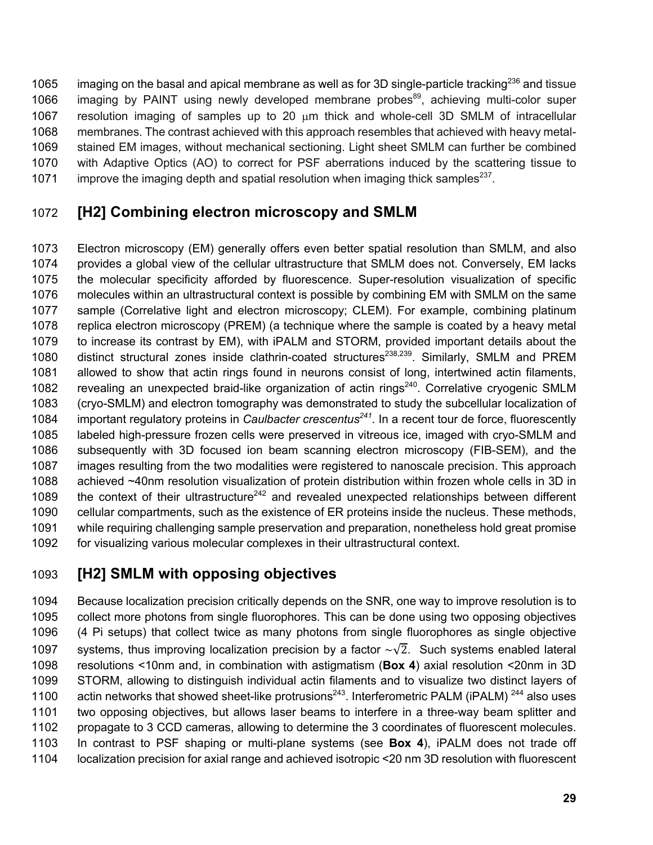1065 imaging on the basal and apical membrane as well as for 3D single-particle tracking<sup>236</sup> and tissue 1066 imaging by PAINT using newly developed membrane probes<sup>89</sup>, achieving multi-color super resolution imaging of samples up to 20 µm thick and whole-cell 3D SMLM of intracellular membranes. The contrast achieved with this approach resembles that achieved with heavy metal- stained EM images, without mechanical sectioning. Light sheet SMLM can further be combined with Adaptive Optics (AO) to correct for PSF aberrations induced by the scattering tissue to 1071 improve the imaging depth and spatial resolution when imaging thick samples<sup>237</sup>.

## **[H2] Combining electron microscopy and SMLM**

 Electron microscopy (EM) generally offers even better spatial resolution than SMLM, and also provides a global view of the cellular ultrastructure that SMLM does not. Conversely, EM lacks the molecular specificity afforded by fluorescence. Super-resolution visualization of specific molecules within an ultrastructural context is possible by combining EM with SMLM on the same sample (Correlative light and electron microscopy; CLEM). For example, combining platinum replica electron microscopy (PREM) (a technique where the sample is coated by a heavy metal to increase its contrast by EM), with iPALM and STORM, provided important details about the 1080 distinct structural zones inside clathrin-coated structures<sup>238,239</sup>. Similarly, SMLM and PREM allowed to show that actin rings found in neurons consist of long, intertwined actin filaments, 1082 revealing an unexpected braid-like organization of actin rings<sup>240</sup>. Correlative cryogenic SMLM (cryo-SMLM) and electron tomography was demonstrated to study the subcellular localization of 1084 important regulatory proteins in *Caulbacter crescentus*<sup>241</sup>. In a recent tour de force, fluorescently labeled high-pressure frozen cells were preserved in vitreous ice, imaged with cryo-SMLM and subsequently with 3D focused ion beam scanning electron microscopy (FIB-SEM), and the images resulting from the two modalities were registered to nanoscale precision. This approach achieved ~40nm resolution visualization of protein distribution within frozen whole cells in 3D in 1089 the context of their ultrastructure<sup>242</sup> and revealed unexpected relationships between different cellular compartments, such as the existence of ER proteins inside the nucleus. These methods, while requiring challenging sample preservation and preparation, nonetheless hold great promise for visualizing various molecular complexes in their ultrastructural context.

# **[H2] SMLM with opposing objectives**

 Because localization precision critically depends on the SNR, one way to improve resolution is to collect more photons from single fluorophores. This can be done using two opposing objectives (4 Pi setups) that collect twice as many photons from single fluorophores as single objective 1097 systems, thus improving localization precision by a factor  $\sqrt{2}$ . Such systems enabled lateral resolutions <10nm and, in combination with astigmatism (**Box 4**) axial resolution <20nm in 3D STORM, allowing to distinguish individual actin filaments and to visualize two distinct layers of 1100 actin networks that showed sheet-like protrusions<sup>243</sup>. Interferometric PALM (iPALM)  $^{244}$  also uses two opposing objectives, but allows laser beams to interfere in a three-way beam splitter and propagate to 3 CCD cameras, allowing to determine the 3 coordinates of fluorescent molecules. In contrast to PSF shaping or multi-plane systems (see **Box 4**), iPALM does not trade off localization precision for axial range and achieved isotropic <20 nm 3D resolution with fluorescent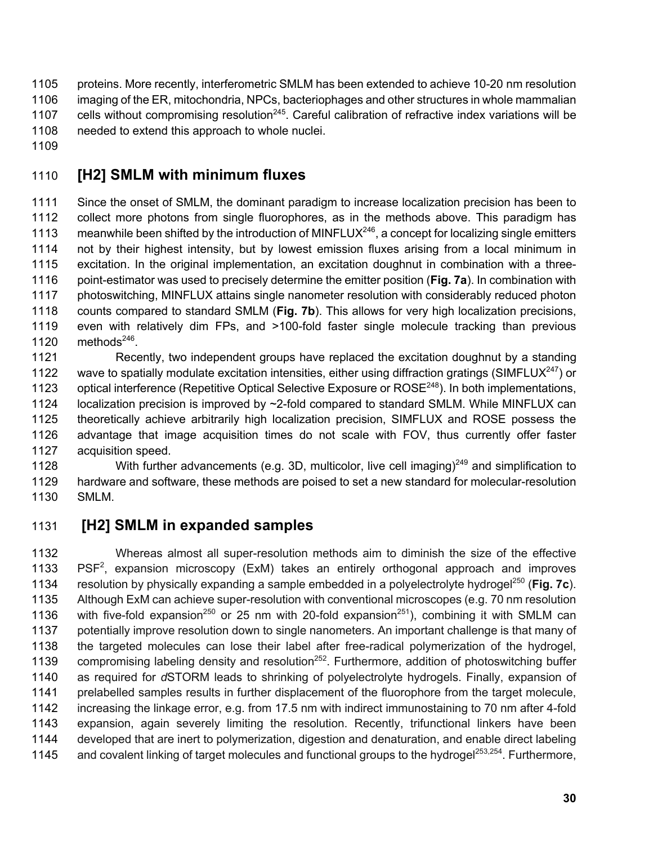- proteins. More recently, interferometric SMLM has been extended to achieve 10-20 nm resolution imaging of the ER, mitochondria, NPCs, bacteriophages and other structures in whole mammalian 1107 cells without compromising resolution<sup>245</sup>. Careful calibration of refractive index variations will be needed to extend this approach to whole nuclei.
- 

# **[H2] SMLM with minimum fluxes**

 Since the onset of SMLM, the dominant paradigm to increase localization precision has been to collect more photons from single fluorophores, as in the methods above. This paradigm has 1113 meanwhile been shifted by the introduction of MINFLUX $^{246}$ , a concept for localizing single emitters not by their highest intensity, but by lowest emission fluxes arising from a local minimum in excitation. In the original implementation, an excitation doughnut in combination with a three- point-estimator was used to precisely determine the emitter position (**Fig. 7a**). In combination with photoswitching, MINFLUX attains single nanometer resolution with considerably reduced photon counts compared to standard SMLM (**Fig. 7b**). This allows for very high localization precisions, even with relatively dim FPs, and >100-fold faster single molecule tracking than previous 1120 methods $^{246}$ .

 Recently, two independent groups have replaced the excitation doughnut by a standing 1122 wave to spatially modulate excitation intensities, either using diffraction gratings (SIMFLUX $^{247}$ ) or 1123 optical interference (Repetitive Optical Selective Exposure or ROSE<sup>248</sup>). In both implementations, 1124 localization precision is improved by ~2-fold compared to standard SMLM. While MINFLUX can theoretically achieve arbitrarily high localization precision, SIMFLUX and ROSE possess the advantage that image acquisition times do not scale with FOV, thus currently offer faster acquisition speed.

1128 With further advancements (e.g. 3D, multicolor, live cell imaging)<sup>249</sup> and simplification to hardware and software, these methods are poised to set a new standard for molecular-resolution SMLM.

# **[H2] SMLM in expanded samples**

 Whereas almost all super-resolution methods aim to diminish the size of the effective  $PSF<sup>2</sup>$ , expansion microscopy (ExM) takes an entirely orthogonal approach and improves 1134 resolution by physically expanding a sample embedded in a polyelectrolyte hydrogel<sup>250</sup> (**Fig. 7c**). Although ExM can achieve super-resolution with conventional microscopes (e.g. 70 nm resolution 1136 with five-fold expansion<sup>250</sup> or 25 nm with 20-fold expansion<sup>251</sup>), combining it with SMLM can potentially improve resolution down to single nanometers. An important challenge is that many of the targeted molecules can lose their label after free-radical polymerization of the hydrogel, 1139 compromising labeling density and resolution<sup>252</sup>. Furthermore, addition of photoswitching buffer as required for *d*STORM leads to shrinking of polyelectrolyte hydrogels. Finally, expansion of prelabelled samples results in further displacement of the fluorophore from the target molecule, increasing the linkage error, e.g. from 17.5 nm with indirect immunostaining to 70 nm after 4-fold expansion, again severely limiting the resolution. Recently, trifunctional linkers have been developed that are inert to polymerization, digestion and denaturation, and enable direct labeling 1145 and covalent linking of target molecules and functional groups to the hydrogel<sup>253,254</sup>. Furthermore,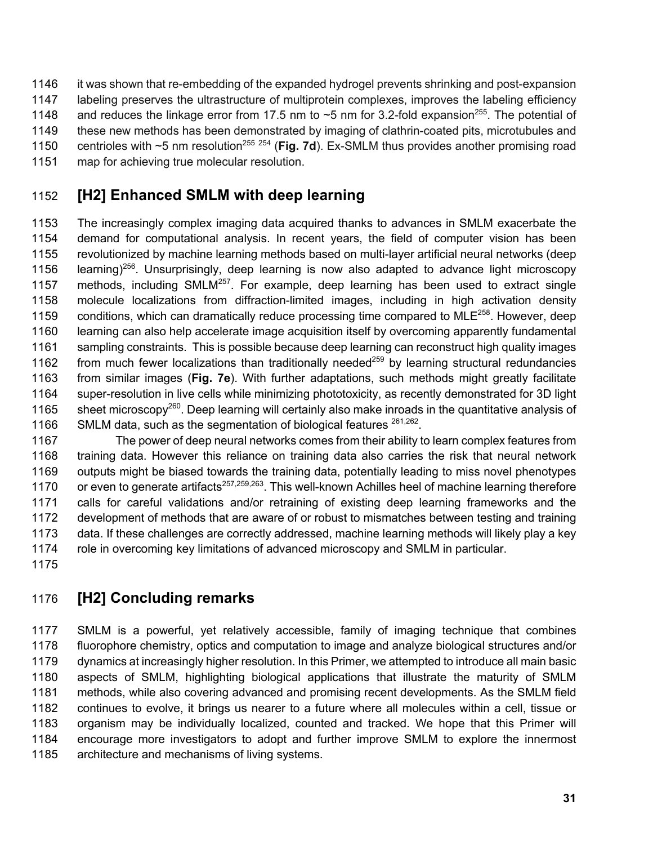- it was shown that re-embedding of the expanded hydrogel prevents shrinking and post-expansion
- labeling preserves the ultrastructure of multiprotein complexes, improves the labeling efficiency
- 1148 and reduces the linkage error from 17.5 nm to  $\sim$ 5 nm for 3.2-fold expansion<sup>255</sup>. The potential of
- these new methods has been demonstrated by imaging of clathrin-coated pits, microtubules and
- 1150 centrioles with ~5 nm resolution<sup>255 254</sup> (Fig. 7d). Ex-SMLM thus provides another promising road
- map for achieving true molecular resolution.

# **[H2] Enhanced SMLM with deep learning**

 The increasingly complex imaging data acquired thanks to advances in SMLM exacerbate the demand for computational analysis. In recent years, the field of computer vision has been revolutionized by machine learning methods based on multi-layer artificial neural networks (deep 1156 learning)<sup>256</sup>. Unsurprisingly, deep learning is now also adapted to advance light microscopy 1157 methods, including SMLM $^{257}$ . For example, deep learning has been used to extract single molecule localizations from diffraction-limited images, including in high activation density 1159 conditions, which can dramatically reduce processing time compared to MLE $^{258}$ . However, deep learning can also help accelerate image acquisition itself by overcoming apparently fundamental sampling constraints. This is possible because deep learning can reconstruct high quality images 1162 from much fewer localizations than traditionally needed<sup>259</sup> by learning structural redundancies from similar images (**Fig. 7e**). With further adaptations, such methods might greatly facilitate super-resolution in live cells while minimizing phototoxicity, as recently demonstrated for 3D light 1165 sheet microscopy<sup>260</sup>. Deep learning will certainly also make inroads in the quantitative analysis of 1166 SMLM data, such as the segmentation of biological features  $261,262$ .

 The power of deep neural networks comes from their ability to learn complex features from training data. However this reliance on training data also carries the risk that neural network outputs might be biased towards the training data, potentially leading to miss novel phenotypes 1170 or even to generate artifacts<sup>257,259,263</sup>. This well-known Achilles heel of machine learning therefore calls for careful validations and/or retraining of existing deep learning frameworks and the development of methods that are aware of or robust to mismatches between testing and training data. If these challenges are correctly addressed, machine learning methods will likely play a key role in overcoming key limitations of advanced microscopy and SMLM in particular.

# **[H2] Concluding remarks**

 SMLM is a powerful, yet relatively accessible, family of imaging technique that combines fluorophore chemistry, optics and computation to image and analyze biological structures and/or dynamics at increasingly higher resolution. In this Primer, we attempted to introduce all main basic aspects of SMLM, highlighting biological applications that illustrate the maturity of SMLM methods, while also covering advanced and promising recent developments. As the SMLM field continues to evolve, it brings us nearer to a future where all molecules within a cell, tissue or organism may be individually localized, counted and tracked. We hope that this Primer will encourage more investigators to adopt and further improve SMLM to explore the innermost architecture and mechanisms of living systems.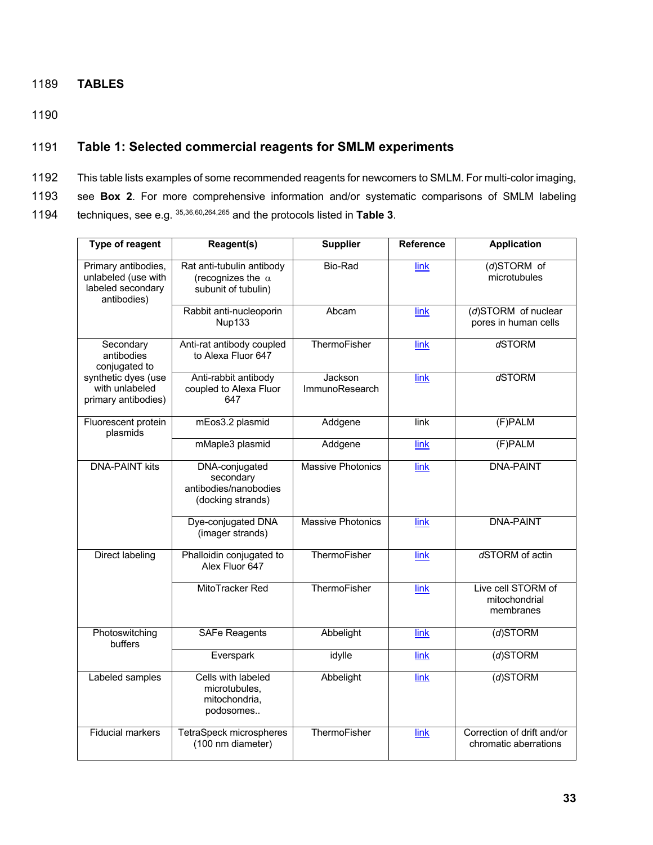#### 1189 **TABLES**

1190

#### 1191 **Table 1: Selected commercial reagents for SMLM experiments**

- 1192 This table lists examples of some recommended reagents for newcomers to SMLM. For multi-color imaging,
- 1193 see **Box 2**. For more comprehensive information and/or systematic comparisons of SMLM labeling
- 1194 techniques, see e.g.  $35,36,60,264,265$  and the protocols listed in Table 3.

| Type of reagent                                                                | Reagent(s)                                                                   | <b>Supplier</b>                  | <b>Reference</b> | <b>Application</b>                                  |
|--------------------------------------------------------------------------------|------------------------------------------------------------------------------|----------------------------------|------------------|-----------------------------------------------------|
| Primary antibodies,<br>unlabeled (use with<br>labeled secondary<br>antibodies) | Rat anti-tubulin antibody<br>(recognizes the $\alpha$<br>subunit of tubulin) | Bio-Rad                          | link             | (d)STORM of<br>microtubules                         |
|                                                                                | Rabbit anti-nucleoporin<br><b>Nup133</b>                                     | Abcam                            | link             | (d)STORM of nuclear<br>pores in human cells         |
| Secondary<br>antibodies<br>conjugated to                                       | Anti-rat antibody coupled<br>to Alexa Fluor 647                              | ThermoFisher                     | link             | dSTORM                                              |
| synthetic dyes (use<br>with unlabeled<br>primary antibodies)                   | Anti-rabbit antibody<br>coupled to Alexa Fluor<br>647                        | Jackson<br><b>ImmunoResearch</b> | link             | dSTORM                                              |
| Fluorescent protein<br>plasmids                                                | mEos3.2 plasmid                                                              | Addgene                          | link             | (F)PALM                                             |
|                                                                                | mMaple3 plasmid                                                              | Addgene                          | link             | (F)PALM                                             |
| <b>DNA-PAINT kits</b>                                                          | DNA-conjugated<br>secondary<br>antibodies/nanobodies<br>(docking strands)    | <b>Massive Photonics</b>         | link             | <b>DNA-PAINT</b>                                    |
|                                                                                | Dye-conjugated DNA<br>(imager strands)                                       | <b>Massive Photonics</b>         | link             | <b>DNA-PAINT</b>                                    |
| <b>Direct labeling</b>                                                         | Phalloidin conjugated to<br>Alex Fluor 647                                   | <b>ThermoFisher</b>              | link             | dSTORM of actin                                     |
|                                                                                | MitoTracker Red                                                              | ThermoFisher                     | link             | Live cell STORM of<br>mitochondrial<br>membranes    |
| Photoswitching<br>buffers                                                      | <b>SAFe Reagents</b>                                                         | Abbelight                        | link             | $(d)$ STORM                                         |
|                                                                                | Everspark                                                                    | idylle                           | link             | $(d)$ STORM                                         |
| Labeled samples                                                                | Cells with labeled<br>microtubules,<br>mitochondria,<br>podosomes            | Abbelight                        | link             | $(d)$ STORM                                         |
| <b>Fiducial markers</b>                                                        | TetraSpeck microspheres<br>(100 nm diameter)                                 | <b>ThermoFisher</b>              | link             | Correction of drift and/or<br>chromatic aberrations |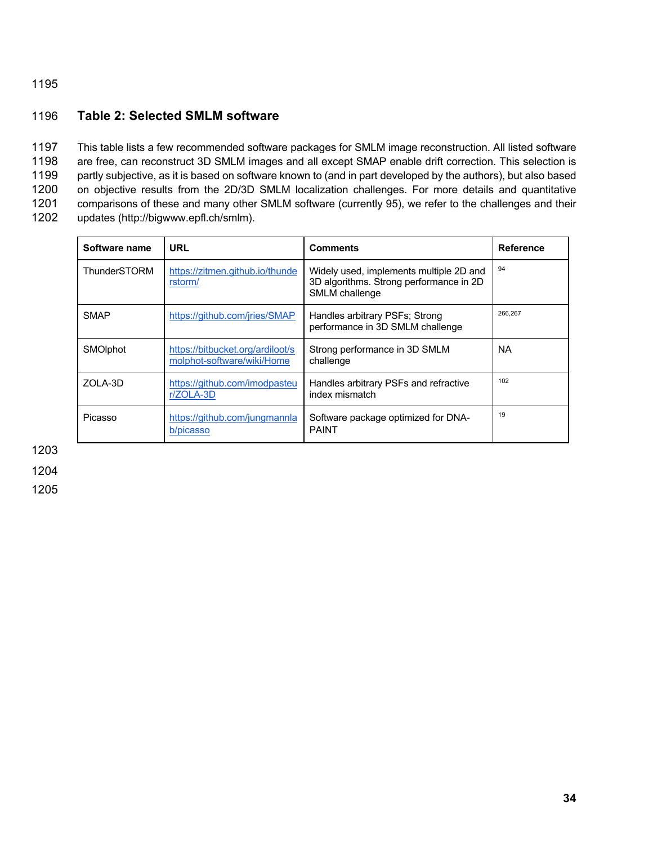#### 1196 **Table 2: Selected SMLM software**

 This table lists a few recommended software packages for SMLM image reconstruction. All listed software are free, can reconstruct 3D SMLM images and all except SMAP enable drift correction. This selection is 1199 partly subjective, as it is based on software known to (and in part developed by the authors), but also based on objective results from the 2D/3D SMLM localization challenges. For more details and quantitative comparisons of these and many other SMLM software (currently 95), we refer to the challenges and their updates (http://bigwww.epfl.ch/smlm).

| Software name   | URL                                                            | <b>Comments</b>                                                                                      | <b>Reference</b> |
|-----------------|----------------------------------------------------------------|------------------------------------------------------------------------------------------------------|------------------|
| ThunderSTORM    | https://zitmen.github.io/thunde<br>rstorm/                     | Widely used, implements multiple 2D and<br>3D algorithms. Strong performance in 2D<br>SMLM challenge | 94               |
| <b>SMAP</b>     | https://github.com/jries/SMAP                                  | Handles arbitrary PSFs; Strong<br>performance in 3D SMLM challenge                                   | 266,267          |
| <b>SMOIphot</b> | https://bitbucket.org/ardiloot/s<br>molphot-software/wiki/Home | Strong performance in 3D SMLM<br>challenge                                                           | <b>NA</b>        |
| <b>ZOLA-3D</b>  | https://github.com/imodpasteu<br>r/ZOLA-3D                     | Handles arbitrary PSFs and refractive<br>index mismatch                                              | 102              |
| Picasso         | https://github.com/jungmannla<br>b/picasso                     | Software package optimized for DNA-<br><b>PAINT</b>                                                  | 19               |

1203

1204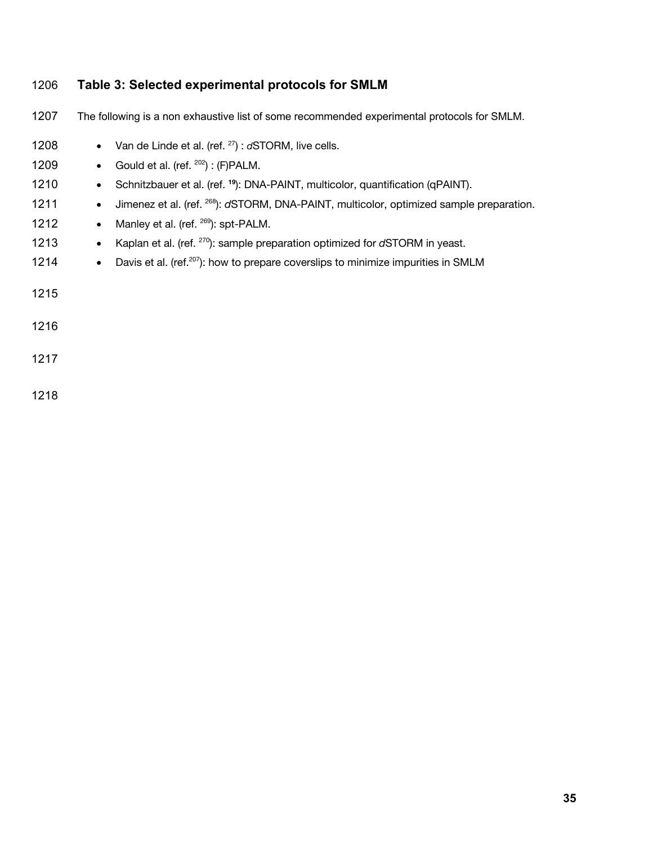| 1206 | Table 3: Selected experimental protocols for SMLM                                                                 |
|------|-------------------------------------------------------------------------------------------------------------------|
| 1207 | The following is a non exhaustive list of some recommended experimental protocols for SMLM.                       |
| 1208 | Van de Linde et al. (ref. $27$ ) : $dSTORM$ , live cells.                                                         |
| 1209 | Gould et al. (ref. <sup>202</sup> ) : (F)PALM.<br>$\bullet$                                                       |
| 1210 | Schnitzbauer et al. (ref. <sup>19</sup> ): DNA-PAINT, multicolor, quantification (qPAINT).<br>$\bullet$           |
| 1211 | Jimenez et al. (ref. <sup>268</sup> ): d'STORM, DNA-PAINT, multicolor, optimized sample preparation.<br>$\bullet$ |
| 1212 | Manley et al. (ref. <sup>269</sup> ): spt-PALM.<br>$\bullet$                                                      |
| 1213 | Kaplan et al. (ref. <sup>270</sup> ): sample preparation optimized for dSTORM in yeast.<br>$\bullet$              |
| 1214 | Davis et al. (ref. <sup>207</sup> ): how to prepare coverslips to minimize impurities in SMLM<br>$\bullet$        |
| 1215 |                                                                                                                   |
| 1216 |                                                                                                                   |
| 1217 |                                                                                                                   |
| 1218 |                                                                                                                   |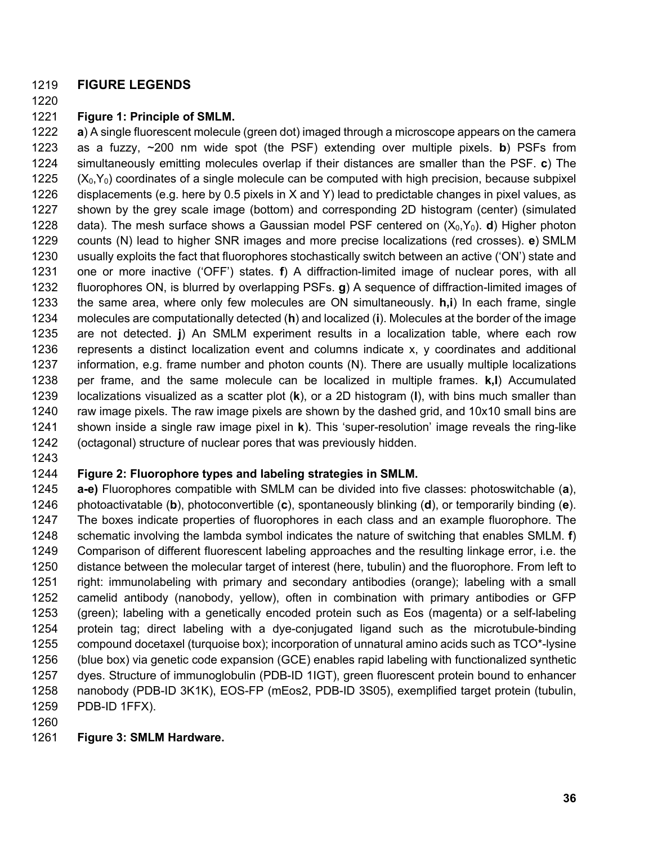#### **FIGURE LEGENDS**

#### **Figure 1: Principle of SMLM.**

 **a**) A single fluorescent molecule (green dot) imaged through a microscope appears on the camera as a fuzzy, ~200 nm wide spot (the PSF) extending over multiple pixels. **b**) PSFs from simultaneously emitting molecules overlap if their distances are smaller than the PSF. **c**) The  $(X_0,Y_0)$  coordinates of a single molecule can be computed with high precision, because subpixel displacements (e.g. here by 0.5 pixels in X and Y) lead to predictable changes in pixel values, as shown by the grey scale image (bottom) and corresponding 2D histogram (center) (simulated 1228 data). The mesh surface shows a Gaussian model PSF centered on  $(X_0, Y_0)$ . **d**) Higher photon counts (N) lead to higher SNR images and more precise localizations (red crosses). **e**) SMLM usually exploits the fact that fluorophores stochastically switch between an active ('ON') state and one or more inactive ('OFF') states. **f**) A diffraction-limited image of nuclear pores, with all fluorophores ON, is blurred by overlapping PSFs. **g**) A sequence of diffraction-limited images of the same area, where only few molecules are ON simultaneously. **h,i**) In each frame, single molecules are computationally detected (**h**) and localized (**i**). Molecules at the border of the image are not detected. **j**) An SMLM experiment results in a localization table, where each row represents a distinct localization event and columns indicate x, y coordinates and additional information, e.g. frame number and photon counts (N). There are usually multiple localizations per frame, and the same molecule can be localized in multiple frames. **k,l**) Accumulated localizations visualized as a scatter plot (**k**), or a 2D histogram (**l**), with bins much smaller than raw image pixels. The raw image pixels are shown by the dashed grid, and 10x10 small bins are shown inside a single raw image pixel in **k**). This 'super-resolution' image reveals the ring-like (octagonal) structure of nuclear pores that was previously hidden.

#### **Figure 2: Fluorophore types and labeling strategies in SMLM.**

 **a-e)** Fluorophores compatible with SMLM can be divided into five classes: photoswitchable (**a**), photoactivatable (**b**), photoconvertible (**c**), spontaneously blinking (**d**), or temporarily binding (**e**). The boxes indicate properties of fluorophores in each class and an example fluorophore. The schematic involving the lambda symbol indicates the nature of switching that enables SMLM. **f**) Comparison of different fluorescent labeling approaches and the resulting linkage error, i.e. the distance between the molecular target of interest (here, tubulin) and the fluorophore. From left to right: immunolabeling with primary and secondary antibodies (orange); labeling with a small camelid antibody (nanobody, yellow), often in combination with primary antibodies or GFP (green); labeling with a genetically encoded protein such as Eos (magenta) or a self-labeling protein tag; direct labeling with a dye-conjugated ligand such as the microtubule-binding compound docetaxel (turquoise box); incorporation of unnatural amino acids such as TCO\*-lysine (blue box) via genetic code expansion (GCE) enables rapid labeling with functionalized synthetic dyes. Structure of immunoglobulin (PDB-ID 1IGT), green fluorescent protein bound to enhancer nanobody (PDB-ID 3K1K), EOS-FP (mEos2, PDB-ID 3S05), exemplified target protein (tubulin, PDB-ID 1FFX).

#### **Figure 3: SMLM Hardware.**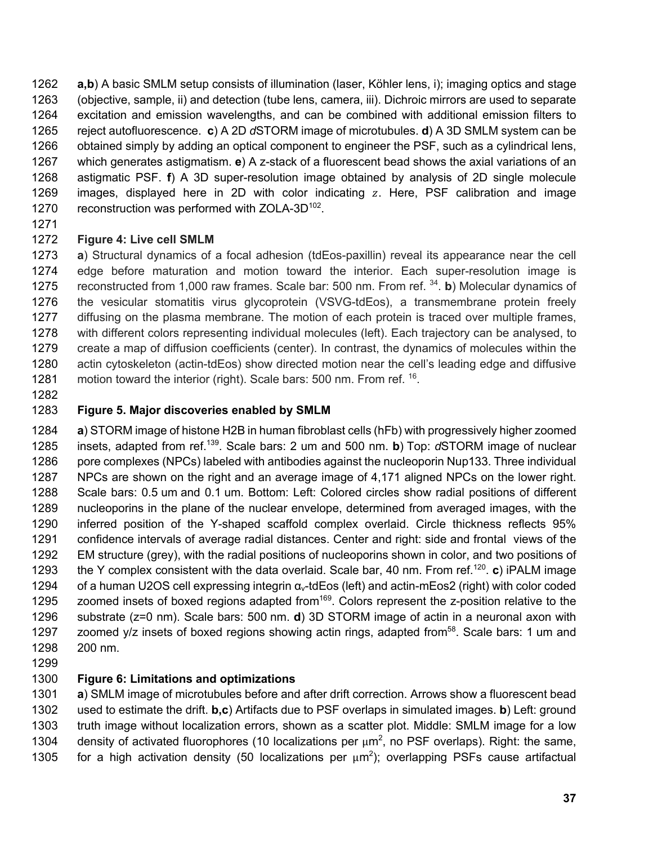**a,b**) A basic SMLM setup consists of illumination (laser, Köhler lens, i); imaging optics and stage (objective, sample, ii) and detection (tube lens, camera, iii). Dichroic mirrors are used to separate excitation and emission wavelengths, and can be combined with additional emission filters to reject autofluorescence. **c**) A 2D *d*STORM image of microtubules. **d**) A 3D SMLM system can be obtained simply by adding an optical component to engineer the PSF, such as a cylindrical lens, which generates astigmatism. **e**) A z-stack of a fluorescent bead shows the axial variations of an astigmatic PSF. **f**) A 3D super-resolution image obtained by analysis of 2D single molecule 1269 images, displayed here in 2D with color indicating  $z$ . Here, PSF calibration and image 1270 reconstruction was performed with ZOLA-3D.

#### **Figure 4: Live cell SMLM**

 **a**) Structural dynamics of a focal adhesion (tdEos-paxillin) reveal its appearance near the cell edge before maturation and motion toward the interior. Each super-resolution image is 1275 reconstructed from 1,000 raw frames. Scale bar: 500 nm. From ref. <sup>34</sup>. b) Molecular dynamics of the vesicular stomatitis virus glycoprotein (VSVG-tdEos), a transmembrane protein freely 1277 diffusing on the plasma membrane. The motion of each protein is traced over multiple frames, with different colors representing individual molecules (left). Each trajectory can be analysed, to create a map of diffusion coefficients (center). In contrast, the dynamics of molecules within the actin cytoskeleton (actin-tdEos) show directed motion near the cell's leading edge and diffusive 1281 motion toward the interior (right). Scale bars: 500 nm. From ref.  $^{16}$ .

## **Figure 5. Major discoveries enabled by SMLM**

 **a**) STORM image of histone H2B in human fibroblast cells (hFb) with progressively higher zoomed 1285 insets, adapted from ref.<sup>139</sup>. Scale bars: 2 um and 500 nm. **b**) Top: *d*STORM image of nuclear 1286 pore complexes (NPCs) labeled with antibodies against the nucleoporin Nup133. Three individual NPCs are shown on the right and an average image of 4,171 aligned NPCs on the lower right. Scale bars: 0.5 um and 0.1 um. Bottom: Left: Colored circles show radial positions of different nucleoporins in the plane of the nuclear envelope, determined from averaged images, with the inferred position of the Y-shaped scaffold complex overlaid. Circle thickness reflects 95% confidence intervals of average radial distances. Center and right: side and frontal views of the EM structure (grey), with the radial positions of nucleoporins shown in color, and two positions of 1293 the Y complex consistent with the data overlaid. Scale bar, 40 nm. From ref.<sup>120</sup> c) iPALM image of a human U2OS cell expressing integrin αν-tdEos (left) and actin-mEos2 (right) with color coded 1295 zoomed insets of boxed regions adapted from<sup>169</sup>. Colors represent the z-position relative to the substrate (z=0 nm). Scale bars: 500 nm. **d**) 3D STORM image of actin in a neuronal axon with 1297 zoomed y/z insets of boxed regions showing actin rings, adapted from<sup>58</sup>. Scale bars: 1 um and 200 nm.

#### **Figure 6: Limitations and optimizations**

 **a**) SMLM image of microtubules before and after drift correction. Arrows show a fluorescent bead used to estimate the drift. **b,c**) Artifacts due to PSF overlaps in simulated images. **b**) Left: ground truth image without localization errors, shown as a scatter plot. Middle: SMLM image for a low 1304 density of activated fluorophores (10 localizations per  $\mu$ m<sup>2</sup>, no PSF overlaps). Right: the same, 1305 for a high activation density (50 localizations per  $\mu$ m<sup>2</sup>); overlapping PSFs cause artifactual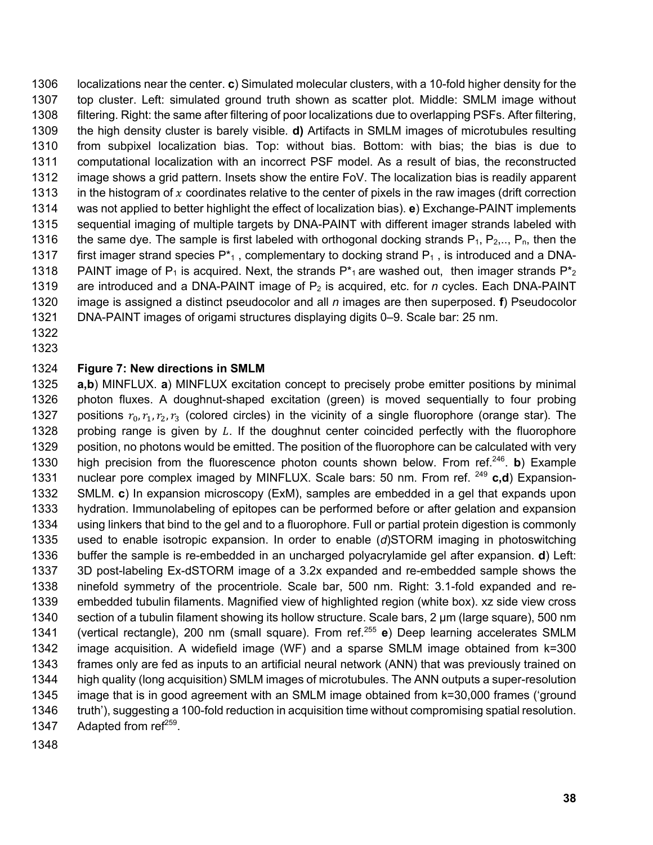localizations near the center. **c**) Simulated molecular clusters, with a 10-fold higher density for the top cluster. Left: simulated ground truth shown as scatter plot. Middle: SMLM image without filtering. Right: the same after filtering of poor localizations due to overlapping PSFs. After filtering, the high density cluster is barely visible*.* **d)** Artifacts in SMLM images of microtubules resulting from subpixel localization bias. Top: without bias. Bottom: with bias; the bias is due to computational localization with an incorrect PSF model. As a result of bias, the reconstructed image shows a grid pattern. Insets show the entire FoV. The localization bias is readily apparent 1313 in the histogram of x coordinates relative to the center of pixels in the raw images (drift correction was not applied to better highlight the effect of localization bias). **e**) Exchange-PAINT implements sequential imaging of multiple targets by DNA-PAINT with different imager strands labeled with 1316 the same dye. The sample is first labeled with orthogonal docking strands  $P_1, P_2, \ldots, P_n$ , then the 1317 first imager strand species  $P_{1}^{*}$ , complementary to docking strand  $P_{1}$ , is introduced and a DNA-1318 PAINT image of P<sub>1</sub> is acquired. Next, the strands  $P_{1}^{*}$  are washed out, then imager strands  $P_{2}^{*}$  are introduced and a DNA-PAINT image of P2 is acquired, etc. for *n* cycles. Each DNA-PAINT image is assigned a distinct pseudocolor and all *n* images are then superposed. **f**) Pseudocolor DNA-PAINT images of origami structures displaying digits 0–9. Scale bar: 25 nm.

 

#### **Figure 7: New directions in SMLM**

 **a,b**) MINFLUX. **a**) MINFLUX excitation concept to precisely probe emitter positions by minimal photon fluxes. A doughnut-shaped excitation (green) is moved sequentially to four probing 1327 positions  $r_0, r_1, r_2, r_3$  (colored circles) in the vicinity of a single fluorophore (orange star). The 1328 probing range is given by  $L$ . If the doughnut center coincided perfectly with the fluorophore position, no photons would be emitted. The position of the fluorophore can be calculated with very 1330 high precision from the fluorescence photon counts shown below. From ref.<sup>246</sup> b) Example 1331 nuclear pore complex imaged by MINFLUX. Scale bars: 50 nm. From ref. <sup>249</sup> c,d) Expansion- SMLM. **c**) In expansion microscopy (ExM), samples are embedded in a gel that expands upon hydration. Immunolabeling of epitopes can be performed before or after gelation and expansion using linkers that bind to the gel and to a fluorophore. Full or partial protein digestion is commonly used to enable isotropic expansion. In order to enable (*d*)STORM imaging in photoswitching buffer the sample is re-embedded in an uncharged polyacrylamide gel after expansion. **d**) Left: 3D post-labeling Ex-dSTORM image of a 3.2x expanded and re-embedded sample shows the ninefold symmetry of the procentriole. Scale bar, 500 nm. Right: 3.1-fold expanded and re- embedded tubulin filaments. Magnified view of highlighted region (white box). xz side view cross section of a tubulin filament showing its hollow structure. Scale bars, 2 µm (large square), 500 nm 1341 (vertical rectangle), 200 nm (small square). From ref.<sup>255</sup> e) Deep learning accelerates SMLM image acquisition. A widefield image (WF) and a sparse SMLM image obtained from k=300 frames only are fed as inputs to an artificial neural network (ANN) that was previously trained on high quality (long acquisition) SMLM images of microtubules. The ANN outputs a super-resolution image that is in good agreement with an SMLM image obtained from k=30,000 frames ('ground 1346 truth'), suggesting a 100-fold reduction in acquisition time without compromising spatial resolution. 1347 Adapted from  $ref^{259}$ .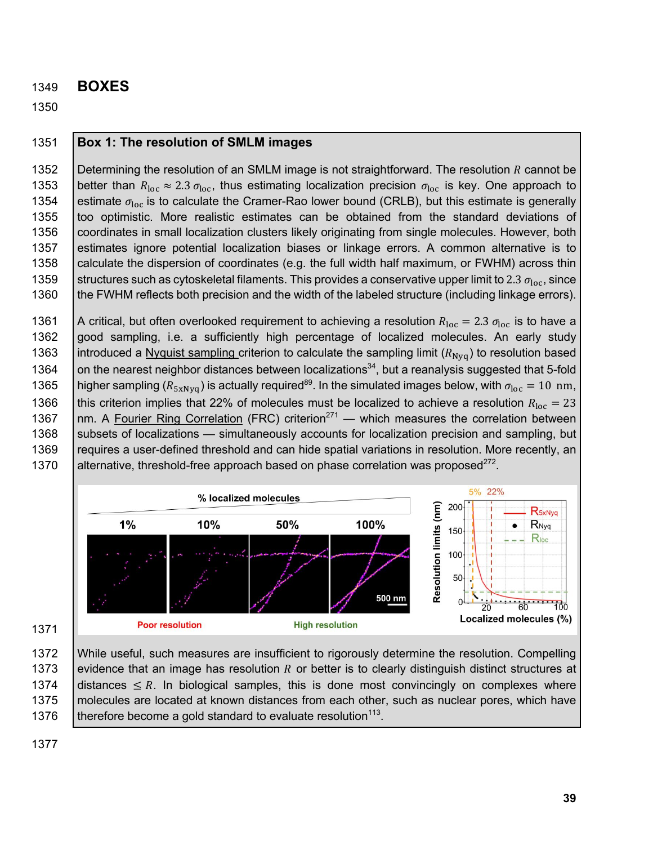#### 1349 **BOXES**

1350

#### 1351 **Box 1: The resolution of SMLM images**

1352 Betermining the resolution of an SMLM image is not straightforward. The resolution R cannot be 1353 | better than  $R_{\text{loc}} \approx 2.3 \sigma_{\text{loc}}$ , thus estimating localization precision  $\sigma_{\text{loc}}$  is key. One approach to 1354 estimate  $\sigma_{loc}$  is to calculate the Cramer-Rao lower bound (CRLB), but this estimate is generally 1355 too optimistic. More realistic estimates can be obtained from the standard deviations of 1356 coordinates in small localization clusters likely originating from single molecules. However, both 1357 estimates ignore potential localization biases or linkage errors. A common alternative is to 1358 calculate the dispersion of coordinates (e.g. the full width half maximum, or FWHM) across thin 1359 Structures such as cytoskeletal filaments. This provides a conservative upper limit to 2.3  $\sigma_{\text{loc}}$ , since 1360 | the FWHM reflects both precision and the width of the labeled structure (including linkage errors).

1361 | A critical, but often overlooked requirement to achieving a resolution  $R_{\text{loc}} = 2.3 \sigma_{\text{loc}}$  is to have a 1362 good sampling, i.e. a sufficiently high percentage of localized molecules. An early study 1363 introduced a Nyquist sampling criterion to calculate the sampling limit ( $R_{Nvq}$ ) to resolution based 1364  $\vert$  on the nearest neighbor distances between localizations<sup>34</sup>, but a reanalysis suggested that 5-fold 1365 | higher sampling ( $R_{5xNyq}$ ) is actually required<sup>89</sup>. In the simulated images below, with  $\sigma_{loc} = 10$  nm, 1366 this criterion implies that 22% of molecules must be localized to achieve a resolution  $R_{\text{loc}} = 23$ 1367  $\parallel$ nm. A Fourier Ring Correlation (FRC) criterion<sup>271</sup> — which measures the correlation between 1368 Subsets of localizations — simultaneously accounts for localization precision and sampling, but 1369 | requires a user-defined threshold and can hide spatial variations in resolution. More recently, an 1370 | alternative, threshold-free approach based on phase correlation was proposed $^{272}$ .



1371

1372 While useful, such measures are insufficient to rigorously determine the resolution. Compelling 1373 evidence that an image has resolution R or better is to clearly distinguish distinct structures at 1374 distances  $\leq R$ . In biological samples, this is done most convincingly on complexes where 1375 | molecules are located at known distances from each other, such as nuclear pores, which have 1376  $\parallel$  therefore become a gold standard to evaluate resolution<sup>113</sup>.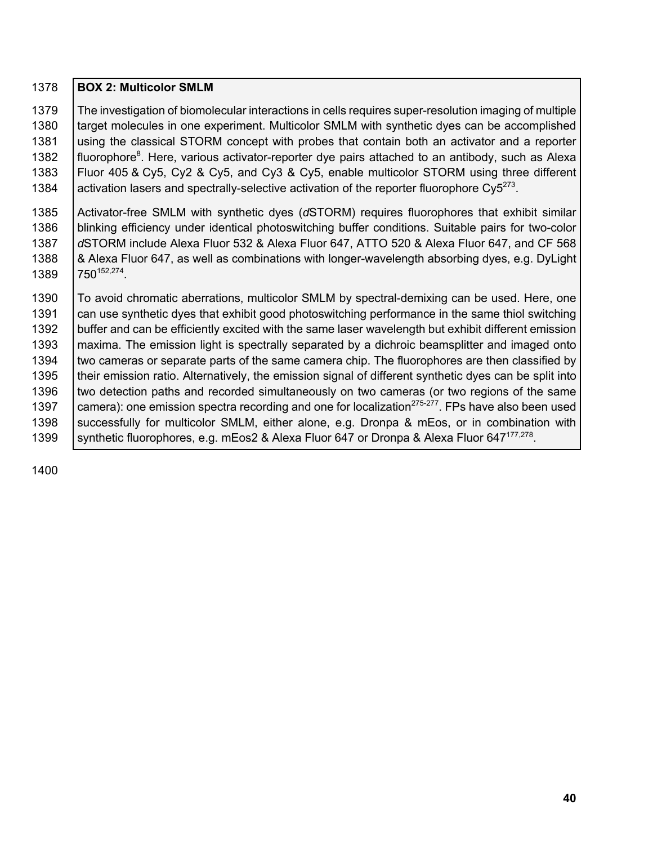| 1378 | <b>BOX 2: Multicolor SMLM</b>                                                                                 |
|------|---------------------------------------------------------------------------------------------------------------|
| 1379 | The investigation of biomolecular interactions in cells requires super-resolution imaging of multiple         |
| 1380 | target molecules in one experiment. Multicolor SMLM with synthetic dyes can be accomplished                   |
| 1381 | using the classical STORM concept with probes that contain both an activator and a reporter                   |
| 1382 | fluorophore <sup>8</sup> . Here, various activator-reporter dye pairs attached to an antibody, such as Alexa  |
| 1383 | Fluor 405 & Cy5, Cy2 & Cy5, and Cy3 & Cy5, enable multicolor STORM using three different                      |
| 1384 | activation lasers and spectrally-selective activation of the reporter fluorophore $Cy5^{273}$ .               |
| 1385 | Activator-free SMLM with synthetic dyes (dSTORM) requires fluorophores that exhibit similar                   |
| 1386 | blinking efficiency under identical photoswitching buffer conditions. Suitable pairs for two-color            |
| 1387 | dSTORM include Alexa Fluor 532 & Alexa Fluor 647, ATTO 520 & Alexa Fluor 647, and CF 568                      |
| 1388 | & Alexa Fluor 647, as well as combinations with longer-wavelength absorbing dyes, e.g. DyLight                |
| 1389 | 750 <sup>152,274</sup> .                                                                                      |
| 1390 | To avoid chromatic aberrations, multicolor SMLM by spectral-demixing can be used. Here, one                   |
| 1391 | can use synthetic dyes that exhibit good photoswitching performance in the same thiol switching               |
| 1392 | buffer and can be efficiently excited with the same laser wavelength but exhibit different emission           |
| 1393 | maxima. The emission light is spectrally separated by a dichroic beamsplitter and imaged onto                 |
| 1394 | two cameras or separate parts of the same camera chip. The fluorophores are then classified by                |
| 1395 | their emission ratio. Alternatively, the emission signal of different synthetic dyes can be split into        |
| 1396 | two detection paths and recorded simultaneously on two cameras (or two regions of the same                    |
| 1397 | camera): one emission spectra recording and one for localization <sup>275-277</sup> . FPs have also been used |
| 1398 | successfully for multicolor SMLM, either alone, e.g. Dronpa & mEos, or in combination with                    |
| 1399 | synthetic fluorophores, e.g. mEos2 & Alexa Fluor 647 or Dronpa & Alexa Fluor 647 <sup>177,278</sup> .         |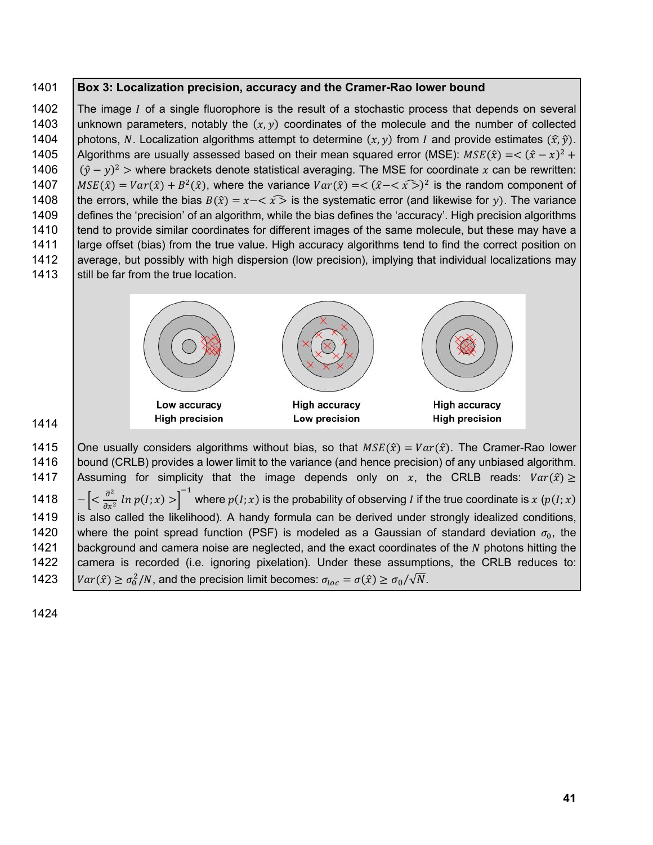#### 1401 **Box 3: Localization precision, accuracy and the Cramer-Rao lower bound**

1402 The image I of a single fluorophore is the result of a stochastic process that depends on several 1403 unknown parameters, notably the  $(x, y)$  coordinates of the molecule and the number of collected 1404 | photons, N. Localization algorithms attempt to determine  $(x, y)$  from I and provide estimates  $(\hat{x}, \hat{y})$ . 1405 | Algorithms are usually assessed based on their mean squared error (MSE):  $MSE(\hat{x}) = \langle (\hat{x} - x)^2 + y^2 \rangle$ 1406  $| (\hat{y} - y)^2$  > where brackets denote statistical averaging. The MSE for coordinate x can be rewritten: (+)  $\text{MSE}(\hat{x}) = \text{Var}(\hat{x}) + B^2(\hat{x})$ , where the variance  $\text{Var}(\hat{x}) = \langle (\hat{x} - \langle \hat{x} \rangle)^2 \rangle$  is the random component of 1408 the errors, while the bias  $B(\hat{x}) = x - \langle \hat{x} \rangle$  is the systematic error (and likewise for y). The variance 1409 defines the 'precision' of an algorithm, while the bias defines the 'accuracy'. High precision algorithms 1410 tend to provide similar coordinates for different images of the same molecule, but these may have a 1411 large offset (bias) from the true value. High accuracy algorithms tend to find the correct position on 1412 average, but possibly with high dispersion (low precision), implying that individual localizations may 1413 Still be far from the true location.



1414

1415 | One usually considers algorithms without bias, so that  $MSE(\hat{x}) = Var(\hat{x})$ . The Cramer-Rao lower 1416 | bound (CRLB) provides a lower limit to the variance (and hence precision) of any unbiased algorithm. 1417 | Assuming for simplicity that the image depends only on x, the CRLB reads:  $Var(\hat{x}) \ge$ 1418  $\left[-\left[<\frac{\partial^2}{\partial x^2} \ln p(I; x)> \right]^{-1}$  where  $p(I; x)$  is the probability of observing *I* if the true coordinate is x (p(*I*; x) 1419 is also called the likelihood)*.* A handy formula can be derived under strongly idealized conditions, 1420 Where the point spread function (PSF) is modeled as a Gaussian of standard deviation  $\sigma_0$ , the 1421 | background and camera noise are neglected, and the exact coordinates of the  $N$  photons hitting the 1422 camera is recorded (i.e. ignoring pixelation). Under these assumptions, the CRLB reduces to: 1423  $\int Var(\hat{x}) \ge \sigma_0^2/N$ , and the precision limit becomes:  $\sigma_{loc} = \sigma(\hat{x}) \ge \sigma_0/\sqrt{N}$ .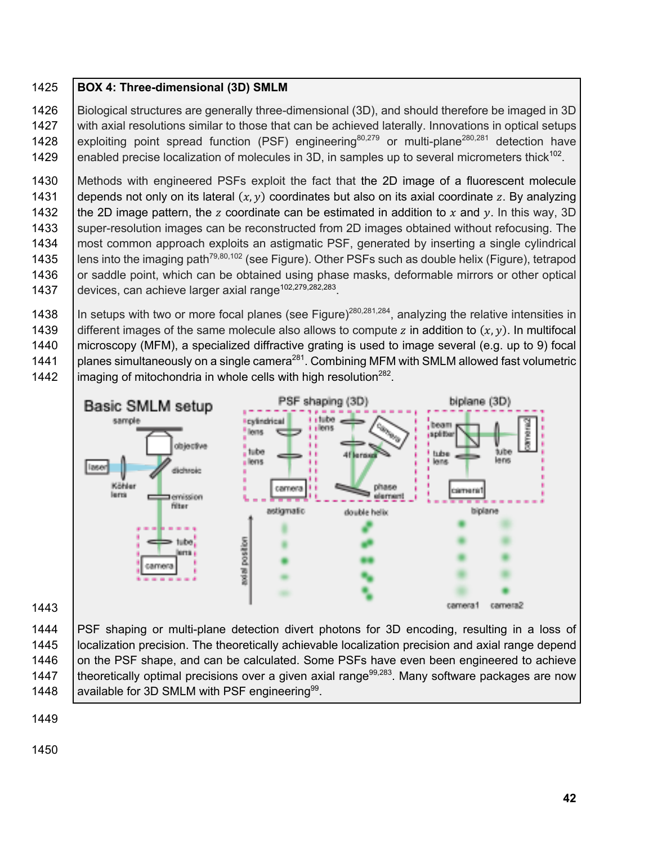#### 1425 **BOX 4: Three-dimensional (3D) SMLM**

1426 Biological structures are generally three-dimensional (3D), and should therefore be imaged in 3D 1427 with axial resolutions similar to those that can be achieved laterally. Innovations in optical setups 1428 exploiting point spread function (PSF) engineering<sup>80,279</sup> or multi-plane<sup>280,281</sup> detection have 1429 enabled precise localization of molecules in 3D, in samples up to several micrometers thick<sup>102</sup>.

1430 | Methods with engineered PSFs exploit the fact that the 2D image of a fluorescent molecule 1431 depends not only on its lateral  $(x, y)$  coordinates but also on its axial coordinate z. By analyzing 1432 the 2D image pattern, the z coordinate can be estimated in addition to x and y. In this way, 3D 1433 Super-resolution images can be reconstructed from 2D images obtained without refocusing. The 1434 | most common approach exploits an astigmatic PSF, generated by inserting a single cylindrical 1435  $\parallel$  lens into the imaging path<sup>79,80,102</sup> (see Figure). Other PSFs such as double helix (Figure), tetrapod 1436 or saddle point, which can be obtained using phase masks, deformable mirrors or other optical 1437 | devices, can achieve larger axial range<sup>102,279,282,283</sup>.

 $\parallel$  In setups with two or more focal planes (see Figure)<sup>280,281,284</sup>, analyzing the relative intensities in 1439 different images of the same molecule also allows to compute z in addition to  $(x, y)$ . In multifocal microscopy (MFM), a specialized diffractive grating is used to image several (e.g. up to 9) focal  $\parallel$  planes simultaneously on a single camera<sup>281</sup>. Combining MFM with SMLM allowed fast volumetric  $\left| \right|$  imaging of mitochondria in whole cells with high resolution<sup>282</sup>.



1443

 PSF shaping or multi-plane detection divert photons for 3D encoding, resulting in a loss of localization precision. The theoretically achievable localization precision and axial range depend 1446 on the PSF shape, and can be calculated. Some PSFs have even been engineered to achieve  $\parallel$  theoretically optimal precisions over a given axial range<sup>99,283</sup>. Many software packages are now  $\parallel$  available for 3D SMLM with PSF engineering<sup>99</sup>.

1449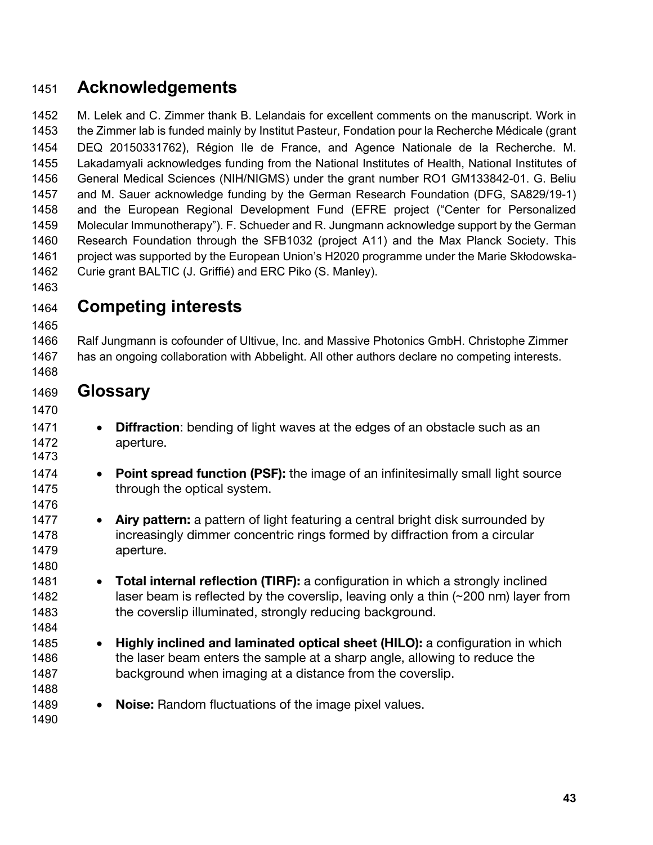# **Acknowledgements**

 M. Lelek and C. Zimmer thank B. Lelandais for excellent comments on the manuscript. Work in the Zimmer lab is funded mainly by Institut Pasteur, Fondation pour la Recherche Médicale (grant DEQ 20150331762), Région Ile de France, and Agence Nationale de la Recherche. M. Lakadamyali acknowledges funding from the National Institutes of Health, National Institutes of General Medical Sciences (NIH/NIGMS) under the grant number RO1 GM133842-01. G. Beliu and M. Sauer acknowledge funding by the German Research Foundation (DFG, SA829/19-1) and the European Regional Development Fund (EFRE project ("Center for Personalized Molecular Immunotherapy"). F. Schueder and R. Jungmann acknowledge support by the German Research Foundation through the SFB1032 (project A11) and the Max Planck Society. This project was supported by the European Union's H2020 programme under the Marie Skłodowska-Curie grant BALTIC (J. Griffié) and ERC Piko (S. Manley).

- **Competing interests**
- 

 Ralf Jungmann is cofounder of Ultivue, Inc. and Massive Photonics GmbH. Christophe Zimmer has an ongoing collaboration with Abbelight. All other authors declare no competing interests.

- **Glossary**
- 1471 **Diffraction**: bending of light waves at the edges of an obstacle such as an aperture.
- **Point spread function (PSF):** the image of an infinitesimally small light source 1475 through the optical system.
- **Airy pattern:** a pattern of light featuring a central bright disk surrounded by increasingly dimmer concentric rings formed by diffraction from a circular aperture.
- **Total internal reflection (TIRF):** a configuration in which a strongly inclined 1482 laser beam is reflected by the coverslip, leaving only a thin  $\sim$  200 nm) layer from 1483 the coverslip illuminated, strongly reducing background.
- **Highly inclined and laminated optical sheet (HILO):** a configuration in which the laser beam enters the sample at a sharp angle, allowing to reduce the background when imaging at a distance from the coverslip.
- **Noise:** Random fluctuations of the image pixel values.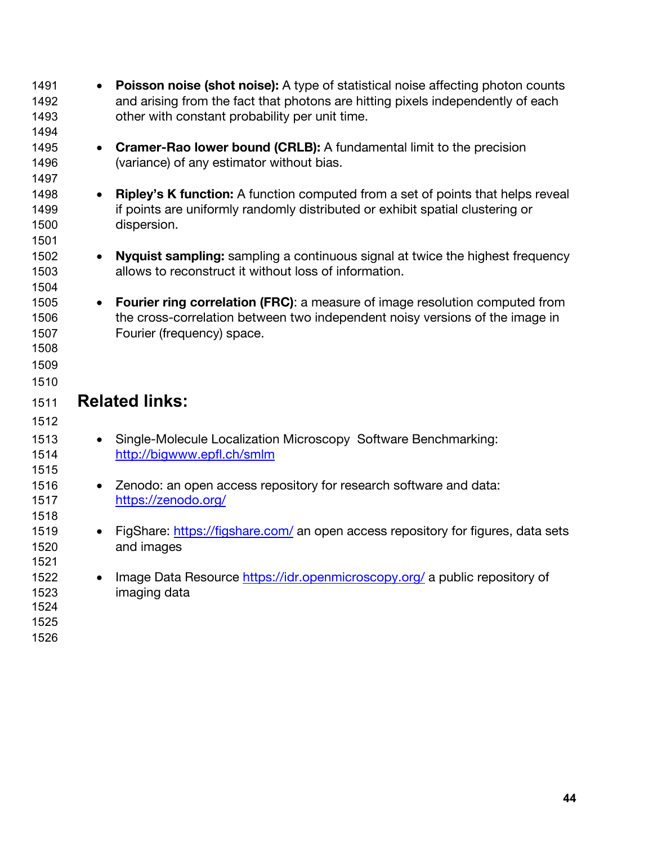| 1491<br>1492<br>1493<br>1494                 | <b>Poisson noise (shot noise):</b> A type of statistical noise affecting photon counts<br>and arising from the fact that photons are hitting pixels independently of each<br>other with constant probability per unit time. |  |
|----------------------------------------------|-----------------------------------------------------------------------------------------------------------------------------------------------------------------------------------------------------------------------------|--|
| 1495<br>1496<br>1497                         | <b>Cramer-Rao lower bound (CRLB):</b> A fundamental limit to the precision<br>$\bullet$<br>(variance) of any estimator without bias.                                                                                        |  |
| 1498<br>1499<br>1500<br>1501                 | <b>Ripley's K function:</b> A function computed from a set of points that helps reveal<br>if points are uniformly randomly distributed or exhibit spatial clustering or<br>dispersion.                                      |  |
| 1502<br>1503<br>1504                         | <b>Nyquist sampling:</b> sampling a continuous signal at twice the highest frequency<br>$\bullet$<br>allows to reconstruct it without loss of information.                                                                  |  |
| 1505<br>1506<br>1507<br>1508<br>1509<br>1510 | <b>Fourier ring correlation (FRC):</b> a measure of image resolution computed from<br>the cross-correlation between two independent noisy versions of the image in<br>Fourier (frequency) space.                            |  |
| 1511<br>1512                                 | <b>Related links:</b>                                                                                                                                                                                                       |  |
| 1513                                         | Single-Molecule Localization Microscopy Software Benchmarking:                                                                                                                                                              |  |
| 1514                                         | http://bigwww.epfl.ch/smlm                                                                                                                                                                                                  |  |
| 1515<br>1516<br>1517<br>1518                 | Zenodo: an open access repository for research software and data:<br>https://zenodo.org/                                                                                                                                    |  |
| 1519<br>1520<br>1521                         | FigShare: https://figshare.com/ an open access repository for figures, data sets<br>and images                                                                                                                              |  |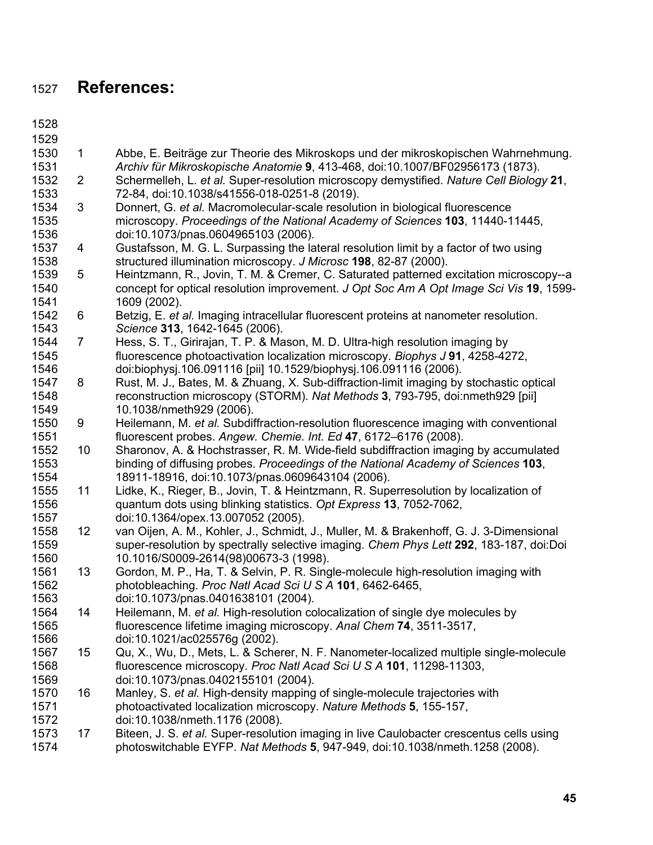# **References:**

- 
- 
- 1 Abbe, E. Beiträge zur Theorie des Mikroskops und der mikroskopischen Wahrnehmung. *Archiv für Mikroskopische Anatomie* **9**, 413-468, doi:10.1007/BF02956173 (1873). 2 Schermelleh, L. *et al.* Super-resolution microscopy demystified. *Nature Cell Biology* **21**, 1533 72-84, doi:10.1038/s41556-018-0251-8 (2019).<br>1534 3 Donnert, G. et al. Macromolecular-scale resolut
- 3 Donnert, G. *et al.* Macromolecular-scale resolution in biological fluorescence microscopy. *Proceedings of the National Academy of Sciences* **103**, 11440-11445, doi:10.1073/pnas.0604965103 (2006).
- 4 Gustafsson, M. G. L. Surpassing the lateral resolution limit by a factor of two using structured illumination microscopy. *J Microsc* **198**, 82-87 (2000).
- 5 Heintzmann, R., Jovin, T. M. & Cremer, C. Saturated patterned excitation microscopy--a concept for optical resolution improvement. *J Opt Soc Am A Opt Image Sci Vis* **19**, 1599- 1609 (2002).
- 6 Betzig, E. *et al.* Imaging intracellular fluorescent proteins at nanometer resolution. *Science* **313**, 1642-1645 (2006).
- 7 Hess, S. T., Girirajan, T. P. & Mason, M. D. Ultra-high resolution imaging by fluorescence photoactivation localization microscopy. *Biophys J* **91**, 4258-4272, doi:biophysj.106.091116 [pii] 10.1529/biophysj.106.091116 (2006).
- 8 Rust, M. J., Bates, M. & Zhuang, X. Sub-diffraction-limit imaging by stochastic optical reconstruction microscopy (STORM). *Nat Methods* **3**, 793-795, doi:nmeth929 [pii] 10.1038/nmeth929 (2006).
- 9 Heilemann, M. *et al.* Subdiffraction-resolution fluorescence imaging with conventional fluorescent probes. *Angew. Chemie. Int. Ed* **47**, 6172–6176 (2008).
- 10 Sharonov, A. & Hochstrasser, R. M. Wide-field subdiffraction imaging by accumulated binding of diffusing probes. *Proceedings of the National Academy of Sciences* **103**, 18911-18916, doi:10.1073/pnas.0609643104 (2006).
- 11 Lidke, K., Rieger, B., Jovin, T. & Heintzmann, R. Superresolution by localization of quantum dots using blinking statistics. *Opt Express* **13**, 7052-7062, doi:10.1364/opex.13.007052 (2005).
- 12 van Oijen, A. M., Kohler, J., Schmidt, J., Muller, M. & Brakenhoff, G. J. 3-Dimensional super-resolution by spectrally selective imaging. *Chem Phys Lett* **292**, 183-187, doi:Doi 10.1016/S0009-2614(98)00673-3 (1998).
- 13 Gordon, M. P., Ha, T. & Selvin, P. R. Single-molecule high-resolution imaging with photobleaching. *Proc Natl Acad Sci U S A* **101**, 6462-6465, doi:10.1073/pnas.0401638101 (2004).
- 14 Heilemann, M. *et al.* High-resolution colocalization of single dye molecules by fluorescence lifetime imaging microscopy. *Anal Chem* **74**, 3511-3517, doi:10.1021/ac025576g (2002).
- 15 Qu, X., Wu, D., Mets, L. & Scherer, N. F. Nanometer-localized multiple single-molecule fluorescence microscopy. *Proc Natl Acad Sci U S A* **101**, 11298-11303, doi:10.1073/pnas.0402155101 (2004).
- 16 Manley, S. *et al.* High-density mapping of single-molecule trajectories with photoactivated localization microscopy. *Nature Methods* **5**, 155-157, doi:10.1038/nmeth.1176 (2008).
- 17 Biteen, J. S. *et al.* Super-resolution imaging in live Caulobacter crescentus cells using photoswitchable EYFP. *Nat Methods* **5**, 947-949, doi:10.1038/nmeth.1258 (2008).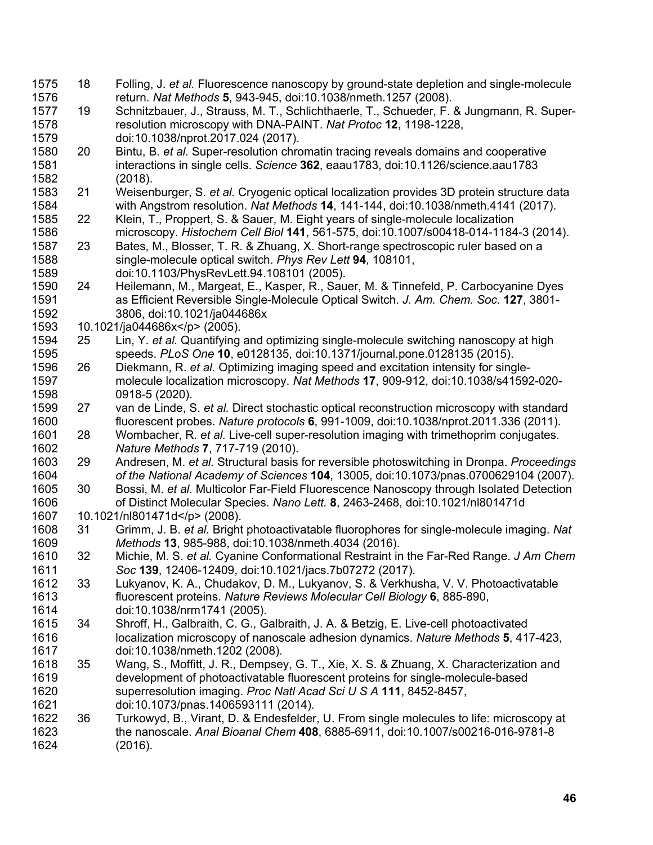18 Folling, J. *et al.* Fluorescence nanoscopy by ground-state depletion and single-molecule return. *Nat Methods* **5**, 943-945, doi:10.1038/nmeth.1257 (2008). 19 Schnitzbauer, J., Strauss, M. T., Schlichthaerle, T., Schueder, F. & Jungmann, R. Super- resolution microscopy with DNA-PAINT. *Nat Protoc* **12**, 1198-1228, doi:10.1038/nprot.2017.024 (2017). 20 Bintu, B. *et al.* Super-resolution chromatin tracing reveals domains and cooperative interactions in single cells. *Science* **362**, eaau1783, doi:10.1126/science.aau1783 (2018). 21 Weisenburger, S. *et al.* Cryogenic optical localization provides 3D protein structure data with Angstrom resolution. *Nat Methods* **14**, 141-144, doi:10.1038/nmeth.4141 (2017). 22 Klein, T., Proppert, S. & Sauer, M. Eight years of single-molecule localization microscopy. *Histochem Cell Biol* **141**, 561-575, doi:10.1007/s00418-014-1184-3 (2014). 23 Bates, M., Blosser, T. R. & Zhuang, X. Short-range spectroscopic ruler based on a single-molecule optical switch. *Phys Rev Lett* **94**, 108101, doi:10.1103/PhysRevLett.94.108101 (2005). 24 Heilemann, M., Margeat, E., Kasper, R., Sauer, M. & Tinnefeld, P. Carbocyanine Dyes as Efficient Reversible Single-Molecule Optical Switch. *J. Am. Chem. Soc.* **127**, 3801- 3806, doi:10.1021/ja044686x 10.1021/ja044686x</p> (2005). 25 Lin, Y. *et al.* Quantifying and optimizing single-molecule switching nanoscopy at high speeds. *PLoS One* **10**, e0128135, doi:10.1371/journal.pone.0128135 (2015). 26 Diekmann, R. *et al.* Optimizing imaging speed and excitation intensity for single- molecule localization microscopy. *Nat Methods* **17**, 909-912, doi:10.1038/s41592-020- 0918-5 (2020). 27 van de Linde, S. *et al.* Direct stochastic optical reconstruction microscopy with standard fluorescent probes. *Nature protocols* **6**, 991-1009, doi:10.1038/nprot.2011.336 (2011). 28 Wombacher, R. *et al.* Live-cell super-resolution imaging with trimethoprim conjugates. *Nature Methods* **7**, 717-719 (2010). 29 Andresen, M. *et al.* Structural basis for reversible photoswitching in Dronpa. *Proceedings of the National Academy of Sciences* **104**, 13005, doi:10.1073/pnas.0700629104 (2007). 30 Bossi, M. *et al.* Multicolor Far-Field Fluorescence Nanoscopy through Isolated Detection of Distinct Molecular Species. *Nano Lett.* **8**, 2463-2468, doi:10.1021/nl801471d 10.1021/nl801471d</p> (2008). 31 Grimm, J. B. *et al.* Bright photoactivatable fluorophores for single-molecule imaging. *Nat Methods* **13**, 985-988, doi:10.1038/nmeth.4034 (2016). 32 Michie, M. S. *et al.* Cyanine Conformational Restraint in the Far-Red Range. *J Am Chem Soc* **139**, 12406-12409, doi:10.1021/jacs.7b07272 (2017). 33 Lukyanov, K. A., Chudakov, D. M., Lukyanov, S. & Verkhusha, V. V. Photoactivatable fluorescent proteins. *Nature Reviews Molecular Cell Biology* **6**, 885-890, doi:10.1038/nrm1741 (2005). 34 Shroff, H., Galbraith, C. G., Galbraith, J. A. & Betzig, E. Live-cell photoactivated localization microscopy of nanoscale adhesion dynamics. *Nature Methods* **5**, 417-423, doi:10.1038/nmeth.1202 (2008). 35 Wang, S., Moffitt, J. R., Dempsey, G. T., Xie, X. S. & Zhuang, X. Characterization and development of photoactivatable fluorescent proteins for single-molecule-based superresolution imaging. *Proc Natl Acad Sci U S A* **111**, 8452-8457, doi:10.1073/pnas.1406593111 (2014). 36 Turkowyd, B., Virant, D. & Endesfelder, U. From single molecules to life: microscopy at the nanoscale. *Anal Bioanal Chem* **408**, 6885-6911, doi:10.1007/s00216-016-9781-8 (2016).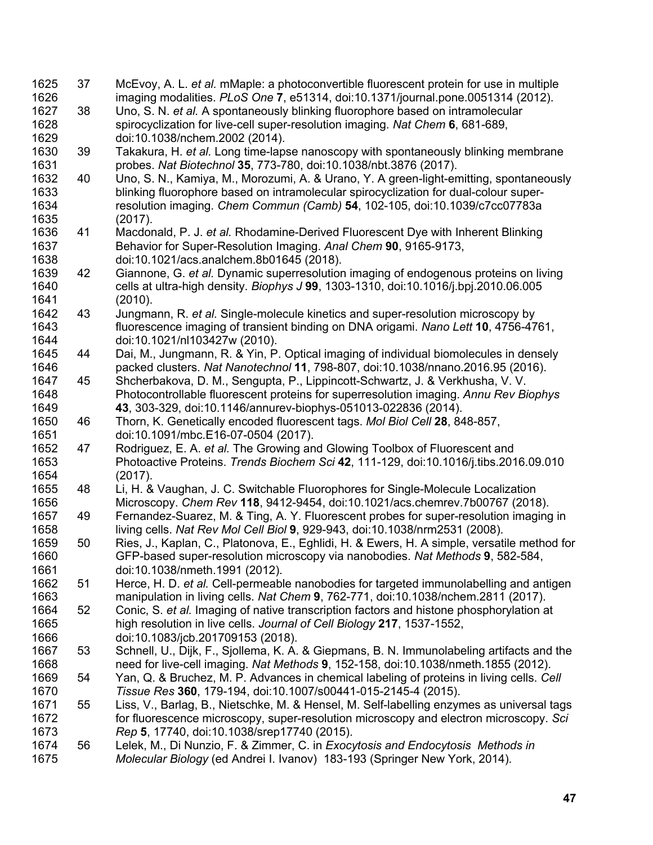| 1625<br>1626 | 37 | McEvoy, A. L. et al. mMaple: a photoconvertible fluorescent protein for use in multiple<br>imaging modalities. PLoS One 7, e51314, doi:10.1371/journal.pone.0051314 (2012). |
|--------------|----|-----------------------------------------------------------------------------------------------------------------------------------------------------------------------------|
| 1627         | 38 | Uno, S. N. et al. A spontaneously blinking fluorophore based on intramolecular                                                                                              |
| 1628         |    | spirocyclization for live-cell super-resolution imaging. Nat Chem 6, 681-689,                                                                                               |
|              |    |                                                                                                                                                                             |
| 1629         |    | doi:10.1038/nchem.2002 (2014).                                                                                                                                              |
| 1630         | 39 | Takakura, H. et al. Long time-lapse nanoscopy with spontaneously blinking membrane                                                                                          |
| 1631         |    | probes. Nat Biotechnol 35, 773-780, doi:10.1038/nbt.3876 (2017).                                                                                                            |
| 1632         | 40 | Uno, S. N., Kamiya, M., Morozumi, A. & Urano, Y. A green-light-emitting, spontaneously                                                                                      |
| 1633         |    | blinking fluorophore based on intramolecular spirocyclization for dual-colour super-                                                                                        |
| 1634         |    | resolution imaging. Chem Commun (Camb) 54, 102-105, doi:10.1039/c7cc07783a                                                                                                  |
| 1635         |    | (2017).                                                                                                                                                                     |
| 1636         | 41 | Macdonald, P. J. et al. Rhodamine-Derived Fluorescent Dye with Inherent Blinking                                                                                            |
| 1637         |    | Behavior for Super-Resolution Imaging. Anal Chem 90, 9165-9173,                                                                                                             |
| 1638         |    | doi:10.1021/acs.analchem.8b01645 (2018).                                                                                                                                    |
| 1639         | 42 | Giannone, G. et al. Dynamic superresolution imaging of endogenous proteins on living                                                                                        |
| 1640         |    | cells at ultra-high density. Biophys J 99, 1303-1310, doi:10.1016/j.bpj.2010.06.005                                                                                         |
| 1641         |    | (2010).                                                                                                                                                                     |
| 1642         | 43 | Jungmann, R. et al. Single-molecule kinetics and super-resolution microscopy by                                                                                             |
| 1643         |    | fluorescence imaging of transient binding on DNA origami. Nano Lett 10, 4756-4761,                                                                                          |
| 1644         |    | doi:10.1021/nl103427w (2010).                                                                                                                                               |
| 1645         | 44 | Dai, M., Jungmann, R. & Yin, P. Optical imaging of individual biomolecules in densely                                                                                       |
| 1646         |    | packed clusters. Nat Nanotechnol 11, 798-807, doi:10.1038/nnano.2016.95 (2016).                                                                                             |
| 1647         | 45 | Shcherbakova, D. M., Sengupta, P., Lippincott-Schwartz, J. & Verkhusha, V. V.                                                                                               |
| 1648         |    | Photocontrollable fluorescent proteins for superresolution imaging. Annu Rev Biophys                                                                                        |
| 1649         |    | 43, 303-329, doi:10.1146/annurev-biophys-051013-022836 (2014).                                                                                                              |
| 1650         | 46 | Thorn, K. Genetically encoded fluorescent tags. Mol Biol Cell 28, 848-857,                                                                                                  |
| 1651         |    | doi:10.1091/mbc.E16-07-0504 (2017).                                                                                                                                         |
| 1652         | 47 | Rodriguez, E. A. et al. The Growing and Glowing Toolbox of Fluorescent and                                                                                                  |
| 1653         |    | Photoactive Proteins. Trends Biochem Sci 42, 111-129, doi:10.1016/j.tibs.2016.09.010                                                                                        |
| 1654         |    | (2017).                                                                                                                                                                     |
| 1655         | 48 | Li, H. & Vaughan, J. C. Switchable Fluorophores for Single-Molecule Localization                                                                                            |
| 1656         |    | Microscopy. Chem Rev 118, 9412-9454, doi:10.1021/acs.chemrev.7b00767 (2018).                                                                                                |
| 1657         | 49 | Fernandez-Suarez, M. & Ting, A. Y. Fluorescent probes for super-resolution imaging in                                                                                       |
| 1658         |    | living cells. Nat Rev Mol Cell Biol 9, 929-943, doi:10.1038/nrm2531 (2008).                                                                                                 |
| 1659         | 50 | Ries, J., Kaplan, C., Platonova, E., Eghlidi, H. & Ewers, H. A simple, versatile method for                                                                                 |
| 1660         |    | GFP-based super-resolution microscopy via nanobodies. Nat Methods 9, 582-584,                                                                                               |
| 1661         |    | doi:10.1038/nmeth.1991 (2012).                                                                                                                                              |
| 1662         | 51 | Herce, H. D. et al. Cell-permeable nanobodies for targeted immunolabelling and antigen                                                                                      |
| 1663         |    | manipulation in living cells. Nat Chem 9, 762-771, doi:10.1038/nchem.2811 (2017).                                                                                           |
| 1664         | 52 | Conic, S. et al. Imaging of native transcription factors and histone phosphorylation at                                                                                     |
| 1665         |    | high resolution in live cells. Journal of Cell Biology 217, 1537-1552,                                                                                                      |
| 1666         |    | doi:10.1083/jcb.201709153 (2018).                                                                                                                                           |
| 1667         | 53 | Schnell, U., Dijk, F., Sjollema, K. A. & Giepmans, B. N. Immunolabeling artifacts and the                                                                                   |
| 1668         |    | need for live-cell imaging. Nat Methods 9, 152-158, doi:10.1038/nmeth.1855 (2012).                                                                                          |
| 1669         | 54 | Yan, Q. & Bruchez, M. P. Advances in chemical labeling of proteins in living cells. Cell                                                                                    |
| 1670         |    | Tissue Res 360, 179-194, doi:10.1007/s00441-015-2145-4 (2015).                                                                                                              |
| 1671         | 55 | Liss, V., Barlag, B., Nietschke, M. & Hensel, M. Self-labelling enzymes as universal tags                                                                                   |
| 1672         |    | for fluorescence microscopy, super-resolution microscopy and electron microscopy. Sci                                                                                       |
| 1673         |    | Rep 5, 17740, doi:10.1038/srep17740 (2015).                                                                                                                                 |
| 1674         | 56 | Lelek, M., Di Nunzio, F. & Zimmer, C. in Exocytosis and Endocytosis Methods in                                                                                              |
| 1675         |    | Molecular Biology (ed Andrei I. Ivanov) 183-193 (Springer New York, 2014).                                                                                                  |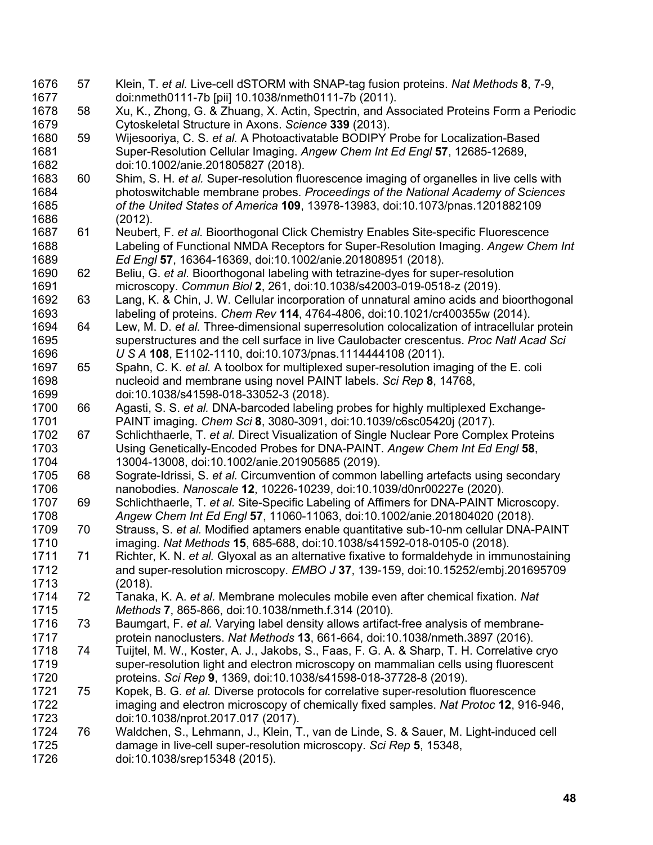57 Klein, T. *et al.* Live-cell dSTORM with SNAP-tag fusion proteins. *Nat Methods* **8**, 7-9, doi:nmeth0111-7b [pii] 10.1038/nmeth0111-7b (2011). 58 Xu, K., Zhong, G. & Zhuang, X. Actin, Spectrin, and Associated Proteins Form a Periodic Cytoskeletal Structure in Axons. *Science* **339** (2013). 59 Wijesooriya, C. S. *et al.* A Photoactivatable BODIPY Probe for Localization-Based Super-Resolution Cellular Imaging. *Angew Chem Int Ed Engl* **57**, 12685-12689, doi:10.1002/anie.201805827 (2018). 60 Shim, S. H. *et al.* Super-resolution fluorescence imaging of organelles in live cells with photoswitchable membrane probes. *Proceedings of the National Academy of Sciences of the United States of America* **109**, 13978-13983, doi:10.1073/pnas.1201882109 (2012). 61 Neubert, F. *et al.* Bioorthogonal Click Chemistry Enables Site-specific Fluorescence Labeling of Functional NMDA Receptors for Super-Resolution Imaging. *Angew Chem Int Ed Engl* **57**, 16364-16369, doi:10.1002/anie.201808951 (2018). 62 Beliu, G. *et al.* Bioorthogonal labeling with tetrazine-dyes for super-resolution microscopy. *Commun Biol* **2**, 261, doi:10.1038/s42003-019-0518-z (2019). 63 Lang, K. & Chin, J. W. Cellular incorporation of unnatural amino acids and bioorthogonal labeling of proteins. *Chem Rev* **114**, 4764-4806, doi:10.1021/cr400355w (2014). 64 Lew, M. D. *et al.* Three-dimensional superresolution colocalization of intracellular protein superstructures and the cell surface in live Caulobacter crescentus. *Proc Natl Acad Sci U S A* **108**, E1102-1110, doi:10.1073/pnas.1114444108 (2011). 65 Spahn, C. K. *et al.* A toolbox for multiplexed super-resolution imaging of the E. coli nucleoid and membrane using novel PAINT labels. *Sci Rep* **8**, 14768, doi:10.1038/s41598-018-33052-3 (2018). 66 Agasti, S. S. *et al.* DNA-barcoded labeling probes for highly multiplexed Exchange- PAINT imaging. *Chem Sci* **8**, 3080-3091, doi:10.1039/c6sc05420j (2017). 67 Schlichthaerle, T. *et al.* Direct Visualization of Single Nuclear Pore Complex Proteins Using Genetically-Encoded Probes for DNA-PAINT. *Angew Chem Int Ed Engl* **58**, 13004-13008, doi:10.1002/anie.201905685 (2019). 68 Sograte-Idrissi, S. *et al.* Circumvention of common labelling artefacts using secondary nanobodies. *Nanoscale* **12**, 10226-10239, doi:10.1039/d0nr00227e (2020). 69 Schlichthaerle, T. *et al.* Site-Specific Labeling of Affimers for DNA-PAINT Microscopy. *Angew Chem Int Ed Engl* **57**, 11060-11063, doi:10.1002/anie.201804020 (2018). 70 Strauss, S. *et al.* Modified aptamers enable quantitative sub-10-nm cellular DNA-PAINT imaging. *Nat Methods* **15**, 685-688, doi:10.1038/s41592-018-0105-0 (2018). 71 Richter, K. N. *et al.* Glyoxal as an alternative fixative to formaldehyde in immunostaining and super-resolution microscopy. *EMBO J* **37**, 139-159, doi:10.15252/embj.201695709 1713 (2018).<br>1714 72 Tanaka 72 Tanaka, K. A. *et al.* Membrane molecules mobile even after chemical fixation. *Nat Methods* **7**, 865-866, doi:10.1038/nmeth.f.314 (2010). 73 Baumgart, F. *et al.* Varying label density allows artifact-free analysis of membrane- protein nanoclusters. *Nat Methods* **13**, 661-664, doi:10.1038/nmeth.3897 (2016). 74 Tuijtel, M. W., Koster, A. J., Jakobs, S., Faas, F. G. A. & Sharp, T. H. Correlative cryo super-resolution light and electron microscopy on mammalian cells using fluorescent proteins. *Sci Rep* **9**, 1369, doi:10.1038/s41598-018-37728-8 (2019). 75 Kopek, B. G. *et al.* Diverse protocols for correlative super-resolution fluorescence imaging and electron microscopy of chemically fixed samples. *Nat Protoc* **12**, 916-946, doi:10.1038/nprot.2017.017 (2017). 76 Waldchen, S., Lehmann, J., Klein, T., van de Linde, S. & Sauer, M. Light-induced cell damage in live-cell super-resolution microscopy. *Sci Rep* **5**, 15348, doi:10.1038/srep15348 (2015).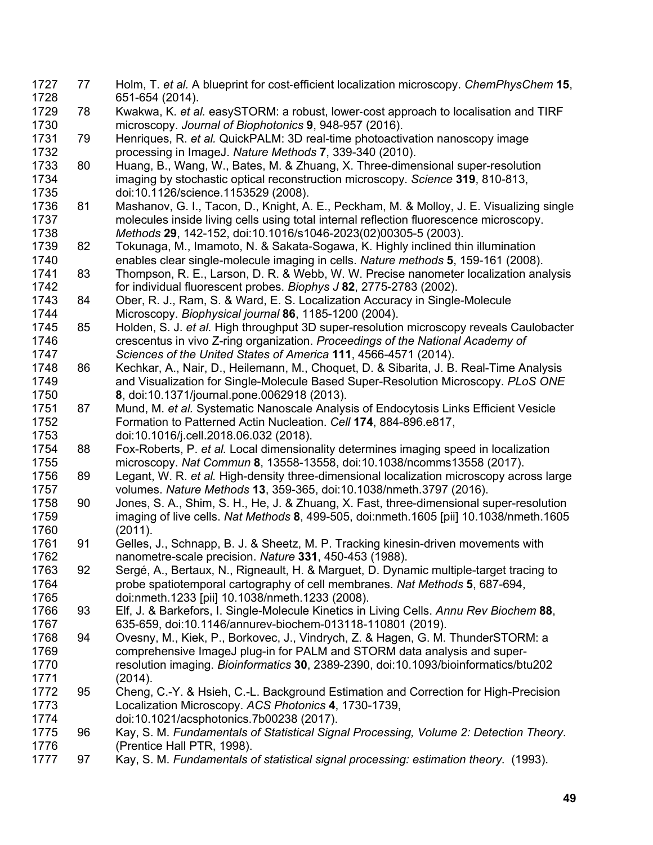77 Holm, T. *et al.* A blueprint for cost-efficient localization microscopy. *ChemPhysChem* **15**, 651-654 (2014). 78 Kwakwa, K. *et al.* easySTORM: a robust, lower-cost approach to localisation and TIRF microscopy. *Journal of Biophotonics* **9**, 948-957 (2016). 79 Henriques, R. *et al.* QuickPALM: 3D real-time photoactivation nanoscopy image processing in ImageJ. *Nature Methods* **7**, 339-340 (2010). 80 Huang, B., Wang, W., Bates, M. & Zhuang, X. Three-dimensional super-resolution imaging by stochastic optical reconstruction microscopy. *Science* **319**, 810-813, doi:10.1126/science.1153529 (2008). 81 Mashanov, G. I., Tacon, D., Knight, A. E., Peckham, M. & Molloy, J. E. Visualizing single molecules inside living cells using total internal reflection fluorescence microscopy. *Methods* **29**, 142-152, doi:10.1016/s1046-2023(02)00305-5 (2003). Tokunaga, M., Imamoto, N. & Sakata-Sogawa, K. Highly inclined thin illumination enables clear single-molecule imaging in cells. *Nature methods* **5**, 159-161 (2008). 83 Thompson, R. E., Larson, D. R. & Webb, W. W. Precise nanometer localization analysis for individual fluorescent probes. *Biophys J* **82**, 2775-2783 (2002). 84 Ober, R. J., Ram, S. & Ward, E. S. Localization Accuracy in Single-Molecule Microscopy. *Biophysical journal* **86**, 1185-1200 (2004). 85 Holden, S. J. *et al.* High throughput 3D super-resolution microscopy reveals Caulobacter crescentus in vivo Z-ring organization. *Proceedings of the National Academy of Sciences of the United States of America* **111**, 4566-4571 (2014). 1748 86 Kechkar, A., Nair, D., Heilemann, M., Choquet, D. & Sibarita, J. B. Real-Time Analysis<br>1749 and Visualization for Single-Molecule Based Super-Resolution Microscopy. PLoS ONE and Visualization for Single-Molecule Based Super-Resolution Microscopy. *PLoS ONE*  **8**, doi:10.1371/journal.pone.0062918 (2013). 87 Mund, M. *et al.* Systematic Nanoscale Analysis of Endocytosis Links Efficient Vesicle Formation to Patterned Actin Nucleation. *Cell* **174**, 884-896.e817, doi:10.1016/j.cell.2018.06.032 (2018). 88 Fox-Roberts, P. *et al.* Local dimensionality determines imaging speed in localization microscopy. *Nat Commun* **8**, 13558-13558, doi:10.1038/ncomms13558 (2017). 89 Legant, W. R. *et al.* High-density three-dimensional localization microscopy across large volumes. *Nature Methods* **13**, 359-365, doi:10.1038/nmeth.3797 (2016). 90 Jones, S. A., Shim, S. H., He, J. & Zhuang, X. Fast, three-dimensional super-resolution imaging of live cells. *Nat Methods* **8**, 499-505, doi:nmeth.1605 [pii] 10.1038/nmeth.1605 (2011). 91 Gelles, J., Schnapp, B. J. & Sheetz, M. P. Tracking kinesin-driven movements with nanometre-scale precision. *Nature* **331**, 450-453 (1988). 92 Sergé, A., Bertaux, N., Rigneault, H. & Marguet, D. Dynamic multiple-target tracing to probe spatiotemporal cartography of cell membranes. *Nat Methods* **5**, 687-694, doi:nmeth.1233 [pii] 10.1038/nmeth.1233 (2008). 93 Elf, J. & Barkefors, I. Single-Molecule Kinetics in Living Cells. *Annu Rev Biochem* **88**, 635-659, doi:10.1146/annurev-biochem-013118-110801 (2019). 94 Ovesny, M., Kiek, P., Borkovec, J., Vindrych, Z. & Hagen, G. M. ThunderSTORM: a comprehensive ImageJ plug-in for PALM and STORM data analysis and super- resolution imaging. *Bioinformatics* **30**, 2389-2390, doi:10.1093/bioinformatics/btu202 (2014). 95 Cheng, C.-Y. & Hsieh, C.-L. Background Estimation and Correction for High-Precision Localization Microscopy. *ACS Photonics* **4**, 1730-1739, doi:10.1021/acsphotonics.7b00238 (2017). 96 Kay, S. M. *Fundamentals of Statistical Signal Processing, Volume 2: Detection Theory*. 1776 (Prentice Hall PTR, 1998).<br>1777 97 Kav. S. M. Fundamentals d 97 Kay, S. M. *Fundamentals of statistical signal processing: estimation theory*. (1993).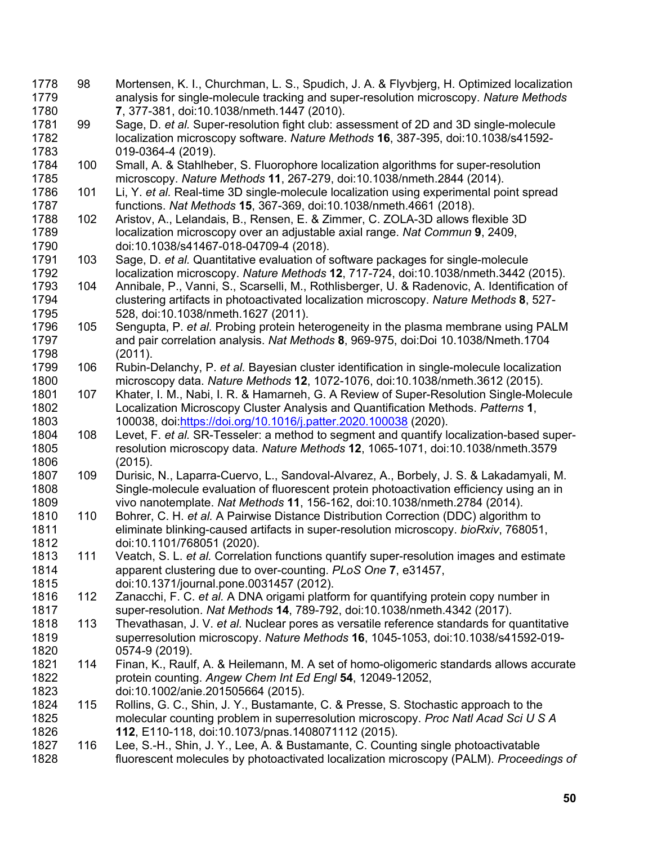98 Mortensen, K. I., Churchman, L. S., Spudich, J. A. & Flyvbjerg, H. Optimized localization analysis for single-molecule tracking and super-resolution microscopy. *Nature Methods* **7**, 377-381, doi:10.1038/nmeth.1447 (2010). 99 Sage, D. *et al.* Super-resolution fight club: assessment of 2D and 3D single-molecule localization microscopy software. *Nature Methods* **16**, 387-395, doi:10.1038/s41592- 019-0364-4 (2019). 100 Small, A. & Stahlheber, S. Fluorophore localization algorithms for super-resolution microscopy. *Nature Methods* **11**, 267-279, doi:10.1038/nmeth.2844 (2014). 101 Li, Y. *et al.* Real-time 3D single-molecule localization using experimental point spread functions. *Nat Methods* **15**, 367-369, doi:10.1038/nmeth.4661 (2018). 102 Aristov, A., Lelandais, B., Rensen, E. & Zimmer, C. ZOLA-3D allows flexible 3D localization microscopy over an adjustable axial range. *Nat Commun* **9**, 2409, doi:10.1038/s41467-018-04709-4 (2018). 103 Sage, D. *et al.* Quantitative evaluation of software packages for single-molecule localization microscopy. *Nature Methods* **12**, 717-724, doi:10.1038/nmeth.3442 (2015). 104 Annibale, P., Vanni, S., Scarselli, M., Rothlisberger, U. & Radenovic, A. Identification of clustering artifacts in photoactivated localization microscopy. *Nature Methods* **8**, 527- 528, doi:10.1038/nmeth.1627 (2011). 105 Sengupta, P. *et al.* Probing protein heterogeneity in the plasma membrane using PALM and pair correlation analysis. *Nat Methods* **8**, 969-975, doi:Doi 10.1038/Nmeth.1704 (2011). 106 Rubin-Delanchy, P. *et al.* Bayesian cluster identification in single-molecule localization microscopy data. *Nature Methods* **12**, 1072-1076, doi:10.1038/nmeth.3612 (2015). 107 Khater, I. M., Nabi, I. R. & Hamarneh, G. A Review of Super-Resolution Single-Molecule Localization Microscopy Cluster Analysis and Quantification Methods. *Patterns* **1**, 100038, doi:https://doi.org/10.1016/j.patter.2020.100038 (2020). 108 Levet, F. *et al.* SR-Tesseler: a method to segment and quantify localization-based super- resolution microscopy data. *Nature Methods* **12**, 1065-1071, doi:10.1038/nmeth.3579 1806 (2015).<br>1807 109 Durisic. 109 Durisic, N., Laparra-Cuervo, L., Sandoval-Alvarez, A., Borbely, J. S. & Lakadamyali, M. Single-molecule evaluation of fluorescent protein photoactivation efficiency using an in vivo nanotemplate. *Nat Methods* **11**, 156-162, doi:10.1038/nmeth.2784 (2014). 110 Bohrer, C. H. *et al.* A Pairwise Distance Distribution Correction (DDC) algorithm to eliminate blinking-caused artifacts in super-resolution microscopy. *bioRxiv*, 768051, doi:10.1101/768051 (2020). 111 Veatch, S. L. *et al.* Correlation functions quantify super-resolution images and estimate apparent clustering due to over-counting. *PLoS One* **7**, e31457, doi:10.1371/journal.pone.0031457 (2012). 112 Zanacchi, F. C. *et al.* A DNA origami platform for quantifying protein copy number in super-resolution. *Nat Methods* **14**, 789-792, doi:10.1038/nmeth.4342 (2017). 113 Thevathasan, J. V. *et al.* Nuclear pores as versatile reference standards for quantitative superresolution microscopy. *Nature Methods* **16**, 1045-1053, doi:10.1038/s41592-019- 0574-9 (2019). 114 Finan, K., Raulf, A. & Heilemann, M. A set of homo-oligomeric standards allows accurate protein counting. *Angew Chem Int Ed Engl* **54**, 12049-12052, doi:10.1002/anie.201505664 (2015). 115 Rollins, G. C., Shin, J. Y., Bustamante, C. & Presse, S. Stochastic approach to the molecular counting problem in superresolution microscopy. *Proc Natl Acad Sci U S A* **112**, E110-118, doi:10.1073/pnas.1408071112 (2015). 116 Lee, S.-H., Shin, J. Y., Lee, A. & Bustamante, C. Counting single photoactivatable fluorescent molecules by photoactivated localization microscopy (PALM). *Proceedings of*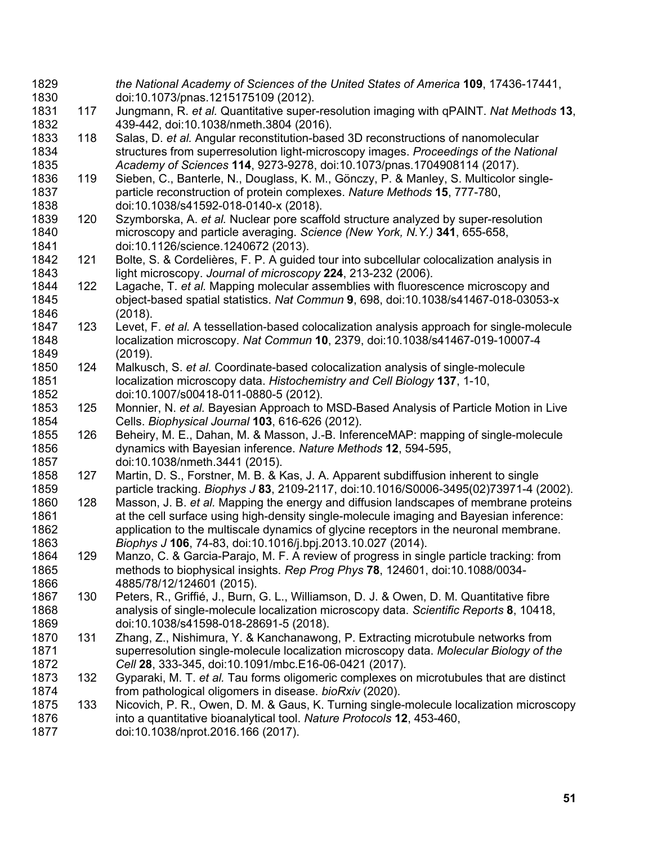*the National Academy of Sciences of the United States of America* **109**, 17436-17441, doi:10.1073/pnas.1215175109 (2012). 117 Jungmann, R. *et al.* Quantitative super-resolution imaging with qPAINT. *Nat Methods* **13**, 439-442, doi:10.1038/nmeth.3804 (2016). 118 Salas, D. *et al.* Angular reconstitution-based 3D reconstructions of nanomolecular structures from superresolution light-microscopy images. *Proceedings of the National Academy of Sciences* **114**, 9273-9278, doi:10.1073/pnas.1704908114 (2017). 119 Sieben, C., Banterle, N., Douglass, K. M., Gönczy, P. & Manley, S. Multicolor single- particle reconstruction of protein complexes. *Nature Methods* **15**, 777-780, doi:10.1038/s41592-018-0140-x (2018). 120 Szymborska, A. *et al.* Nuclear pore scaffold structure analyzed by super-resolution microscopy and particle averaging. *Science (New York, N.Y.)* **341**, 655-658, doi:10.1126/science.1240672 (2013). 121 Bolte, S. & Cordelières, F. P. A guided tour into subcellular colocalization analysis in light microscopy. *Journal of microscopy* **224**, 213-232 (2006). 122 Lagache, T. *et al.* Mapping molecular assemblies with fluorescence microscopy and object-based spatial statistics. *Nat Commun* **9**, 698, doi:10.1038/s41467-018-03053-x (2018). 123 Levet, F. *et al.* A tessellation-based colocalization analysis approach for single-molecule localization microscopy. *Nat Commun* **10**, 2379, doi:10.1038/s41467-019-10007-4 (2019). 124 Malkusch, S. *et al.* Coordinate-based colocalization analysis of single-molecule localization microscopy data. *Histochemistry and Cell Biology* **137**, 1-10, doi:10.1007/s00418-011-0880-5 (2012). 125 Monnier, N. *et al.* Bayesian Approach to MSD-Based Analysis of Particle Motion in Live Cells. *Biophysical Journal* **103**, 616-626 (2012). 126 Beheiry, M. E., Dahan, M. & Masson, J.-B. InferenceMAP: mapping of single-molecule dynamics with Bayesian inference. *Nature Methods* **12**, 594-595, doi:10.1038/nmeth.3441 (2015). 127 Martin, D. S., Forstner, M. B. & Kas, J. A. Apparent subdiffusion inherent to single particle tracking. *Biophys J* **83**, 2109-2117, doi:10.1016/S0006-3495(02)73971-4 (2002). 128 Masson, J. B. *et al.* Mapping the energy and diffusion landscapes of membrane proteins 1861 at the cell surface using high-density single-molecule imaging and Bayesian inference: application to the multiscale dynamics of glycine receptors in the neuronal membrane. *Biophys J* **106**, 74-83, doi:10.1016/j.bpj.2013.10.027 (2014). 129 Manzo, C. & Garcia-Parajo, M. F. A review of progress in single particle tracking: from methods to biophysical insights. *Rep Prog Phys* **78**, 124601, doi:10.1088/0034- 4885/78/12/124601 (2015). 130 Peters, R., Griffié, J., Burn, G. L., Williamson, D. J. & Owen, D. M. Quantitative fibre analysis of single-molecule localization microscopy data. *Scientific Reports* **8**, 10418, doi:10.1038/s41598-018-28691-5 (2018). 131 Zhang, Z., Nishimura, Y. & Kanchanawong, P. Extracting microtubule networks from superresolution single-molecule localization microscopy data. *Molecular Biology of the Cell* **28**, 333-345, doi:10.1091/mbc.E16-06-0421 (2017). 132 Gyparaki, M. T. *et al.* Tau forms oligomeric complexes on microtubules that are distinct from pathological oligomers in disease. *bioRxiv* (2020). 133 Nicovich, P. R., Owen, D. M. & Gaus, K. Turning single-molecule localization microscopy into a quantitative bioanalytical tool. *Nature Protocols* **12**, 453-460, doi:10.1038/nprot.2016.166 (2017).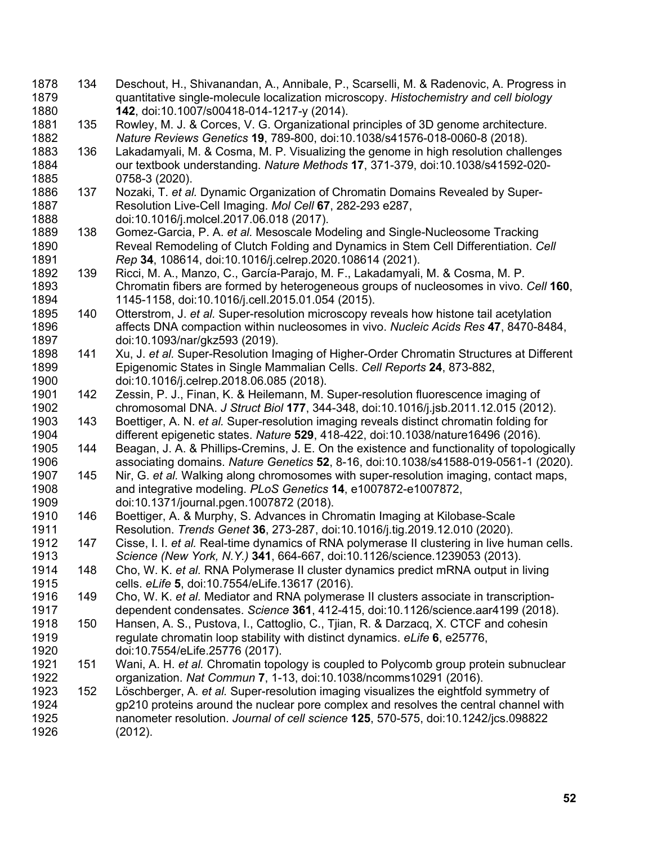134 Deschout, H., Shivanandan, A., Annibale, P., Scarselli, M. & Radenovic, A. Progress in quantitative single-molecule localization microscopy. *Histochemistry and cell biology* **142**, doi:10.1007/s00418-014-1217-y (2014). 135 Rowley, M. J. & Corces, V. G. Organizational principles of 3D genome architecture. *Nature Reviews Genetics* **19**, 789-800, doi:10.1038/s41576-018-0060-8 (2018). 136 Lakadamyali, M. & Cosma, M. P. Visualizing the genome in high resolution challenges our textbook understanding. *Nature Methods* **17**, 371-379, doi:10.1038/s41592-020- 0758-3 (2020). 137 Nozaki, T. *et al.* Dynamic Organization of Chromatin Domains Revealed by Super- Resolution Live-Cell Imaging. *Mol Cell* **67**, 282-293 e287, doi:10.1016/j.molcel.2017.06.018 (2017). 138 Gomez-Garcia, P. A. *et al.* Mesoscale Modeling and Single-Nucleosome Tracking Reveal Remodeling of Clutch Folding and Dynamics in Stem Cell Differentiation. *Cell Rep* **34**, 108614, doi:10.1016/j.celrep.2020.108614 (2021). 139 Ricci, M. A., Manzo, C., García-Parajo, M. F., Lakadamyali, M. & Cosma, M. P. Chromatin fibers are formed by heterogeneous groups of nucleosomes in vivo. *Cell* **160**, 1145-1158, doi:10.1016/j.cell.2015.01.054 (2015). 140 Otterstrom, J. *et al.* Super-resolution microscopy reveals how histone tail acetylation affects DNA compaction within nucleosomes in vivo. *Nucleic Acids Res* **47**, 8470-8484, doi:10.1093/nar/gkz593 (2019). 141 Xu, J. *et al.* Super-Resolution Imaging of Higher-Order Chromatin Structures at Different Epigenomic States in Single Mammalian Cells. *Cell Reports* **24**, 873-882, doi:10.1016/j.celrep.2018.06.085 (2018). 142 Zessin, P. J., Finan, K. & Heilemann, M. Super-resolution fluorescence imaging of chromosomal DNA. *J Struct Biol* **177**, 344-348, doi:10.1016/j.jsb.2011.12.015 (2012). 143 Boettiger, A. N. *et al.* Super-resolution imaging reveals distinct chromatin folding for different epigenetic states. *Nature* **529**, 418-422, doi:10.1038/nature16496 (2016). 144 Beagan, J. A. & Phillips-Cremins, J. E. On the existence and functionality of topologically associating domains. *Nature Genetics* **52**, 8-16, doi:10.1038/s41588-019-0561-1 (2020). 145 Nir, G. *et al.* Walking along chromosomes with super-resolution imaging, contact maps, and integrative modeling. *PLoS Genetics* **14**, e1007872-e1007872, doi:10.1371/journal.pgen.1007872 (2018). 146 Boettiger, A. & Murphy, S. Advances in Chromatin Imaging at Kilobase-Scale Resolution. *Trends Genet* **36**, 273-287, doi:10.1016/j.tig.2019.12.010 (2020). 147 Cisse, I. I. *et al.* Real-time dynamics of RNA polymerase II clustering in live human cells. *Science (New York, N.Y.)* **341**, 664-667, doi:10.1126/science.1239053 (2013). 148 Cho, W. K. *et al.* RNA Polymerase II cluster dynamics predict mRNA output in living cells. *eLife* **5**, doi:10.7554/eLife.13617 (2016). 149 Cho, W. K. *et al.* Mediator and RNA polymerase II clusters associate in transcription- dependent condensates. *Science* **361**, 412-415, doi:10.1126/science.aar4199 (2018). 150 Hansen, A. S., Pustova, I., Cattoglio, C., Tjian, R. & Darzacq, X. CTCF and cohesin regulate chromatin loop stability with distinct dynamics. *eLife* **6**, e25776, doi:10.7554/eLife.25776 (2017). 151 Wani, A. H. *et al.* Chromatin topology is coupled to Polycomb group protein subnuclear organization. *Nat Commun* **7**, 1-13, doi:10.1038/ncomms10291 (2016). 152 Löschberger, A. *et al.* Super-resolution imaging visualizes the eightfold symmetry of gp210 proteins around the nuclear pore complex and resolves the central channel with nanometer resolution. *Journal of cell science* **125**, 570-575, doi:10.1242/jcs.098822 (2012).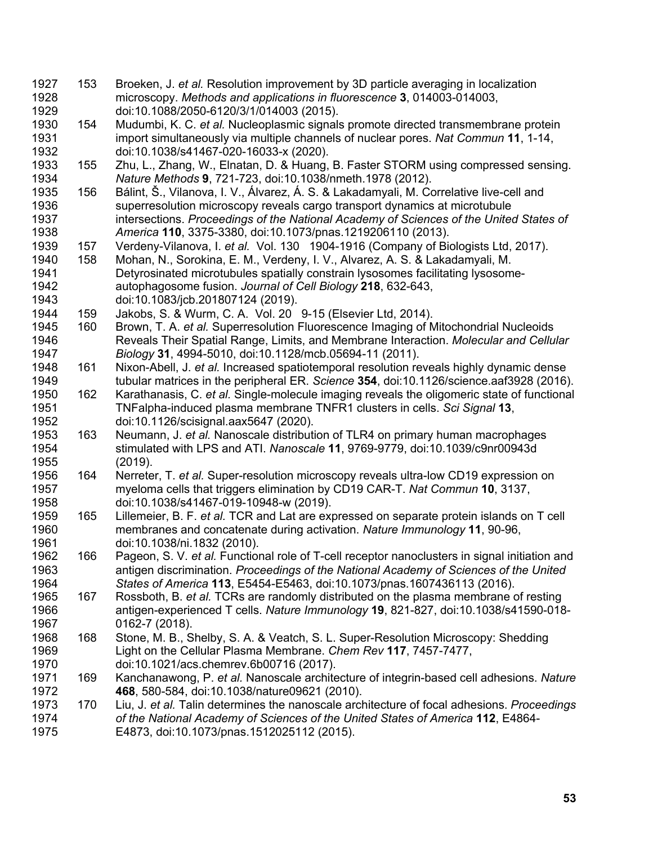- 153 Broeken, J. *et al.* Resolution improvement by 3D particle averaging in localization microscopy. *Methods and applications in fluorescence* **3**, 014003-014003, doi:10.1088/2050-6120/3/1/014003 (2015).
- 154 Mudumbi, K. C. *et al.* Nucleoplasmic signals promote directed transmembrane protein import simultaneously via multiple channels of nuclear pores. *Nat Commun* **11**, 1-14, doi:10.1038/s41467-020-16033-x (2020).
- 155 Zhu, L., Zhang, W., Elnatan, D. & Huang, B. Faster STORM using compressed sensing. *Nature Methods* **9**, 721-723, doi:10.1038/nmeth.1978 (2012).
- 156 Bálint, Š., Vilanova, I. V., Álvarez, Á. S. & Lakadamyali, M. Correlative live-cell and superresolution microscopy reveals cargo transport dynamics at microtubule intersections. *Proceedings of the National Academy of Sciences of the United States of America* **110**, 3375-3380, doi:10.1073/pnas.1219206110 (2013).
- 157 Verdeny-Vilanova, I. *et al.* Vol. 130 1904-1916 (Company of Biologists Ltd, 2017).
- 158 Mohan, N., Sorokina, E. M., Verdeny, I. V., Alvarez, A. S. & Lakadamyali, M. Detyrosinated microtubules spatially constrain lysosomes facilitating lysosome- autophagosome fusion. *Journal of Cell Biology* **218**, 632-643, doi:10.1083/jcb.201807124 (2019).
- 159 Jakobs, S. & Wurm, C. A. Vol. 20 9-15 (Elsevier Ltd, 2014).
- 160 Brown, T. A. *et al.* Superresolution Fluorescence Imaging of Mitochondrial Nucleoids Reveals Their Spatial Range, Limits, and Membrane Interaction. *Molecular and Cellular Biology* **31**, 4994-5010, doi:10.1128/mcb.05694-11 (2011).
- 161 Nixon-Abell, J. *et al.* Increased spatiotemporal resolution reveals highly dynamic dense tubular matrices in the peripheral ER. *Science* **354**, doi:10.1126/science.aaf3928 (2016).
- 162 Karathanasis, C. *et al.* Single-molecule imaging reveals the oligomeric state of functional TNFalpha-induced plasma membrane TNFR1 clusters in cells. *Sci Signal* **13**, doi:10.1126/scisignal.aax5647 (2020).
- 163 Neumann, J. *et al.* Nanoscale distribution of TLR4 on primary human macrophages stimulated with LPS and ATI. *Nanoscale* **11**, 9769-9779, doi:10.1039/c9nr00943d (2019).
- 164 Nerreter, T. *et al.* Super-resolution microscopy reveals ultra-low CD19 expression on myeloma cells that triggers elimination by CD19 CAR-T. *Nat Commun* **10**, 3137, doi:10.1038/s41467-019-10948-w (2019).
- 165 Lillemeier, B. F. *et al.* TCR and Lat are expressed on separate protein islands on T cell membranes and concatenate during activation. *Nature Immunology* **11**, 90-96, doi:10.1038/ni.1832 (2010).
- 166 Pageon, S. V. *et al.* Functional role of T-cell receptor nanoclusters in signal initiation and antigen discrimination. *Proceedings of the National Academy of Sciences of the United States of America* **113**, E5454-E5463, doi:10.1073/pnas.1607436113 (2016).
- 167 Rossboth, B. *et al.* TCRs are randomly distributed on the plasma membrane of resting antigen-experienced T cells. *Nature Immunology* **19**, 821-827, doi:10.1038/s41590-018- 0162-7 (2018).
- 168 Stone, M. B., Shelby, S. A. & Veatch, S. L. Super-Resolution Microscopy: Shedding Light on the Cellular Plasma Membrane. *Chem Rev* **117**, 7457-7477, doi:10.1021/acs.chemrev.6b00716 (2017).
- 169 Kanchanawong, P. *et al.* Nanoscale architecture of integrin-based cell adhesions. *Nature* **468**, 580-584, doi:10.1038/nature09621 (2010).
- 170 Liu, J. *et al.* Talin determines the nanoscale architecture of focal adhesions. *Proceedings of the National Academy of Sciences of the United States of America* **112**, E4864- E4873, doi:10.1073/pnas.1512025112 (2015).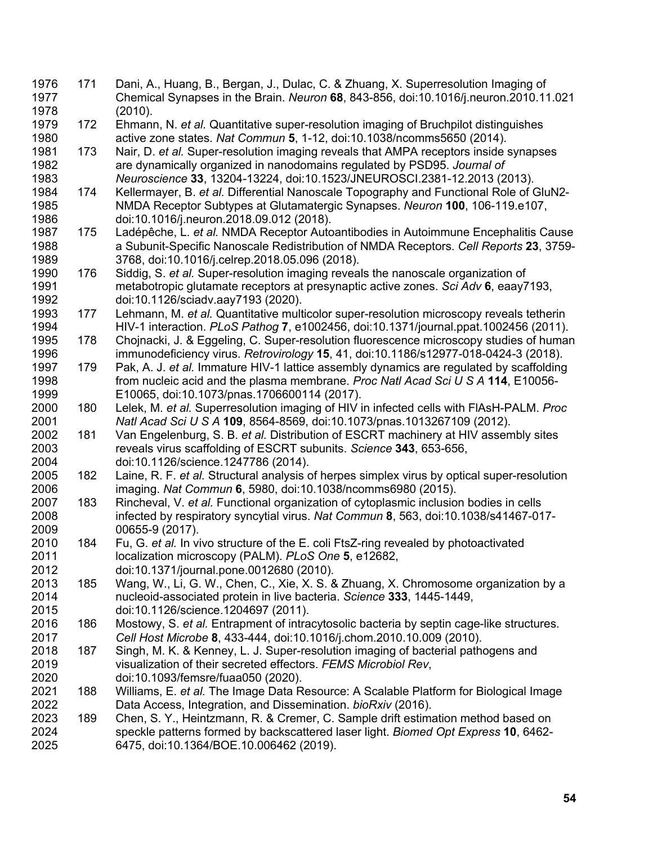171 Dani, A., Huang, B., Bergan, J., Dulac, C. & Zhuang, X. Superresolution Imaging of Chemical Synapses in the Brain. *Neuron* **68**, 843-856, doi:10.1016/j.neuron.2010.11.021 (2010). 172 Ehmann, N. *et al.* Quantitative super-resolution imaging of Bruchpilot distinguishes active zone states. *Nat Commun* **5**, 1-12, doi:10.1038/ncomms5650 (2014). 173 Nair, D. *et al.* Super-resolution imaging reveals that AMPA receptors inside synapses are dynamically organized in nanodomains regulated by PSD95. *Journal of Neuroscience* **33**, 13204-13224, doi:10.1523/JNEUROSCI.2381-12.2013 (2013). 174 Kellermayer, B. *et al.* Differential Nanoscale Topography and Functional Role of GluN2- NMDA Receptor Subtypes at Glutamatergic Synapses. *Neuron* **100**, 106-119.e107, doi:10.1016/j.neuron.2018.09.012 (2018). 175 Ladépêche, L. *et al.* NMDA Receptor Autoantibodies in Autoimmune Encephalitis Cause a Subunit-Specific Nanoscale Redistribution of NMDA Receptors. *Cell Reports* **23**, 3759- 3768, doi:10.1016/j.celrep.2018.05.096 (2018). 176 Siddig, S. *et al.* Super-resolution imaging reveals the nanoscale organization of metabotropic glutamate receptors at presynaptic active zones. *Sci Adv* **6**, eaay7193, doi:10.1126/sciadv.aay7193 (2020). 177 Lehmann, M. *et al.* Quantitative multicolor super-resolution microscopy reveals tetherin HIV-1 interaction. *PLoS Pathog* **7**, e1002456, doi:10.1371/journal.ppat.1002456 (2011). 178 Chojnacki, J. & Eggeling, C. Super-resolution fluorescence microscopy studies of human immunodeficiency virus. *Retrovirology* **15**, 41, doi:10.1186/s12977-018-0424-3 (2018). 179 Pak, A. J. *et al.* Immature HIV-1 lattice assembly dynamics are regulated by scaffolding from nucleic acid and the plasma membrane. *Proc Natl Acad Sci U S A* **114**, E10056- E10065, doi:10.1073/pnas.1706600114 (2017). 180 Lelek, M. *et al.* Superresolution imaging of HIV in infected cells with FlAsH-PALM. *Proc Natl Acad Sci U S A* **109**, 8564-8569, doi:10.1073/pnas.1013267109 (2012). 181 Van Engelenburg, S. B. *et al.* Distribution of ESCRT machinery at HIV assembly sites reveals virus scaffolding of ESCRT subunits. *Science* **343**, 653-656, doi:10.1126/science.1247786 (2014). 182 Laine, R. F. *et al.* Structural analysis of herpes simplex virus by optical super-resolution imaging. *Nat Commun* **6**, 5980, doi:10.1038/ncomms6980 (2015). 183 Rincheval, V. *et al.* Functional organization of cytoplasmic inclusion bodies in cells infected by respiratory syncytial virus. *Nat Commun* **8**, 563, doi:10.1038/s41467-017- 00655-9 (2017). 184 Fu, G. *et al.* In vivo structure of the E. coli FtsZ-ring revealed by photoactivated localization microscopy (PALM). *PLoS One* **5**, e12682, doi:10.1371/journal.pone.0012680 (2010). 185 Wang, W., Li, G. W., Chen, C., Xie, X. S. & Zhuang, X. Chromosome organization by a nucleoid-associated protein in live bacteria. *Science* **333**, 1445-1449, doi:10.1126/science.1204697 (2011). 186 Mostowy, S. *et al.* Entrapment of intracytosolic bacteria by septin cage-like structures. *Cell Host Microbe* **8**, 433-444, doi:10.1016/j.chom.2010.10.009 (2010). 2018 187 Singh, M. K. & Kenney, L. J. Super-resolution imaging of bacterial pathogens and visualization of their secreted effectors. *FEMS Microbiol Rev*, doi:10.1093/femsre/fuaa050 (2020). 188 Williams, E. *et al.* The Image Data Resource: A Scalable Platform for Biological Image Data Access, Integration, and Dissemination. *bioRxiv* (2016). 189 Chen, S. Y., Heintzmann, R. & Cremer, C. Sample drift estimation method based on speckle patterns formed by backscattered laser light. *Biomed Opt Express* **10**, 6462- 6475, doi:10.1364/BOE.10.006462 (2019).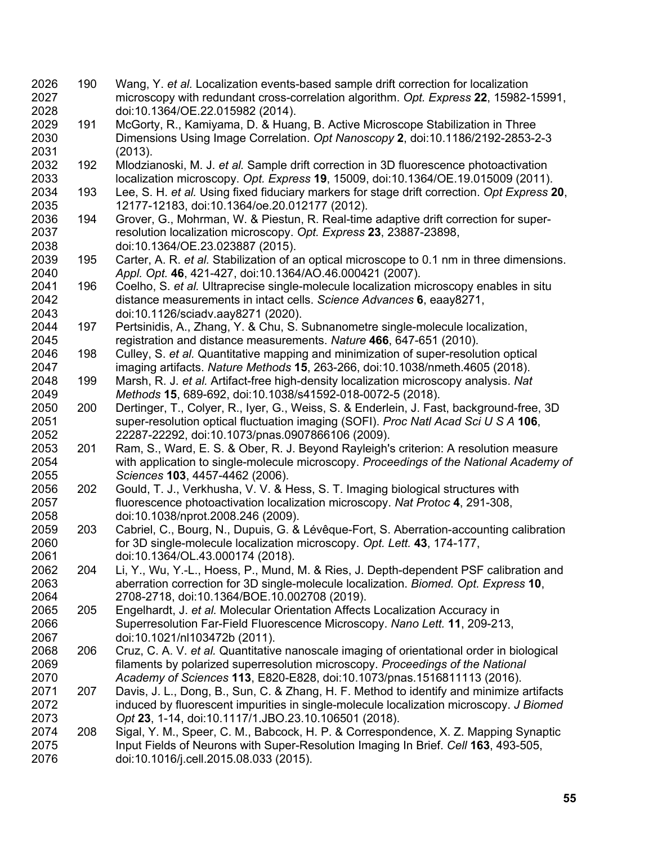- 190 Wang, Y. *et al.* Localization events-based sample drift correction for localization microscopy with redundant cross-correlation algorithm. *Opt. Express* **22**, 15982-15991, doi:10.1364/OE.22.015982 (2014).
- 191 McGorty, R., Kamiyama, D. & Huang, B. Active Microscope Stabilization in Three Dimensions Using Image Correlation. *Opt Nanoscopy* **2**, doi:10.1186/2192-2853-2-3 (2013).
- 192 Mlodzianoski, M. J. *et al.* Sample drift correction in 3D fluorescence photoactivation localization microscopy. *Opt. Express* **19**, 15009, doi:10.1364/OE.19.015009 (2011).
- 193 Lee, S. H. *et al.* Using fixed fiduciary markers for stage drift correction. *Opt Express* **20**, 12177-12183, doi:10.1364/oe.20.012177 (2012).
- 194 Grover, G., Mohrman, W. & Piestun, R. Real-time adaptive drift correction for super- resolution localization microscopy. *Opt. Express* **23**, 23887-23898, doi:10.1364/OE.23.023887 (2015).
- 195 Carter, A. R. *et al.* Stabilization of an optical microscope to 0.1 nm in three dimensions. *Appl. Opt.* **46**, 421-427, doi:10.1364/AO.46.000421 (2007).
- 196 Coelho, S. *et al.* Ultraprecise single-molecule localization microscopy enables in situ distance measurements in intact cells. *Science Advances* **6**, eaay8271, doi:10.1126/sciadv.aay8271 (2020).
- 197 Pertsinidis, A., Zhang, Y. & Chu, S. Subnanometre single-molecule localization, registration and distance measurements. *Nature* **466**, 647-651 (2010).
- 198 Culley, S. *et al.* Quantitative mapping and minimization of super-resolution optical imaging artifacts. *Nature Methods* **15**, 263-266, doi:10.1038/nmeth.4605 (2018).
- 199 Marsh, R. J. *et al.* Artifact-free high-density localization microscopy analysis. *Nat Methods* **15**, 689-692, doi:10.1038/s41592-018-0072-5 (2018).
- 200 Dertinger, T., Colyer, R., Iyer, G., Weiss, S. & Enderlein, J. Fast, background-free, 3D super-resolution optical fluctuation imaging (SOFI). *Proc Natl Acad Sci U S A* **106**, 22287-22292, doi:10.1073/pnas.0907866106 (2009).
- 201 Ram, S., Ward, E. S. & Ober, R. J. Beyond Rayleigh's criterion: A resolution measure with application to single-molecule microscopy. *Proceedings of the National Academy of Sciences* **103**, 4457-4462 (2006).
- 202 Gould, T. J., Verkhusha, V. V. & Hess, S. T. Imaging biological structures with fluorescence photoactivation localization microscopy. *Nat Protoc* **4**, 291-308, doi:10.1038/nprot.2008.246 (2009).
- 203 Cabriel, C., Bourg, N., Dupuis, G. & Lévêque-Fort, S. Aberration-accounting calibration for 3D single-molecule localization microscopy. *Opt. Lett.* **43**, 174-177, doi:10.1364/OL.43.000174 (2018).
- 204 Li, Y., Wu, Y.-L., Hoess, P., Mund, M. & Ries, J. Depth-dependent PSF calibration and aberration correction for 3D single-molecule localization. *Biomed. Opt. Express* **10**, 2708-2718, doi:10.1364/BOE.10.002708 (2019).
- 205 Engelhardt, J. *et al.* Molecular Orientation Affects Localization Accuracy in Superresolution Far-Field Fluorescence Microscopy. *Nano Lett.* **11**, 209-213, doi:10.1021/nl103472b (2011).
- 206 Cruz, C. A. V. *et al.* Quantitative nanoscale imaging of orientational order in biological filaments by polarized superresolution microscopy. *Proceedings of the National Academy of Sciences* **113**, E820-E828, doi:10.1073/pnas.1516811113 (2016).
- 207 Davis, J. L., Dong, B., Sun, C. & Zhang, H. F. Method to identify and minimize artifacts induced by fluorescent impurities in single-molecule localization microscopy. *J Biomed Opt* **23**, 1-14, doi:10.1117/1.JBO.23.10.106501 (2018).
- 208 Sigal, Y. M., Speer, C. M., Babcock, H. P. & Correspondence, X. Z. Mapping Synaptic Input Fields of Neurons with Super-Resolution Imaging In Brief. *Cell* **163**, 493-505, doi:10.1016/j.cell.2015.08.033 (2015).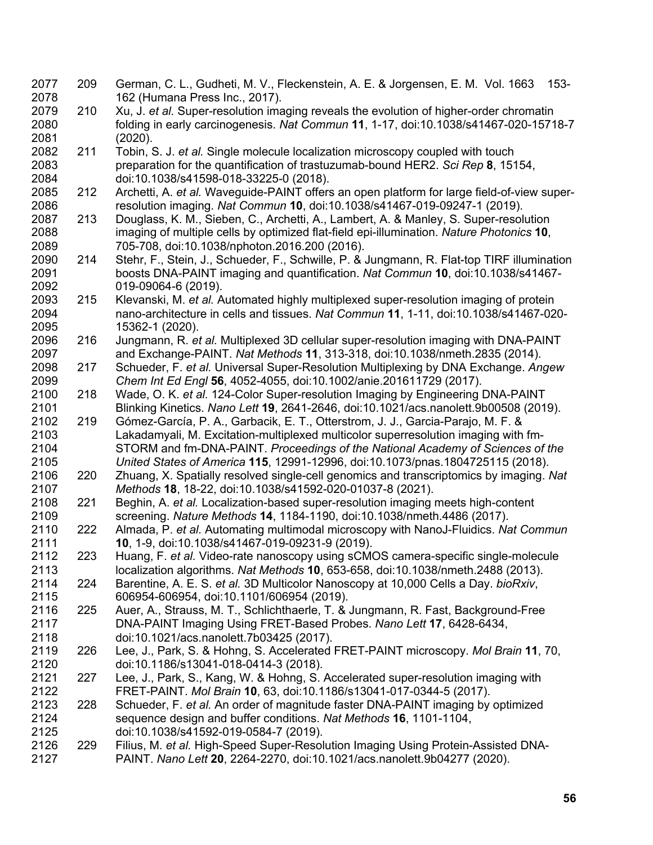209 German, C. L., Gudheti, M. V., Fleckenstein, A. E. & Jorgensen, E. M. Vol. 1663 153- 162 (Humana Press Inc., 2017). 210 Xu, J. *et al.* Super-resolution imaging reveals the evolution of higher-order chromatin folding in early carcinogenesis. *Nat Commun* **11**, 1-17, doi:10.1038/s41467-020-15718-7 (2020). 211 Tobin, S. J. *et al.* Single molecule localization microscopy coupled with touch preparation for the quantification of trastuzumab-bound HER2. *Sci Rep* **8**, 15154, doi:10.1038/s41598-018-33225-0 (2018). 212 Archetti, A. *et al.* Waveguide-PAINT offers an open platform for large field-of-view super- resolution imaging. *Nat Commun* **10**, doi:10.1038/s41467-019-09247-1 (2019). 213 Douglass, K. M., Sieben, C., Archetti, A., Lambert, A. & Manley, S. Super-resolution imaging of multiple cells by optimized flat-field epi-illumination. *Nature Photonics* **10**, 705-708, doi:10.1038/nphoton.2016.200 (2016). 214 Stehr, F., Stein, J., Schueder, F., Schwille, P. & Jungmann, R. Flat-top TIRF illumination boosts DNA-PAINT imaging and quantification. *Nat Commun* **10**, doi:10.1038/s41467- 019-09064-6 (2019). 215 Klevanski, M. *et al.* Automated highly multiplexed super-resolution imaging of protein nano-architecture in cells and tissues. *Nat Commun* **11**, 1-11, doi:10.1038/s41467-020- 15362-1 (2020). 216 Jungmann, R. *et al.* Multiplexed 3D cellular super-resolution imaging with DNA-PAINT and Exchange-PAINT. *Nat Methods* **11**, 313-318, doi:10.1038/nmeth.2835 (2014). 217 Schueder, F. *et al.* Universal Super-Resolution Multiplexing by DNA Exchange. *Angew Chem Int Ed Engl* **56**, 4052-4055, doi:10.1002/anie.201611729 (2017). 218 Wade, O. K. *et al.* 124-Color Super-resolution Imaging by Engineering DNA-PAINT Blinking Kinetics. *Nano Lett* **19**, 2641-2646, doi:10.1021/acs.nanolett.9b00508 (2019). 219 Gómez-García, P. A., Garbacik, E. T., Otterstrom, J. J., Garcia-Parajo, M. F. & Lakadamyali, M. Excitation-multiplexed multicolor superresolution imaging with fm- STORM and fm-DNA-PAINT. *Proceedings of the National Academy of Sciences of the United States of America* **115**, 12991-12996, doi:10.1073/pnas.1804725115 (2018). 220 Zhuang, X. Spatially resolved single-cell genomics and transcriptomics by imaging. *Nat Methods* **18**, 18-22, doi:10.1038/s41592-020-01037-8 (2021). 221 Beghin, A. *et al.* Localization-based super-resolution imaging meets high-content screening. *Nature Methods* **14**, 1184-1190, doi:10.1038/nmeth.4486 (2017). 222 Almada, P. *et al.* Automating multimodal microscopy with NanoJ-Fluidics. *Nat Commun* **10**, 1-9, doi:10.1038/s41467-019-09231-9 (2019). 223 Huang, F. *et al.* Video-rate nanoscopy using sCMOS camera-specific single-molecule localization algorithms. *Nat Methods* **10**, 653-658, doi:10.1038/nmeth.2488 (2013). 224 Barentine, A. E. S. *et al.* 3D Multicolor Nanoscopy at 10,000 Cells a Day. *bioRxiv*, 606954-606954, doi:10.1101/606954 (2019). 225 Auer, A., Strauss, M. T., Schlichthaerle, T. & Jungmann, R. Fast, Background-Free DNA-PAINT Imaging Using FRET-Based Probes. *Nano Lett* **17**, 6428-6434, doi:10.1021/acs.nanolett.7b03425 (2017). 226 Lee, J., Park, S. & Hohng, S. Accelerated FRET-PAINT microscopy. *Mol Brain* **11**, 70, doi:10.1186/s13041-018-0414-3 (2018). 227 Lee, J., Park, S., Kang, W. & Hohng, S. Accelerated super-resolution imaging with FRET-PAINT. *Mol Brain* **10**, 63, doi:10.1186/s13041-017-0344-5 (2017). 228 Schueder, F. *et al.* An order of magnitude faster DNA-PAINT imaging by optimized sequence design and buffer conditions. *Nat Methods* **16**, 1101-1104, doi:10.1038/s41592-019-0584-7 (2019). 229 Filius, M. *et al.* High-Speed Super-Resolution Imaging Using Protein-Assisted DNA-PAINT. *Nano Lett* **20**, 2264-2270, doi:10.1021/acs.nanolett.9b04277 (2020).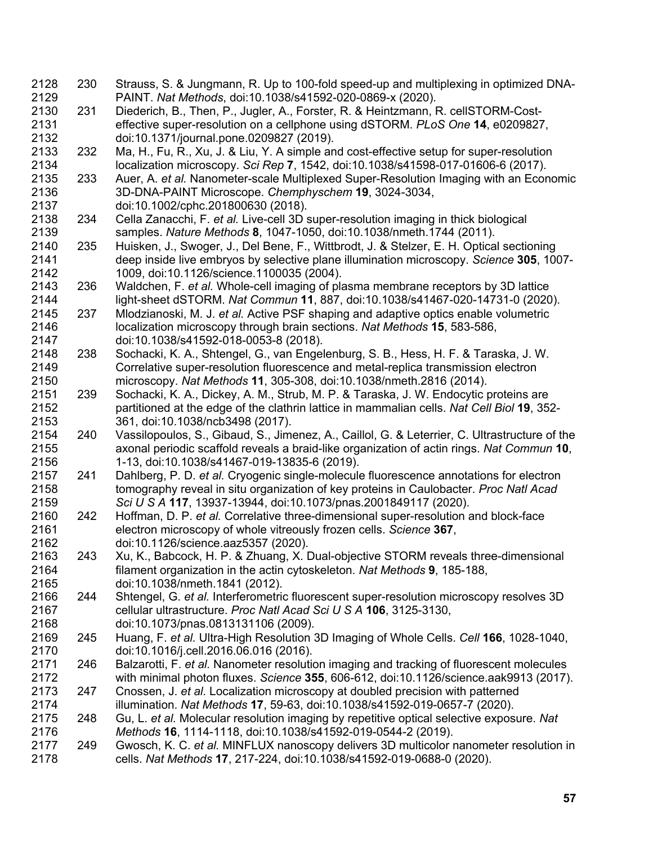230 Strauss, S. & Jungmann, R. Up to 100-fold speed-up and multiplexing in optimized DNA- PAINT. *Nat Methods*, doi:10.1038/s41592-020-0869-x (2020). 231 Diederich, B., Then, P., Jugler, A., Forster, R. & Heintzmann, R. cellSTORM-Cost- effective super-resolution on a cellphone using dSTORM. *PLoS One* **14**, e0209827, doi:10.1371/journal.pone.0209827 (2019). 232 Ma, H., Fu, R., Xu, J. & Liu, Y. A simple and cost-effective setup for super-resolution localization microscopy. *Sci Rep* **7**, 1542, doi:10.1038/s41598-017-01606-6 (2017). 233 Auer, A. *et al.* Nanometer-scale Multiplexed Super-Resolution Imaging with an Economic 3D-DNA-PAINT Microscope. *Chemphyschem* **19**, 3024-3034, doi:10.1002/cphc.201800630 (2018). 234 Cella Zanacchi, F. *et al.* Live-cell 3D super-resolution imaging in thick biological samples. *Nature Methods* **8**, 1047-1050, doi:10.1038/nmeth.1744 (2011). 235 Huisken, J., Swoger, J., Del Bene, F., Wittbrodt, J. & Stelzer, E. H. Optical sectioning deep inside live embryos by selective plane illumination microscopy. *Science* **305**, 1007- 1009, doi:10.1126/science.1100035 (2004). 236 Waldchen, F. *et al.* Whole-cell imaging of plasma membrane receptors by 3D lattice light-sheet dSTORM. *Nat Commun* **11**, 887, doi:10.1038/s41467-020-14731-0 (2020). 237 Mlodzianoski, M. J. *et al.* Active PSF shaping and adaptive optics enable volumetric localization microscopy through brain sections. *Nat Methods* **15**, 583-586, doi:10.1038/s41592-018-0053-8 (2018). 238 Sochacki, K. A., Shtengel, G., van Engelenburg, S. B., Hess, H. F. & Taraska, J. W. Correlative super-resolution fluorescence and metal-replica transmission electron microscopy. *Nat Methods* **11**, 305-308, doi:10.1038/nmeth.2816 (2014). 239 Sochacki, K. A., Dickey, A. M., Strub, M. P. & Taraska, J. W. Endocytic proteins are partitioned at the edge of the clathrin lattice in mammalian cells. *Nat Cell Biol* **19**, 352- 361, doi:10.1038/ncb3498 (2017). 240 Vassilopoulos, S., Gibaud, S., Jimenez, A., Caillol, G. & Leterrier, C. Ultrastructure of the axonal periodic scaffold reveals a braid-like organization of actin rings. *Nat Commun* **10**, 1-13, doi:10.1038/s41467-019-13835-6 (2019). 241 Dahlberg, P. D. *et al.* Cryogenic single-molecule fluorescence annotations for electron tomography reveal in situ organization of key proteins in Caulobacter. *Proc Natl Acad Sci U S A* **117**, 13937-13944, doi:10.1073/pnas.2001849117 (2020). 242 Hoffman, D. P. *et al.* Correlative three-dimensional super-resolution and block-face electron microscopy of whole vitreously frozen cells. *Science* **367**, doi:10.1126/science.aaz5357 (2020). 243 Xu, K., Babcock, H. P. & Zhuang, X. Dual-objective STORM reveals three-dimensional filament organization in the actin cytoskeleton. *Nat Methods* **9**, 185-188, doi:10.1038/nmeth.1841 (2012). 244 Shtengel, G. *et al.* Interferometric fluorescent super-resolution microscopy resolves 3D cellular ultrastructure. *Proc Natl Acad Sci U S A* **106**, 3125-3130, doi:10.1073/pnas.0813131106 (2009). 245 Huang, F. *et al.* Ultra-High Resolution 3D Imaging of Whole Cells. *Cell* **166**, 1028-1040, doi:10.1016/j.cell.2016.06.016 (2016). 246 Balzarotti, F. *et al.* Nanometer resolution imaging and tracking of fluorescent molecules with minimal photon fluxes. *Science* **355**, 606-612, doi:10.1126/science.aak9913 (2017). 247 Cnossen, J. *et al.* Localization microscopy at doubled precision with patterned illumination. *Nat Methods* **17**, 59-63, doi:10.1038/s41592-019-0657-7 (2020). 248 Gu, L. *et al.* Molecular resolution imaging by repetitive optical selective exposure. *Nat Methods* **16**, 1114-1118, doi:10.1038/s41592-019-0544-2 (2019). 249 Gwosch, K. C. *et al.* MINFLUX nanoscopy delivers 3D multicolor nanometer resolution in cells. *Nat Methods* **17**, 217-224, doi:10.1038/s41592-019-0688-0 (2020).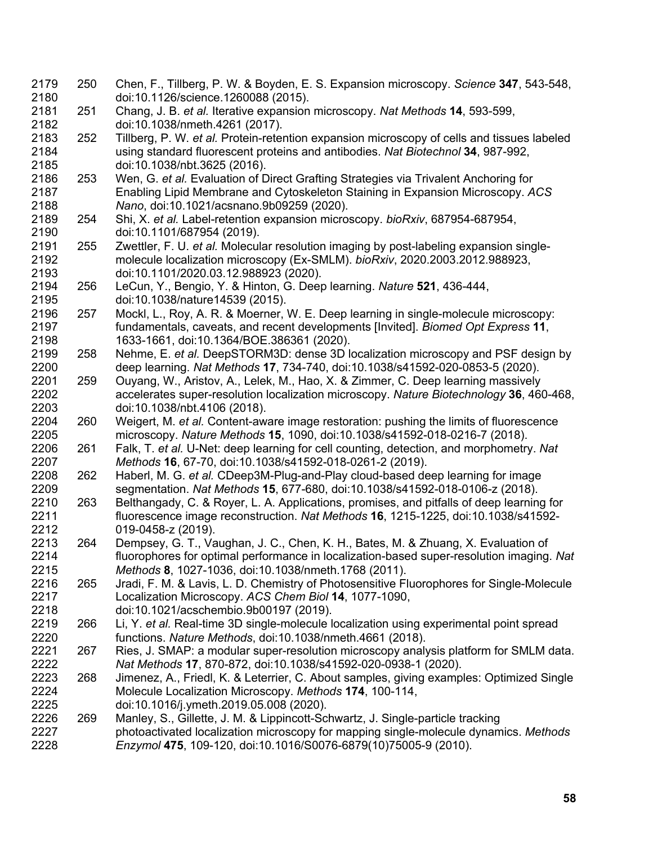- 250 Chen, F., Tillberg, P. W. & Boyden, E. S. Expansion microscopy. *Science* **347**, 543-548, doi:10.1126/science.1260088 (2015).
- 251 Chang, J. B. *et al.* Iterative expansion microscopy. *Nat Methods* **14**, 593-599, doi:10.1038/nmeth.4261 (2017).
- 252 Tillberg, P. W. *et al.* Protein-retention expansion microscopy of cells and tissues labeled using standard fluorescent proteins and antibodies. *Nat Biotechnol* **34**, 987-992, doi:10.1038/nbt.3625 (2016).
- 253 Wen, G. *et al.* Evaluation of Direct Grafting Strategies via Trivalent Anchoring for Enabling Lipid Membrane and Cytoskeleton Staining in Expansion Microscopy. *ACS Nano*, doi:10.1021/acsnano.9b09259 (2020).
- 254 Shi, X. *et al.* Label-retention expansion microscopy. *bioRxiv*, 687954-687954, doi:10.1101/687954 (2019).
- 255 Zwettler, F. U. *et al.* Molecular resolution imaging by post-labeling expansion single- molecule localization microscopy (Ex-SMLM). *bioRxiv*, 2020.2003.2012.988923, doi:10.1101/2020.03.12.988923 (2020).
- 256 LeCun, Y., Bengio, Y. & Hinton, G. Deep learning. *Nature* **521**, 436-444, doi:10.1038/nature14539 (2015).
- 257 Mockl, L., Roy, A. R. & Moerner, W. E. Deep learning in single-molecule microscopy: fundamentals, caveats, and recent developments [Invited]. *Biomed Opt Express* **11**, 1633-1661, doi:10.1364/BOE.386361 (2020).
- 258 Nehme, E. *et al.* DeepSTORM3D: dense 3D localization microscopy and PSF design by deep learning. *Nat Methods* **17**, 734-740, doi:10.1038/s41592-020-0853-5 (2020).
- 259 Ouyang, W., Aristov, A., Lelek, M., Hao, X. & Zimmer, C. Deep learning massively accelerates super-resolution localization microscopy. *Nature Biotechnology* **36**, 460-468, doi:10.1038/nbt.4106 (2018).
- 260 Weigert, M. *et al.* Content-aware image restoration: pushing the limits of fluorescence microscopy. *Nature Methods* **15**, 1090, doi:10.1038/s41592-018-0216-7 (2018).
- 261 Falk, T. *et al.* U-Net: deep learning for cell counting, detection, and morphometry. *Nat Methods* **16**, 67-70, doi:10.1038/s41592-018-0261-2 (2019).
- 262 Haberl, M. G. *et al.* CDeep3M-Plug-and-Play cloud-based deep learning for image segmentation. *Nat Methods* **15**, 677-680, doi:10.1038/s41592-018-0106-z (2018).
- 263 Belthangady, C. & Royer, L. A. Applications, promises, and pitfalls of deep learning for fluorescence image reconstruction. *Nat Methods* **16**, 1215-1225, doi:10.1038/s41592- 019-0458-z (2019).
- 264 Dempsey, G. T., Vaughan, J. C., Chen, K. H., Bates, M. & Zhuang, X. Evaluation of fluorophores for optimal performance in localization-based super-resolution imaging. *Nat Methods* **8**, 1027-1036, doi:10.1038/nmeth.1768 (2011).
- 265 Jradi, F. M. & Lavis, L. D. Chemistry of Photosensitive Fluorophores for Single-Molecule Localization Microscopy. *ACS Chem Biol* **14**, 1077-1090, doi:10.1021/acschembio.9b00197 (2019).
- 266 Li, Y. *et al.* Real-time 3D single-molecule localization using experimental point spread functions. *Nature Methods*, doi:10.1038/nmeth.4661 (2018).
- 267 Ries, J. SMAP: a modular super-resolution microscopy analysis platform for SMLM data. *Nat Methods* **17**, 870-872, doi:10.1038/s41592-020-0938-1 (2020).
- 268 Jimenez, A., Friedl, K. & Leterrier, C. About samples, giving examples: Optimized Single Molecule Localization Microscopy. *Methods* **174**, 100-114, doi:10.1016/j.ymeth.2019.05.008 (2020).
- 269 Manley, S., Gillette, J. M. & Lippincott-Schwartz, J. Single-particle tracking
- photoactivated localization microscopy for mapping single-molecule dynamics. *Methods Enzymol* **475**, 109-120, doi:10.1016/S0076-6879(10)75005-9 (2010).